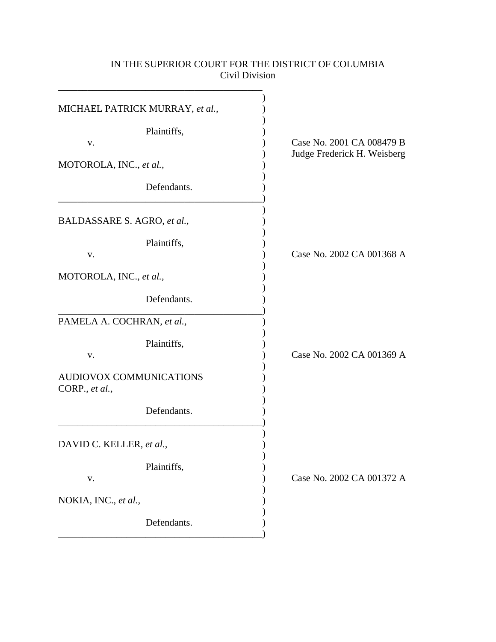| MICHAEL PATRICK MURRAY, et al.,           |                                                          |
|-------------------------------------------|----------------------------------------------------------|
| Plaintiffs,<br>V.                         | Case No. 2001 CA 008479 B<br>Judge Frederick H. Weisberg |
| MOTOROLA, INC., et al.,                   |                                                          |
| Defendants.                               |                                                          |
| BALDASSARE S. AGRO, et al.,               |                                                          |
| Plaintiffs,<br>V.                         | Case No. 2002 CA 001368 A                                |
| MOTOROLA, INC., et al.,                   |                                                          |
| Defendants.                               |                                                          |
| PAMELA A. COCHRAN, et al.,                |                                                          |
| Plaintiffs,<br>V.                         | Case No. 2002 CA 001369 A                                |
| AUDIOVOX COMMUNICATIONS<br>CORP., et al., |                                                          |
| Defendants.                               |                                                          |
| DAVID C. KELLER, et al.,                  |                                                          |
| Plaintiffs,<br>V.                         | Case No. 2002 CA 001372 A                                |
| NOKIA, INC., et al.,                      |                                                          |
| Defendants.                               |                                                          |

# IN THE SUPERIOR COURT FOR THE DISTRICT OF COLUMBIA Civil Division

\_\_\_\_\_\_\_\_\_\_\_\_\_\_\_\_\_\_\_\_\_\_\_\_\_\_\_\_\_\_\_\_\_\_\_\_\_\_\_\_\_\_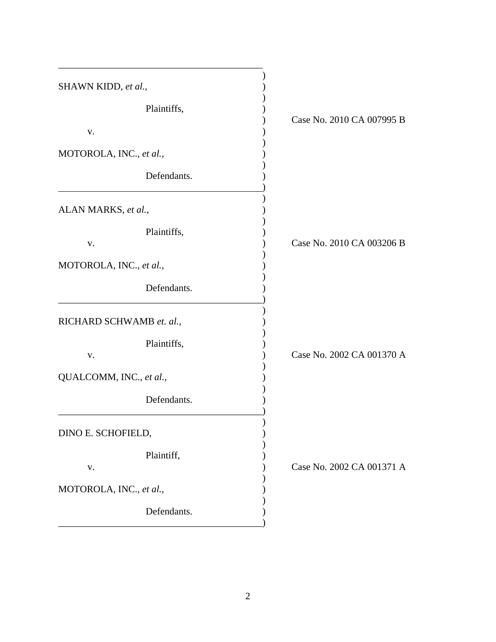| SHAWN KIDD, et al.,        |                           |
|----------------------------|---------------------------|
| Plaintiffs,<br>${\bf V}$ . | Case No. 2010 CA 007995 B |
| MOTOROLA, INC., et al.,    |                           |
| Defendants.                |                           |
| ALAN MARKS, et al.,        |                           |
| Plaintiffs,<br>V.          | Case No. 2010 CA 003206 B |
| MOTOROLA, INC., et al.,    |                           |
| Defendants.                |                           |
| RICHARD SCHWAMB et. al.,   |                           |
| Plaintiffs,<br>V.          | Case No. 2002 CA 001370 A |
| QUALCOMM, INC., et al.,    |                           |
| Defendants.                |                           |
| DINO E. SCHOFIELD,         |                           |
| Plaintiff,<br>${\bf V}$ .  | Case No. 2002 CA 001371 A |
| MOTOROLA, INC., et al.,    |                           |
| Defendants.                |                           |

\_\_\_\_\_\_\_\_\_\_\_\_\_\_\_\_\_\_\_\_\_\_\_\_\_\_\_\_\_\_\_\_\_\_\_\_\_\_\_\_\_\_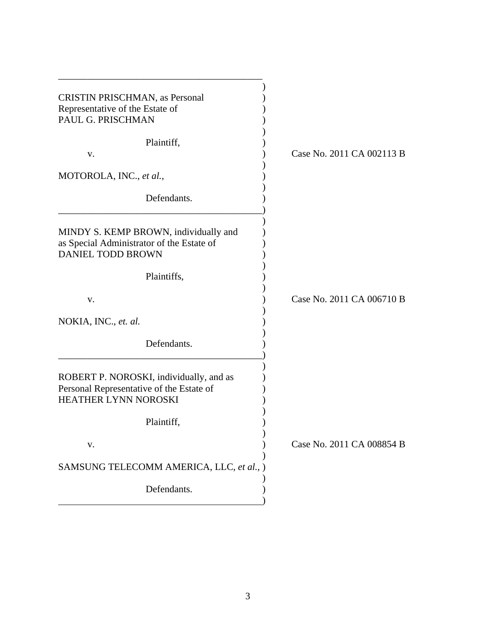| CRISTIN PRISCHMAN, as Personal<br>Representative of the Estate of<br>PAUL G. PRISCHMAN                         |                           |
|----------------------------------------------------------------------------------------------------------------|---------------------------|
| Plaintiff,                                                                                                     |                           |
| v.                                                                                                             | Case No. 2011 CA 002113 B |
| MOTOROLA, INC., et al.,                                                                                        |                           |
| Defendants.                                                                                                    |                           |
| MINDY S. KEMP BROWN, individually and<br>as Special Administrator of the Estate of<br><b>DANIEL TODD BROWN</b> |                           |
| Plaintiffs,                                                                                                    |                           |
| V.                                                                                                             | Case No. 2011 CA 006710 B |
| NOKIA, INC., et. al.                                                                                           |                           |
| Defendants.                                                                                                    |                           |
| ROBERT P. NOROSKI, individually, and as<br>Personal Representative of the Estate of<br>HEATHER LYNN NOROSKI    |                           |
| Plaintiff,                                                                                                     |                           |
| V.                                                                                                             | Case No. 2011 CA 008854 B |
| SAMSUNG TELECOMM AMERICA, LLC, et al., )                                                                       |                           |
| Defendants.                                                                                                    |                           |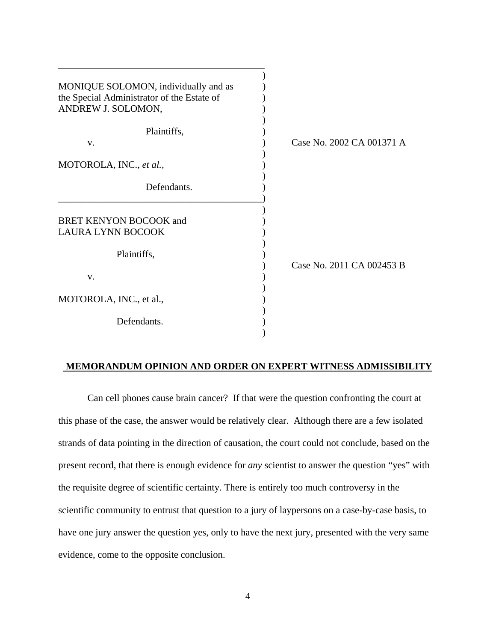| MONIQUE SOLOMON, individually and as<br>the Special Administrator of the Estate of<br>ANDREW J. SOLOMON, |                           |
|----------------------------------------------------------------------------------------------------------|---------------------------|
| Plaintiffs,                                                                                              |                           |
| V.                                                                                                       | Case No. 2002 CA 001371 A |
| MOTOROLA, INC., et al.,                                                                                  |                           |
| Defendants.                                                                                              |                           |
| BRET KENYON BOCOOK and<br><b>LAURA LYNN BOCOOK</b>                                                       |                           |
| Plaintiffs,                                                                                              |                           |
| V.                                                                                                       | Case No. 2011 CA 002453 B |
| MOTOROLA, INC., et al.,                                                                                  |                           |
| Defendants.                                                                                              |                           |

# **MEMORANDUM OPINION AND ORDER ON EXPERT WITNESS ADMISSIBILITY**

Can cell phones cause brain cancer? If that were the question confronting the court at this phase of the case, the answer would be relatively clear. Although there are a few isolated strands of data pointing in the direction of causation, the court could not conclude, based on the present record, that there is enough evidence for *any* scientist to answer the question "yes" with the requisite degree of scientific certainty. There is entirely too much controversy in the scientific community to entrust that question to a jury of laypersons on a case-by-case basis, to have one jury answer the question yes, only to have the next jury, presented with the very same evidence, come to the opposite conclusion.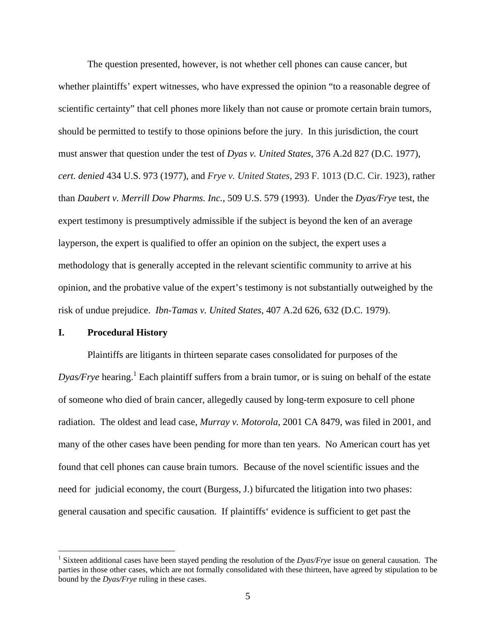The question presented, however, is not whether cell phones can cause cancer, but whether plaintiffs' expert witnesses, who have expressed the opinion "to a reasonable degree of scientific certainty" that cell phones more likely than not cause or promote certain brain tumors, should be permitted to testify to those opinions before the jury. In this jurisdiction, the court must answer that question under the test of *Dyas v. United States*, 376 A.2d 827 (D.C. 1977), *cert. denied* 434 U.S. 973 (1977), and *Frye v. United States*, 293 F. 1013 (D.C. Cir. 1923), rather than *Daubert v. Merrill Dow Pharms. Inc.*, 509 U.S. 579 (1993). Under the *Dyas/Frye* test, the expert testimony is presumptively admissible if the subject is beyond the ken of an average layperson, the expert is qualified to offer an opinion on the subject, the expert uses a methodology that is generally accepted in the relevant scientific community to arrive at his opinion, and the probative value of the expert's testimony is not substantially outweighed by the risk of undue prejudice. *Ibn-Tamas v. United States*, 407 A.2d 626, 632 (D.C. 1979).

### **I. Procedural History**

 $\overline{a}$ 

Plaintiffs are litigants in thirteen separate cases consolidated for purposes of the *Dyas/Frye* hearing.<sup>1</sup> Each plaintiff suffers from a brain tumor, or is suing on behalf of the estate of someone who died of brain cancer, allegedly caused by long-term exposure to cell phone radiation. The oldest and lead case, *Murray v. Motorola*, 2001 CA 8479, was filed in 2001, and many of the other cases have been pending for more than ten years. No American court has yet found that cell phones can cause brain tumors. Because of the novel scientific issues and the need for judicial economy, the court (Burgess, J.) bifurcated the litigation into two phases: general causation and specific causation. If plaintiffs' evidence is sufficient to get past the

<sup>&</sup>lt;sup>1</sup> Sixteen additional cases have been stayed pending the resolution of the *Dyas/Frye* issue on general causation. The parties in those other cases, which are not formally consolidated with these thirteen, have agreed by stipulation to be bound by the *Dyas/Frye* ruling in these cases.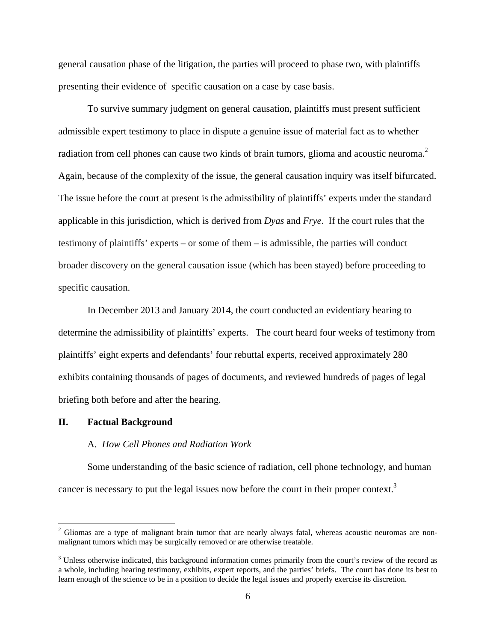general causation phase of the litigation, the parties will proceed to phase two, with plaintiffs presenting their evidence of specific causation on a case by case basis.

To survive summary judgment on general causation, plaintiffs must present sufficient admissible expert testimony to place in dispute a genuine issue of material fact as to whether radiation from cell phones can cause two kinds of brain tumors, glioma and acoustic neuroma.<sup>2</sup> Again, because of the complexity of the issue, the general causation inquiry was itself bifurcated. The issue before the court at present is the admissibility of plaintiffs' experts under the standard applicable in this jurisdiction, which is derived from *Dyas* and *Frye*. If the court rules that the testimony of plaintiffs' experts – or some of them – is admissible, the parties will conduct broader discovery on the general causation issue (which has been stayed) before proceeding to specific causation.

In December 2013 and January 2014, the court conducted an evidentiary hearing to determine the admissibility of plaintiffs' experts. The court heard four weeks of testimony from plaintiffs' eight experts and defendants' four rebuttal experts, received approximately 280 exhibits containing thousands of pages of documents, and reviewed hundreds of pages of legal briefing both before and after the hearing.

### **II. Factual Background**

1

### A. *How Cell Phones and Radiation Work*

Some understanding of the basic science of radiation, cell phone technology, and human cancer is necessary to put the legal issues now before the court in their proper context.<sup>3</sup>

 $2$  Gliomas are a type of malignant brain tumor that are nearly always fatal, whereas acoustic neuromas are nonmalignant tumors which may be surgically removed or are otherwise treatable.

 $3$  Unless otherwise indicated, this background information comes primarily from the court's review of the record as a whole, including hearing testimony, exhibits, expert reports, and the parties' briefs. The court has done its best to learn enough of the science to be in a position to decide the legal issues and properly exercise its discretion.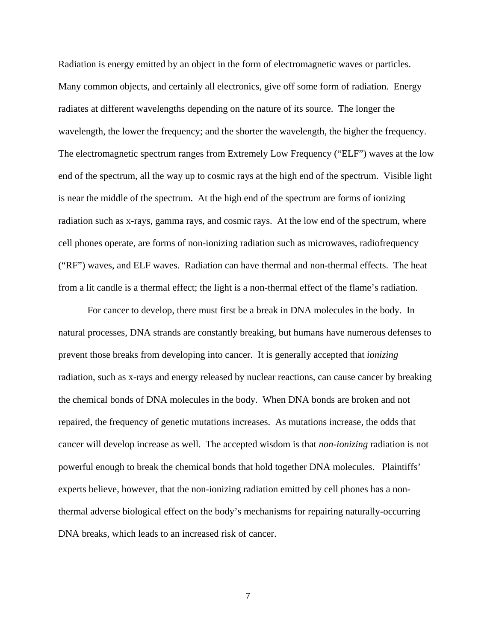Radiation is energy emitted by an object in the form of electromagnetic waves or particles. Many common objects, and certainly all electronics, give off some form of radiation. Energy radiates at different wavelengths depending on the nature of its source. The longer the wavelength, the lower the frequency; and the shorter the wavelength, the higher the frequency. The electromagnetic spectrum ranges from Extremely Low Frequency ("ELF") waves at the low end of the spectrum, all the way up to cosmic rays at the high end of the spectrum. Visible light is near the middle of the spectrum. At the high end of the spectrum are forms of ionizing radiation such as x-rays, gamma rays, and cosmic rays. At the low end of the spectrum, where cell phones operate, are forms of non-ionizing radiation such as microwaves, radiofrequency ("RF") waves, and ELF waves. Radiation can have thermal and non-thermal effects. The heat from a lit candle is a thermal effect; the light is a non-thermal effect of the flame's radiation.

For cancer to develop, there must first be a break in DNA molecules in the body. In natural processes, DNA strands are constantly breaking, but humans have numerous defenses to prevent those breaks from developing into cancer. It is generally accepted that *ionizing*  radiation, such as x-rays and energy released by nuclear reactions, can cause cancer by breaking the chemical bonds of DNA molecules in the body. When DNA bonds are broken and not repaired, the frequency of genetic mutations increases. As mutations increase, the odds that cancer will develop increase as well. The accepted wisdom is that *non-ionizing* radiation is not powerful enough to break the chemical bonds that hold together DNA molecules. Plaintiffs' experts believe, however, that the non-ionizing radiation emitted by cell phones has a nonthermal adverse biological effect on the body's mechanisms for repairing naturally-occurring DNA breaks, which leads to an increased risk of cancer.

7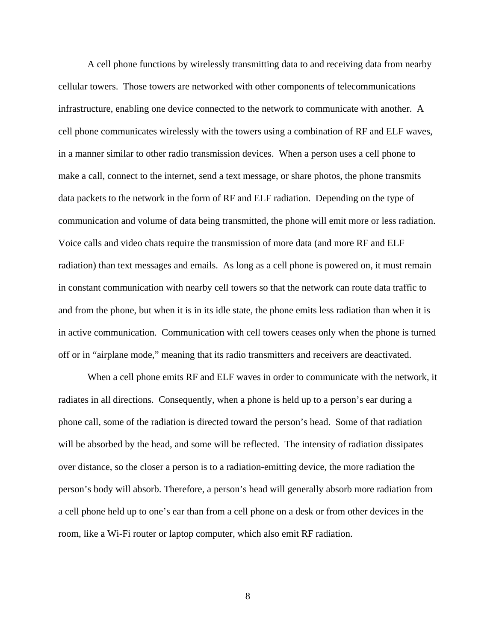A cell phone functions by wirelessly transmitting data to and receiving data from nearby cellular towers. Those towers are networked with other components of telecommunications infrastructure, enabling one device connected to the network to communicate with another. A cell phone communicates wirelessly with the towers using a combination of RF and ELF waves, in a manner similar to other radio transmission devices. When a person uses a cell phone to make a call, connect to the internet, send a text message, or share photos, the phone transmits data packets to the network in the form of RF and ELF radiation. Depending on the type of communication and volume of data being transmitted, the phone will emit more or less radiation. Voice calls and video chats require the transmission of more data (and more RF and ELF radiation) than text messages and emails. As long as a cell phone is powered on, it must remain in constant communication with nearby cell towers so that the network can route data traffic to and from the phone, but when it is in its idle state, the phone emits less radiation than when it is in active communication. Communication with cell towers ceases only when the phone is turned off or in "airplane mode," meaning that its radio transmitters and receivers are deactivated.

When a cell phone emits RF and ELF waves in order to communicate with the network, it radiates in all directions. Consequently, when a phone is held up to a person's ear during a phone call, some of the radiation is directed toward the person's head. Some of that radiation will be absorbed by the head, and some will be reflected. The intensity of radiation dissipates over distance, so the closer a person is to a radiation-emitting device, the more radiation the person's body will absorb. Therefore, a person's head will generally absorb more radiation from a cell phone held up to one's ear than from a cell phone on a desk or from other devices in the room, like a Wi-Fi router or laptop computer, which also emit RF radiation.

8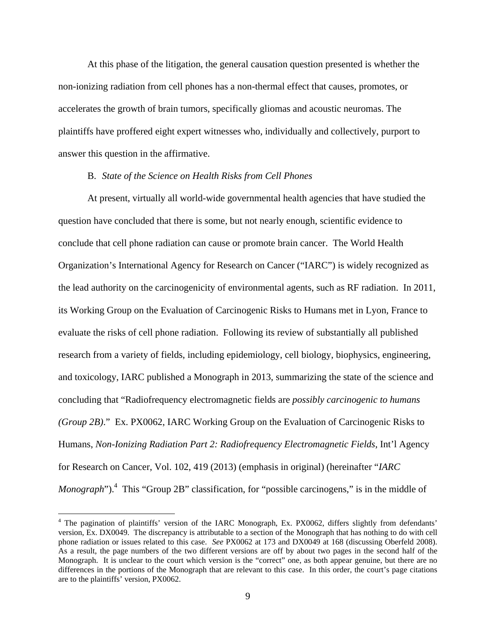At this phase of the litigation, the general causation question presented is whether the non-ionizing radiation from cell phones has a non-thermal effect that causes, promotes, or accelerates the growth of brain tumors, specifically gliomas and acoustic neuromas. The plaintiffs have proffered eight expert witnesses who, individually and collectively, purport to answer this question in the affirmative.

### B. *State of the Science on Health Risks from Cell Phones*

At present, virtually all world-wide governmental health agencies that have studied the question have concluded that there is some, but not nearly enough, scientific evidence to conclude that cell phone radiation can cause or promote brain cancer. The World Health Organization's International Agency for Research on Cancer ("IARC") is widely recognized as the lead authority on the carcinogenicity of environmental agents, such as RF radiation. In 2011, its Working Group on the Evaluation of Carcinogenic Risks to Humans met in Lyon, France to evaluate the risks of cell phone radiation. Following its review of substantially all published research from a variety of fields, including epidemiology, cell biology, biophysics, engineering, and toxicology, IARC published a Monograph in 2013, summarizing the state of the science and concluding that "Radiofrequency electromagnetic fields are *possibly carcinogenic to humans (Group 2B)*." Ex. PX0062, IARC Working Group on the Evaluation of Carcinogenic Risks to Humans, *Non-Ionizing Radiation Part 2: Radiofrequency Electromagnetic Fields*, Int'l Agency for Research on Cancer, Vol. 102, 419 (2013) (emphasis in original) (hereinafter "*IARC Monograph*").<sup>4</sup> This "Group 2B" classification, for "possible carcinogens," is in the middle of

<u>.</u>

<sup>&</sup>lt;sup>4</sup> The pagination of plaintiffs' version of the IARC Monograph, Ex. PX0062, differs slightly from defendants' version, Ex. DX0049. The discrepancy is attributable to a section of the Monograph that has nothing to do with cell phone radiation or issues related to this case. *See* PX0062 at 173 and DX0049 at 168 (discussing Oberfeld 2008). As a result, the page numbers of the two different versions are off by about two pages in the second half of the Monograph. It is unclear to the court which version is the "correct" one, as both appear genuine, but there are no differences in the portions of the Monograph that are relevant to this case. In this order, the court's page citations are to the plaintiffs' version, PX0062.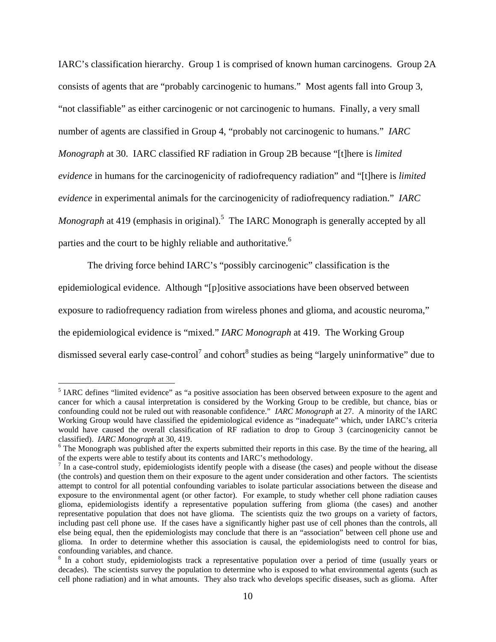IARC's classification hierarchy. Group 1 is comprised of known human carcinogens. Group 2A consists of agents that are "probably carcinogenic to humans." Most agents fall into Group 3, "not classifiable" as either carcinogenic or not carcinogenic to humans. Finally, a very small number of agents are classified in Group 4, "probably not carcinogenic to humans." *IARC Monograph* at 30. IARC classified RF radiation in Group 2B because "[t]here is *limited evidence* in humans for the carcinogenicity of radiofrequency radiation" and "[t]here is *limited evidence* in experimental animals for the carcinogenicity of radiofrequency radiation." *IARC Monograph* at 419 (emphasis in original).<sup>5</sup> The IARC Monograph is generally accepted by all parties and the court to be highly reliable and authoritative.<sup>6</sup>

The driving force behind IARC's "possibly carcinogenic" classification is the epidemiological evidence. Although "[p]ositive associations have been observed between exposure to radiofrequency radiation from wireless phones and glioma, and acoustic neuroma," the epidemiological evidence is "mixed." *IARC Monograph* at 419. The Working Group dismissed several early case-control<sup>7</sup> and cohort<sup>8</sup> studies as being "largely uninformative" due to

<sup>&</sup>lt;sup>5</sup> IARC defines "limited evidence" as "a positive association has been observed between exposure to the agent and cancer for which a causal interpretation is considered by the Working Group to be credible, but chance, bias or confounding could not be ruled out with reasonable confidence." *IARC Monograph* at 27. A minority of the IARC Working Group would have classified the epidemiological evidence as "inadequate" which, under IARC's criteria would have caused the overall classification of RF radiation to drop to Group 3 (carcinogenicity cannot be classified). *IARC Monograph* at 30, 419. 6

 $6$  The Monograph was published after the experts submitted their reports in this case. By the time of the hearing, all of the experts were able to testify about its contents and IARC's methodology.

 $<sup>7</sup>$  In a case-control study, epidemiologists identify people with a disease (the cases) and people without the disease</sup> (the controls) and question them on their exposure to the agent under consideration and other factors. The scientists attempt to control for all potential confounding variables to isolate particular associations between the disease and exposure to the environmental agent (or other factor). For example, to study whether cell phone radiation causes glioma, epidemiologists identify a representative population suffering from glioma (the cases) and another representative population that does not have glioma. The scientists quiz the two groups on a variety of factors, including past cell phone use. If the cases have a significantly higher past use of cell phones than the controls, all else being equal, then the epidemiologists may conclude that there is an "association" between cell phone use and glioma. In order to determine whether this association is causal, the epidemiologists need to control for bias, confounding variables, and chance.

<sup>&</sup>lt;sup>8</sup> In a cohort study, epidemiologists track a representative population over a period of time (usually years or decades). The scientists survey the population to determine who is exposed to what environmental agents (such as cell phone radiation) and in what amounts. They also track who develops specific diseases, such as glioma. After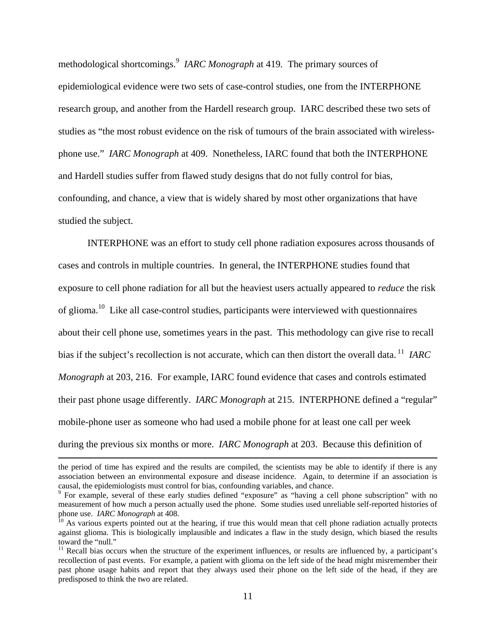methodological shortcomings.<sup>9</sup> *IARC Monograph* at 419. The primary sources of epidemiological evidence were two sets of case-control studies, one from the INTERPHONE research group, and another from the Hardell research group. IARC described these two sets of studies as "the most robust evidence on the risk of tumours of the brain associated with wirelessphone use." *IARC Monograph* at 409. Nonetheless, IARC found that both the INTERPHONE and Hardell studies suffer from flawed study designs that do not fully control for bias, confounding, and chance, a view that is widely shared by most other organizations that have studied the subject.

INTERPHONE was an effort to study cell phone radiation exposures across thousands of cases and controls in multiple countries. In general, the INTERPHONE studies found that exposure to cell phone radiation for all but the heaviest users actually appeared to *reduce* the risk of glioma.10 Like all case-control studies, participants were interviewed with questionnaires about their cell phone use, sometimes years in the past. This methodology can give rise to recall bias if the subject's recollection is not accurate, which can then distort the overall data.<sup>11</sup> *IARC Monograph* at 203, 216. For example, IARC found evidence that cases and controls estimated their past phone usage differently. *IARC Monograph* at 215. INTERPHONE defined a "regular" mobile-phone user as someone who had used a mobile phone for at least one call per week during the previous six months or more. *IARC Monograph* at 203. Because this definition of

the period of time has expired and the results are compiled, the scientists may be able to identify if there is any association between an environmental exposure and disease incidence. Again, to determine if an association is causal, the epidemiologists must control for bias, confounding variables, and chance.

<sup>&</sup>lt;sup>9</sup> For example, several of these early studies defined "exposure" as "having a cell phone subscription" with no measurement of how much a person actually used the phone. Some studies used unreliable self-reported histories of phone use. *IARC Monograph* at 408.<br><sup>10</sup> As various experts pointed out at the hearing, if true this would mean that cell phone radiation actually protects

against glioma. This is biologically implausible and indicates a flaw in the study design, which biased the results toward the "null."

 $11$  Recall bias occurs when the structure of the experiment influences, or results are influenced by, a participant's recollection of past events. For example, a patient with glioma on the left side of the head might misremember their past phone usage habits and report that they always used their phone on the left side of the head, if they are predisposed to think the two are related.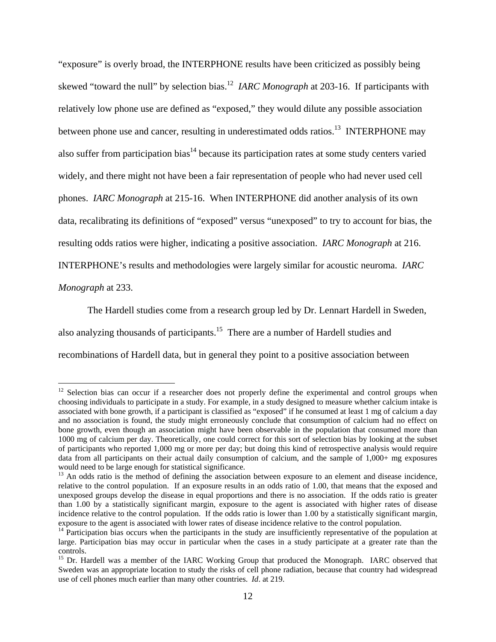"exposure" is overly broad, the INTERPHONE results have been criticized as possibly being skewed "toward the null" by selection bias.<sup>12</sup> *IARC Monograph* at 203-16. If participants with relatively low phone use are defined as "exposed," they would dilute any possible association between phone use and cancer, resulting in underestimated odds ratios.<sup>13</sup> INTERPHONE may also suffer from participation bias<sup> $14$ </sup> because its participation rates at some study centers varied widely, and there might not have been a fair representation of people who had never used cell phones. *IARC Monograph* at 215-16. When INTERPHONE did another analysis of its own data, recalibrating its definitions of "exposed" versus "unexposed" to try to account for bias, the resulting odds ratios were higher, indicating a positive association. *IARC Monograph* at 216. INTERPHONE's results and methodologies were largely similar for acoustic neuroma. *IARC Monograph* at 233.

The Hardell studies come from a research group led by Dr. Lennart Hardell in Sweden, also analyzing thousands of participants.15 There are a number of Hardell studies and recombinations of Hardell data, but in general they point to a positive association between

<sup>&</sup>lt;sup>12</sup> Selection bias can occur if a researcher does not properly define the experimental and control groups when choosing individuals to participate in a study. For example, in a study designed to measure whether calcium intake is associated with bone growth, if a participant is classified as "exposed" if he consumed at least 1 mg of calcium a day and no association is found, the study might erroneously conclude that consumption of calcium had no effect on bone growth, even though an association might have been observable in the population that consumed more than 1000 mg of calcium per day. Theoretically, one could correct for this sort of selection bias by looking at the subset of participants who reported 1,000 mg or more per day; but doing this kind of retrospective analysis would require data from all participants on their actual daily consumption of calcium, and the sample of 1,000+ mg exposures would need to be large enough for statistical significance.<br><sup>13</sup> An odds ratio is the method of defining the association between exposure to an element and disease incidence,

relative to the control population. If an exposure results in an odds ratio of 1.00, that means that the exposed and unexposed groups develop the disease in equal proportions and there is no association. If the odds ratio is greater than 1.00 by a statistically significant margin, exposure to the agent is associated with higher rates of disease incidence relative to the control population. If the odds ratio is lower than 1.00 by a statistically significant margin, exposure to the agent is associated with lower rates of disease incidence relative to the control po

 $14$  Participation bias occurs when the participants in the study are insufficiently representative of the population at large. Participation bias may occur in particular when the cases in a study participate at a greater rate than the controls.

<sup>&</sup>lt;sup>15</sup> Dr. Hardell was a member of the IARC Working Group that produced the Monograph. IARC observed that Sweden was an appropriate location to study the risks of cell phone radiation, because that country had widespread use of cell phones much earlier than many other countries. *Id*. at 219.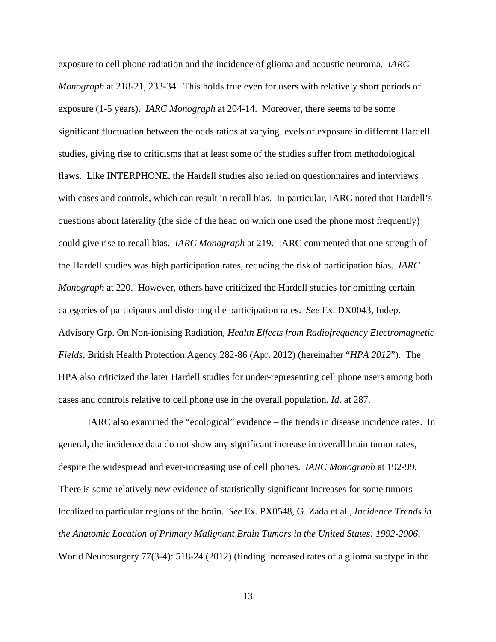exposure to cell phone radiation and the incidence of glioma and acoustic neuroma. *IARC Monograph* at 218-21, 233-34. This holds true even for users with relatively short periods of exposure (1-5 years). *IARC Monograph* at 204-14. Moreover, there seems to be some significant fluctuation between the odds ratios at varying levels of exposure in different Hardell studies, giving rise to criticisms that at least some of the studies suffer from methodological flaws. Like INTERPHONE, the Hardell studies also relied on questionnaires and interviews with cases and controls, which can result in recall bias. In particular, IARC noted that Hardell's questions about laterality (the side of the head on which one used the phone most frequently) could give rise to recall bias. *IARC Monograph* at 219. IARC commented that one strength of the Hardell studies was high participation rates, reducing the risk of participation bias. *IARC Monograph* at 220. However, others have criticized the Hardell studies for omitting certain categories of participants and distorting the participation rates. *See* Ex. DX0043, Indep. Advisory Grp. On Non-ionising Radiation, *Health Effects from Radiofrequency Electromagnetic Fields*, British Health Protection Agency 282-86 (Apr. 2012) (hereinafter "*HPA 2012*"). The HPA also criticized the later Hardell studies for under-representing cell phone users among both cases and controls relative to cell phone use in the overall population. *Id*. at 287.

IARC also examined the "ecological" evidence – the trends in disease incidence rates. In general, the incidence data do not show any significant increase in overall brain tumor rates, despite the widespread and ever-increasing use of cell phones. *IARC Monograph* at 192-99. There is some relatively new evidence of statistically significant increases for some tumors localized to particular regions of the brain. *See* Ex. PX0548, G. Zada et al., *Incidence Trends in the Anatomic Location of Primary Malignant Brain Tumors in the United States: 1992-2006*, World Neurosurgery 77(3-4): 518-24 (2012) (finding increased rates of a glioma subtype in the

13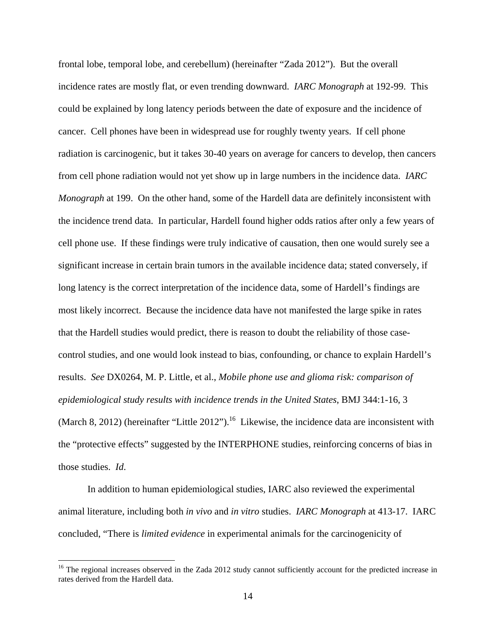frontal lobe, temporal lobe, and cerebellum) (hereinafter "Zada 2012"). But the overall incidence rates are mostly flat, or even trending downward. *IARC Monograph* at 192-99. This could be explained by long latency periods between the date of exposure and the incidence of cancer. Cell phones have been in widespread use for roughly twenty years. If cell phone radiation is carcinogenic, but it takes 30-40 years on average for cancers to develop, then cancers from cell phone radiation would not yet show up in large numbers in the incidence data. *IARC Monograph* at 199. On the other hand, some of the Hardell data are definitely inconsistent with the incidence trend data. In particular, Hardell found higher odds ratios after only a few years of cell phone use. If these findings were truly indicative of causation, then one would surely see a significant increase in certain brain tumors in the available incidence data; stated conversely, if long latency is the correct interpretation of the incidence data, some of Hardell's findings are most likely incorrect. Because the incidence data have not manifested the large spike in rates that the Hardell studies would predict, there is reason to doubt the reliability of those casecontrol studies, and one would look instead to bias, confounding, or chance to explain Hardell's results. *See* DX0264, M. P. Little, et al., *Mobile phone use and glioma risk: comparison of epidemiological study results with incidence trends in the United States*, BMJ 344:1-16, 3 (March 8, 2012) (hereinafter "Little 2012").<sup>16</sup> Likewise, the incidence data are inconsistent with the "protective effects" suggested by the INTERPHONE studies, reinforcing concerns of bias in those studies. *Id*.

In addition to human epidemiological studies, IARC also reviewed the experimental animal literature, including both *in vivo* and *in vitro* studies. *IARC Monograph* at 413-17. IARC concluded, "There is *limited evidence* in experimental animals for the carcinogenicity of

<sup>&</sup>lt;sup>16</sup> The regional increases observed in the Zada 2012 study cannot sufficiently account for the predicted increase in rates derived from the Hardell data.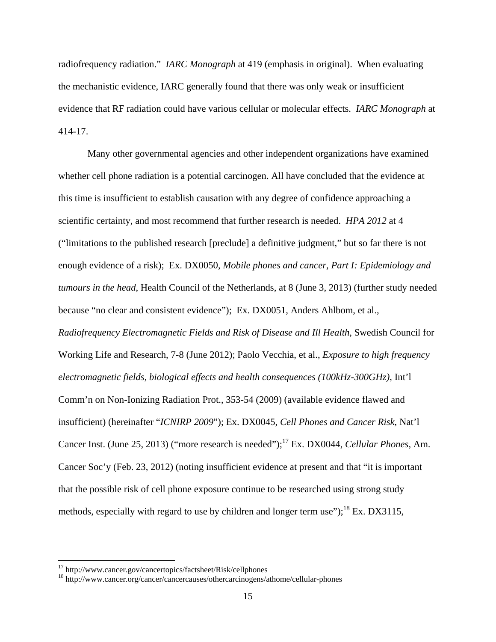radiofrequency radiation." *IARC Monograph* at 419 (emphasis in original). When evaluating the mechanistic evidence, IARC generally found that there was only weak or insufficient evidence that RF radiation could have various cellular or molecular effects. *IARC Monograph* at 414-17.

Many other governmental agencies and other independent organizations have examined whether cell phone radiation is a potential carcinogen. All have concluded that the evidence at this time is insufficient to establish causation with any degree of confidence approaching a scientific certainty, and most recommend that further research is needed. *HPA 2012* at 4 ("limitations to the published research [preclude] a definitive judgment," but so far there is not enough evidence of a risk); Ex. DX0050, *Mobile phones and cancer, Part I: Epidemiology and tumours in the head*, Health Council of the Netherlands, at 8 (June 3, 2013) (further study needed because "no clear and consistent evidence"); Ex. DX0051, Anders Ahlbom, et al., *Radiofrequency Electromagnetic Fields and Risk of Disease and Ill Health*, Swedish Council for Working Life and Research, 7-8 (June 2012); Paolo Vecchia, et al., *Exposure to high frequency electromagnetic fields, biological effects and health consequences (100kHz-300GHz)*, Int'l Comm'n on Non-Ionizing Radiation Prot., 353-54 (2009) (available evidence flawed and insufficient) (hereinafter "*ICNIRP 2009*"); Ex. DX0045, *Cell Phones and Cancer Risk*, Nat'l Cancer Inst. (June 25, 2013) ("more research is needed");17 Ex. DX0044, *Cellular Phones*, Am. Cancer Soc'y (Feb. 23, 2012) (noting insufficient evidence at present and that "it is important that the possible risk of cell phone exposure continue to be researched using strong study methods, especially with regard to use by children and longer term use");<sup>18</sup> Ex. DX3115,

<sup>&</sup>lt;sup>17</sup> http://www.cancer.gov/cancertopics/factsheet/Risk/cellphones<br><sup>18</sup> http://www.cancer.org/cancer/cancercauses/othercarcinogens/athome/cellular-phones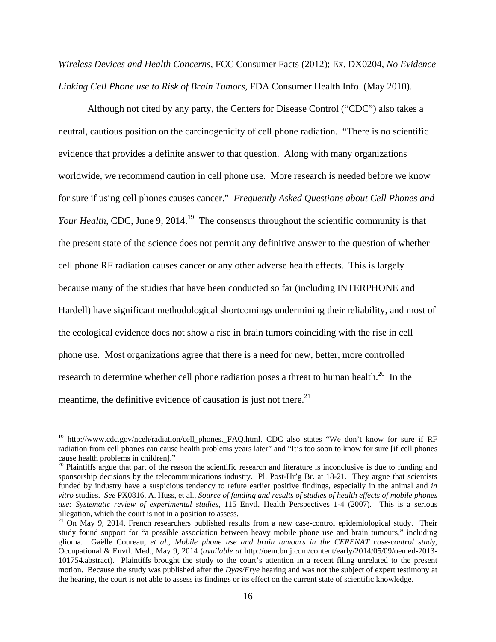*Wireless Devices and Health Concerns*, FCC Consumer Facts (2012); Ex. DX0204, *No Evidence Linking Cell Phone use to Risk of Brain Tumors*, FDA Consumer Health Info. (May 2010).

Although not cited by any party, the Centers for Disease Control ("CDC") also takes a neutral, cautious position on the carcinogenicity of cell phone radiation. "There is no scientific evidence that provides a definite answer to that question. Along with many organizations worldwide, we recommend caution in cell phone use. More research is needed before we know for sure if using cell phones causes cancer." *Frequently Asked Questions about Cell Phones and Your Health*, CDC, June 9, 2014.<sup>19</sup> The consensus throughout the scientific community is that the present state of the science does not permit any definitive answer to the question of whether cell phone RF radiation causes cancer or any other adverse health effects. This is largely because many of the studies that have been conducted so far (including INTERPHONE and Hardell) have significant methodological shortcomings undermining their reliability, and most of the ecological evidence does not show a rise in brain tumors coinciding with the rise in cell phone use. Most organizations agree that there is a need for new, better, more controlled research to determine whether cell phone radiation poses a threat to human health.<sup>20</sup> In the meantime, the definitive evidence of causation is just not there. $21$ 

<sup>&</sup>lt;sup>19</sup> http://www.cdc.gov/nceh/radiation/cell\_phones.\_FAQ.html. CDC also states "We don't know for sure if RF radiation from cell phones can cause health problems years later" and "It's too soon to know for sure [if cell phones cause health problems in children]." 20 Plaintiffs argue that part of the reason the scientific research and literature is inconclusive is due to funding and

sponsorship decisions by the telecommunications industry. Pl. Post-Hr'g Br. at 18-21. They argue that scientists funded by industry have a suspicious tendency to refute earlier positive findings, especially in the animal and *in vitro* studies. *See* PX0816, A. Huss, et al., *Source of funding and results of studies of health effects of mobile phones use: Systematic review of experimental studies*, 115 Envtl. Health Perspectives 1-4 (2007). This is a serious allegation, which the court is not in a position to assess.

 $^{21}$  On May 9, 2014, French researchers published results from a new case-control epidemiological study. Their study found support for "a possible association between heavy mobile phone use and brain tumours," including glioma. Gaëlle Coureau, *et al.*, *Mobile phone use and brain tumours in the CERENAT case-control study*, Occupational & Envtl. Med., May 9, 2014 (*available at* http://oem.bmj.com/content/early/2014/05/09/oemed-2013- 101754.abstract). Plaintiffs brought the study to the court's attention in a recent filing unrelated to the present motion. Because the study was published after the *Dyas/Frye* hearing and was not the subject of expert testimony at the hearing, the court is not able to assess its findings or its effect on the current state of scientific knowledge.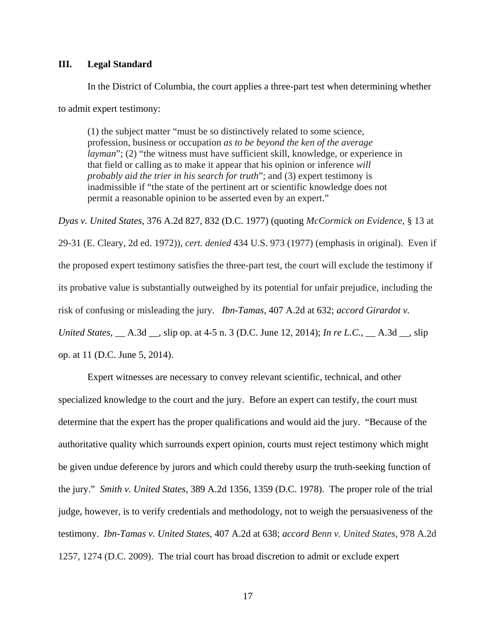### **III. Legal Standard**

 In the District of Columbia, the court applies a three-part test when determining whether to admit expert testimony:

(1) the subject matter "must be so distinctively related to some science, profession, business or occupation *as to be beyond the ken of the average layman*"; (2) "the witness must have sufficient skill, knowledge, or experience in that field or calling as to make it appear that his opinion or inference *will probably aid the trier in his search for truth*"; and (3) expert testimony is inadmissible if "the state of the pertinent art or scientific knowledge does not permit a reasonable opinion to be asserted even by an expert."

*Dyas v. United States*, 376 A.2d 827, 832 (D.C. 1977) (quoting *McCormick on Evidence*, § 13 at 29-31 (E. Cleary, 2d ed. 1972)), *cert. denied* 434 U.S. 973 (1977) (emphasis in original). Even if the proposed expert testimony satisfies the three-part test, the court will exclude the testimony if its probative value is substantially outweighed by its potential for unfair prejudice, including the risk of confusing or misleading the jury. *Ibn-Tamas*, 407 A.2d at 632; *accord Girardot v. United States*, \_\_ A.3d \_\_, slip op. at 4-5 n. 3 (D.C. June 12, 2014); *In re L.C.*, \_\_ A.3d \_\_, slip op. at 11 (D.C. June 5, 2014).

Expert witnesses are necessary to convey relevant scientific, technical, and other specialized knowledge to the court and the jury. Before an expert can testify, the court must determine that the expert has the proper qualifications and would aid the jury. "Because of the authoritative quality which surrounds expert opinion, courts must reject testimony which might be given undue deference by jurors and which could thereby usurp the truth-seeking function of the jury." *Smith v. United States*, 389 A.2d 1356, 1359 (D.C. 1978). The proper role of the trial judge, however, is to verify credentials and methodology, not to weigh the persuasiveness of the testimony. *Ibn-Tamas v. United States*, 407 A.2d at 638; *accord Benn v. United States*, 978 A.2d 1257, 1274 (D.C. 2009). The trial court has broad discretion to admit or exclude expert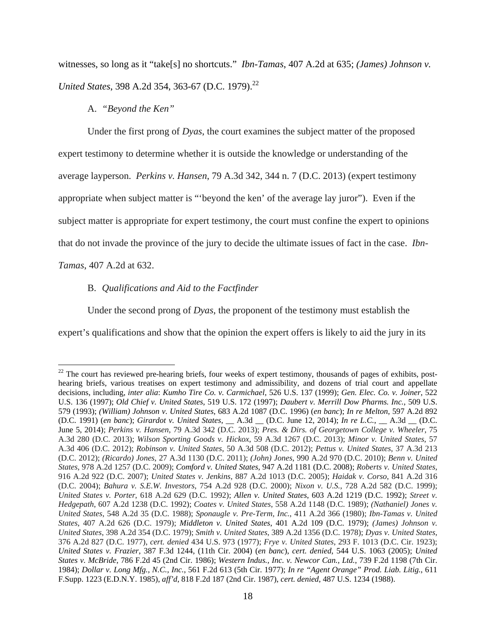witnesses, so long as it "take[s] no shortcuts." *Ibn-Tamas*, 407 A.2d at 635; *(James) Johnson v. United States*, 398 A.2d 354, 363-67 (D.C. 1979).<sup>22</sup>

A. *"Beyond the Ken"*

1

Under the first prong of *Dyas*, the court examines the subject matter of the proposed expert testimony to determine whether it is outside the knowledge or understanding of the average layperson. *Perkins v. Hansen*, 79 A.3d 342, 344 n. 7 (D.C. 2013) (expert testimony appropriate when subject matter is "'beyond the ken' of the average lay juror"). Even if the subject matter is appropriate for expert testimony, the court must confine the expert to opinions that do not invade the province of the jury to decide the ultimate issues of fact in the case. *Ibn-Tamas*, 407 A.2d at 632.

B. *Qualifications and Aid to the Factfinder*

Under the second prong of *Dyas*, the proponent of the testimony must establish the

expert's qualifications and show that the opinion the expert offers is likely to aid the jury in its

<sup>&</sup>lt;sup>22</sup> The court has reviewed pre-hearing briefs, four weeks of expert testimony, thousands of pages of exhibits, posthearing briefs, various treatises on expert testimony and admissibility, and dozens of trial court and appellate decisions, including, *inter alia*: *Kumho Tire Co. v. Carmichael*, 526 U.S. 137 (1999); *Gen. Elec. Co. v. Joiner*, 522 U.S. 136 (1997); *Old Chief v. United States*, 519 U.S. 172 (1997); *Daubert v. Merrill Dow Pharms. Inc.*, 509 U.S. 579 (1993); *(William) Johnson v. United States*, 683 A.2d 1087 (D.C. 1996) (*en banc*); *In re Melton*, 597 A.2d 892 (D.C. 1991) (*en banc*); *Girardot v. United States*, \_\_ A.3d \_\_ (D.C. June 12, 2014); *In re L.C.*, \_\_ A.3d \_\_ (D.C. June 5, 2014); *Perkins v. Hansen*, 79 A.3d 342 (D.C. 2013); *Pres. & Dirs. of Georgetown College v. Wheeler*, 75 A.3d 280 (D.C. 2013); *Wilson Sporting Goods v. Hickox*, 59 A.3d 1267 (D.C. 2013); *Minor v. United States*, 57 A.3d 406 (D.C. 2012); *Robinson v. United States*, 50 A.3d 508 (D.C. 2012); *Pettus v. United States*, 37 A.3d 213 (D.C. 2012); *(Ricardo) Jones*, 27 A.3d 1130 (D.C. 2011); *(John) Jones*, 990 A.2d 970 (D.C. 2010); *Benn v. United States*, 978 A.2d 1257 (D.C. 2009); *Comford v. United States*, 947 A.2d 1181 (D.C. 2008); *Roberts v. United States*, 916 A.2d 922 (D.C. 2007); *United States v. Jenkins*, 887 A.2d 1013 (D.C. 2005); *Haidak v. Corso*, 841 A.2d 316 (D.C. 2004); *Bahura v. S.E.W. Investors*, 754 A.2d 928 (D.C. 2000); *Nixon v. U.S.*, 728 A.2d 582 (D.C. 1999); *United States v. Porter*, 618 A.2d 629 (D.C. 1992); *Allen v. United States*, 603 A.2d 1219 (D.C. 1992); *Street v. Hedgepath*, 607 A.2d 1238 (D.C. 1992); *Coates v. United States*, 558 A.2d 1148 (D.C. 1989); *(Nathaniel) Jones v. United States*, 548 A.2d 35 (D.C. 1988); *Sponaugle v. Pre-Term, Inc.*, 411 A.2d 366 (1980); *Ibn-Tamas v. United States*, 407 A.2d 626 (D.C. 1979); *Middleton v. United States*, 401 A.2d 109 (D.C. 1979); *(James) Johnson v. United States*, 398 A.2d 354 (D.C. 1979); *Smith v. United States*, 389 A.2d 1356 (D.C. 1978); *Dyas v. United States*, 376 A.2d 827 (D.C. 1977), *cert. denied* 434 U.S. 973 (1977); *Frye v. United States*, 293 F. 1013 (D.C. Cir. 1923); *United States v. Frazier*, 387 F.3d 1244, (11th Cir. 2004) (*en banc*), *cert. denied*, 544 U.S. 1063 (2005); *United States v. McBride*, 786 F.2d 45 (2nd Cir. 1986); *Western Indus., Inc. v. Newcor Can., Ltd.*, 739 F.2d 1198 (7th Cir. 1984); *Dollar v. Long Mfg., N.C., Inc.*, 561 F.2d 613 (5th Cir. 1977); *In re "Agent Orange" Prod. Liab. Litig.*, 611 F.Supp. 1223 (E.D.N.Y. 1985), *aff'd*, 818 F.2d 187 (2nd Cir. 1987), *cert. denied*, 487 U.S. 1234 (1988).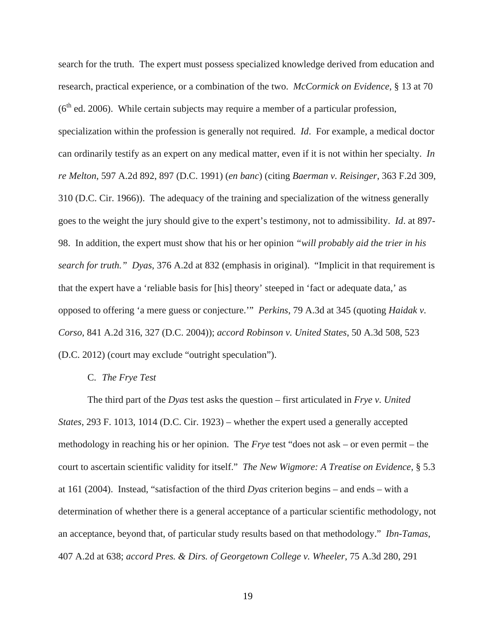search for the truth. The expert must possess specialized knowledge derived from education and research, practical experience, or a combination of the two. *McCormick on Evidence*, § 13 at 70  $(6<sup>th</sup>$  ed. 2006). While certain subjects may require a member of a particular profession, specialization within the profession is generally not required. *Id*. For example, a medical doctor can ordinarily testify as an expert on any medical matter, even if it is not within her specialty. *In re Melton*, 597 A.2d 892, 897 (D.C. 1991) (*en banc*) (citing *Baerman v. Reisinger*, 363 F.2d 309, 310 (D.C. Cir. 1966)). The adequacy of the training and specialization of the witness generally goes to the weight the jury should give to the expert's testimony, not to admissibility. *Id*. at 897- 98. In addition, the expert must show that his or her opinion *"will probably aid the trier in his search for truth." Dyas*, 376 A.2d at 832 (emphasis in original). "Implicit in that requirement is that the expert have a 'reliable basis for [his] theory' steeped in 'fact or adequate data,' as opposed to offering 'a mere guess or conjecture.'" *Perkins*, 79 A.3d at 345 (quoting *Haidak v. Corso*, 841 A.2d 316, 327 (D.C. 2004)); *accord Robinson v. United States*, 50 A.3d 508, 523 (D.C. 2012) (court may exclude "outright speculation").

## C. *The Frye Test*

The third part of the *Dyas* test asks the question – first articulated in *Frye v. United States*, 293 F. 1013, 1014 (D.C. Cir. 1923) – whether the expert used a generally accepted methodology in reaching his or her opinion. The *Frye* test "does not ask – or even permit – the court to ascertain scientific validity for itself." *The New Wigmore: A Treatise on Evidence*, § 5.3 at 161 (2004). Instead, "satisfaction of the third *Dyas* criterion begins – and ends – with a determination of whether there is a general acceptance of a particular scientific methodology, not an acceptance, beyond that, of particular study results based on that methodology." *Ibn-Tamas*, 407 A.2d at 638; *accord Pres. & Dirs. of Georgetown College v. Wheeler*, 75 A.3d 280, 291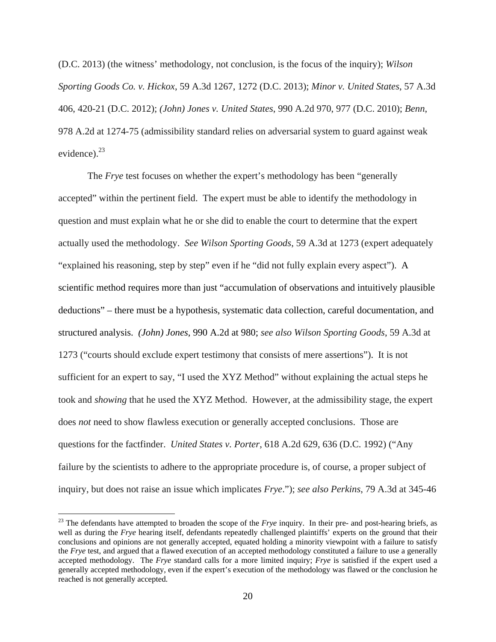(D.C. 2013) (the witness' methodology, not conclusion, is the focus of the inquiry); *Wilson Sporting Goods Co. v. Hickox*, 59 A.3d 1267, 1272 (D.C. 2013); *Minor v. United States*, 57 A.3d 406, 420-21 (D.C. 2012); *(John) Jones v. United States*, 990 A.2d 970, 977 (D.C. 2010); *Benn*, 978 A.2d at 1274-75 (admissibility standard relies on adversarial system to guard against weak evidence). $^{23}$ 

The *Frye* test focuses on whether the expert's methodology has been "generally accepted" within the pertinent field. The expert must be able to identify the methodology in question and must explain what he or she did to enable the court to determine that the expert actually used the methodology. *See Wilson Sporting Goods*, 59 A.3d at 1273 (expert adequately "explained his reasoning, step by step" even if he "did not fully explain every aspect"). A scientific method requires more than just "accumulation of observations and intuitively plausible deductions" – there must be a hypothesis, systematic data collection, careful documentation, and structured analysis. *(John) Jones*, 990 A.2d at 980; *see also Wilson Sporting Goods*, 59 A.3d at 1273 ("courts should exclude expert testimony that consists of mere assertions"). It is not sufficient for an expert to say, "I used the XYZ Method" without explaining the actual steps he took and *showing* that he used the XYZ Method. However, at the admissibility stage, the expert does *not* need to show flawless execution or generally accepted conclusions. Those are questions for the factfinder. *United States v. Porter*, 618 A.2d 629, 636 (D.C. 1992) ("Any failure by the scientists to adhere to the appropriate procedure is, of course, a proper subject of inquiry, but does not raise an issue which implicates *Frye*."); *see also Perkins*, 79 A.3d at 345-46

 $^{23}$  The defendants have attempted to broaden the scope of the *Frye* inquiry. In their pre- and post-hearing briefs, as well as during the *Frye* hearing itself, defendants repeatedly challenged plaintiffs' experts on the ground that their conclusions and opinions are not generally accepted, equated holding a minority viewpoint with a failure to satisfy the *Frye* test, and argued that a flawed execution of an accepted methodology constituted a failure to use a generally accepted methodology. The *Frye* standard calls for a more limited inquiry; *Frye* is satisfied if the expert used a generally accepted methodology, even if the expert's execution of the methodology was flawed or the conclusion he reached is not generally accepted.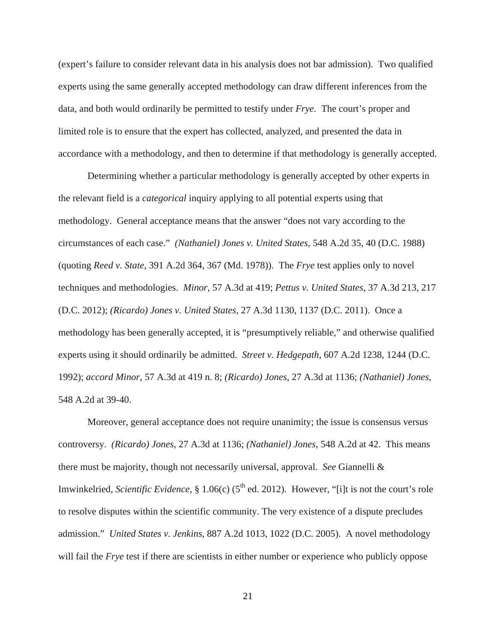(expert's failure to consider relevant data in his analysis does not bar admission). Two qualified experts using the same generally accepted methodology can draw different inferences from the data, and both would ordinarily be permitted to testify under *Frye*. The court's proper and limited role is to ensure that the expert has collected, analyzed, and presented the data in accordance with a methodology, and then to determine if that methodology is generally accepted.

Determining whether a particular methodology is generally accepted by other experts in the relevant field is a *categorical* inquiry applying to all potential experts using that methodology. General acceptance means that the answer "does not vary according to the circumstances of each case." *(Nathaniel) Jones v. United States*, 548 A.2d 35, 40 (D.C. 1988) (quoting *Reed v. State*, 391 A.2d 364, 367 (Md. 1978)). The *Frye* test applies only to novel techniques and methodologies. *Minor*, 57 A.3d at 419; *Pettus v. United States*, 37 A.3d 213, 217 (D.C. 2012); *(Ricardo) Jones v. United States*, 27 A.3d 1130, 1137 (D.C. 2011). Once a methodology has been generally accepted, it is "presumptively reliable," and otherwise qualified experts using it should ordinarily be admitted. *Street v. Hedgepath*, 607 A.2d 1238, 1244 (D.C. 1992); *accord Minor*, 57 A.3d at 419 n. 8; *(Ricardo) Jones*, 27 A.3d at 1136; *(Nathaniel) Jones*, 548 A.2d at 39-40.

Moreover, general acceptance does not require unanimity; the issue is consensus versus controversy. *(Ricardo) Jones*, 27 A.3d at 1136; *(Nathaniel) Jones*, 548 A.2d at 42. This means there must be majority, though not necessarily universal, approval. *See* Giannelli & Imwinkelried, *Scientific Evidence*, § 1.06(c) (5<sup>th</sup> ed. 2012). However, "[i]t is not the court's role to resolve disputes within the scientific community. The very existence of a dispute precludes admission." *United States v. Jenkins*, 887 A.2d 1013, 1022 (D.C. 2005). A novel methodology will fail the *Frye* test if there are scientists in either number or experience who publicly oppose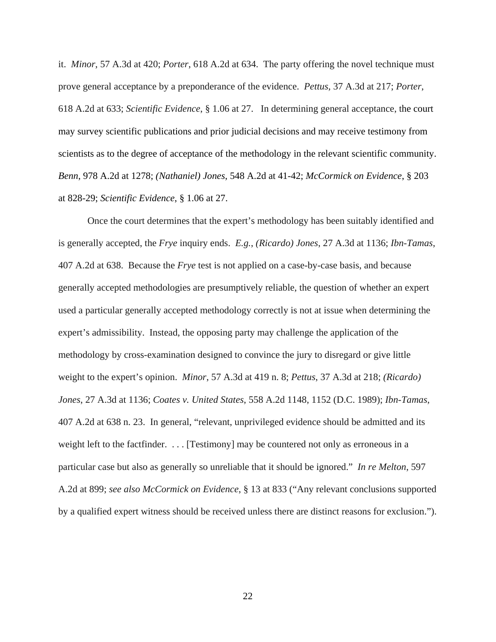it. *Minor*, 57 A.3d at 420; *Porter*, 618 A.2d at 634. The party offering the novel technique must prove general acceptance by a preponderance of the evidence. *Pettus,* 37 A.3d at 217; *Porter*, 618 A.2d at 633; *Scientific Evidence*, § 1.06 at 27. In determining general acceptance, the court may survey scientific publications and prior judicial decisions and may receive testimony from scientists as to the degree of acceptance of the methodology in the relevant scientific community. *Benn*, 978 A.2d at 1278; *(Nathaniel) Jones*, 548 A.2d at 41-42; *McCormick on Evidence*, § 203 at 828-29; *Scientific Evidence*, § 1.06 at 27.

Once the court determines that the expert's methodology has been suitably identified and is generally accepted, the *Frye* inquiry ends. *E.g.*, *(Ricardo) Jones*, 27 A.3d at 1136; *Ibn-Tamas*, 407 A.2d at 638. Because the *Frye* test is not applied on a case-by-case basis, and because generally accepted methodologies are presumptively reliable, the question of whether an expert used a particular generally accepted methodology correctly is not at issue when determining the expert's admissibility. Instead, the opposing party may challenge the application of the methodology by cross-examination designed to convince the jury to disregard or give little weight to the expert's opinion. *Minor*, 57 A.3d at 419 n. 8; *Pettus*, 37 A.3d at 218; *(Ricardo) Jones*, 27 A.3d at 1136; *Coates v. United States*, 558 A.2d 1148, 1152 (D.C. 1989); *Ibn-Tamas*, 407 A.2d at 638 n. 23. In general, "relevant, unprivileged evidence should be admitted and its weight left to the factfinder. . . . [Testimony] may be countered not only as erroneous in a particular case but also as generally so unreliable that it should be ignored." *In re Melton*, 597 A.2d at 899; *see also McCormick on Evidence*, § 13 at 833 ("Any relevant conclusions supported by a qualified expert witness should be received unless there are distinct reasons for exclusion.").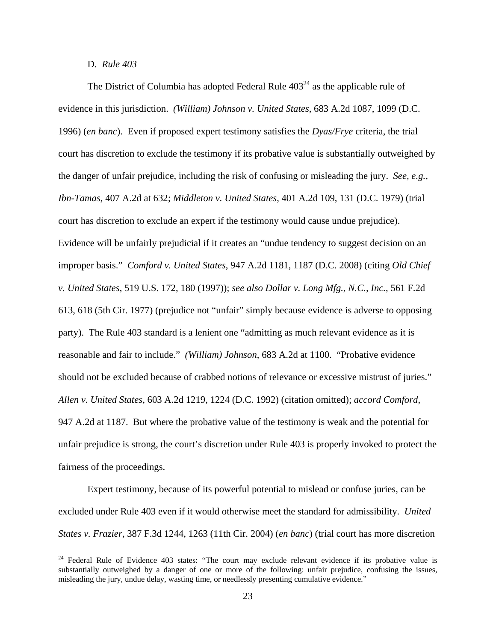D. *Rule 403* 

 $\overline{a}$ 

The District of Columbia has adopted Federal Rule  $403^{24}$  as the applicable rule of evidence in this jurisdiction. *(William) Johnson v. United States*, 683 A.2d 1087, 1099 (D.C. 1996) (*en banc*). Even if proposed expert testimony satisfies the *Dyas/Frye* criteria, the trial court has discretion to exclude the testimony if its probative value is substantially outweighed by the danger of unfair prejudice, including the risk of confusing or misleading the jury. *See, e.g.*, *Ibn-Tamas*, 407 A.2d at 632; *Middleton v. United States*, 401 A.2d 109, 131 (D.C. 1979) (trial court has discretion to exclude an expert if the testimony would cause undue prejudice). Evidence will be unfairly prejudicial if it creates an "undue tendency to suggest decision on an improper basis." *Comford v. United States*, 947 A.2d 1181, 1187 (D.C. 2008) (citing *Old Chief v. United States*, 519 U.S. 172, 180 (1997)); *see also Dollar v. Long Mfg., N.C., Inc.*, 561 F.2d 613, 618 (5th Cir. 1977) (prejudice not "unfair" simply because evidence is adverse to opposing party). The Rule 403 standard is a lenient one "admitting as much relevant evidence as it is reasonable and fair to include." *(William) Johnson*, 683 A.2d at 1100. "Probative evidence should not be excluded because of crabbed notions of relevance or excessive mistrust of juries." *Allen v. United States*, 603 A.2d 1219, 1224 (D.C. 1992) (citation omitted); *accord Comford*, 947 A.2d at 1187. But where the probative value of the testimony is weak and the potential for unfair prejudice is strong, the court's discretion under Rule 403 is properly invoked to protect the fairness of the proceedings.

Expert testimony, because of its powerful potential to mislead or confuse juries, can be excluded under Rule 403 even if it would otherwise meet the standard for admissibility. *United States v. Frazier*, 387 F.3d 1244, 1263 (11th Cir. 2004) (*en banc*) (trial court has more discretion

<sup>&</sup>lt;sup>24</sup> Federal Rule of Evidence 403 states: "The court may exclude relevant evidence if its probative value is substantially outweighed by a danger of one or more of the following: unfair prejudice, confusing the issues, misleading the jury, undue delay, wasting time, or needlessly presenting cumulative evidence."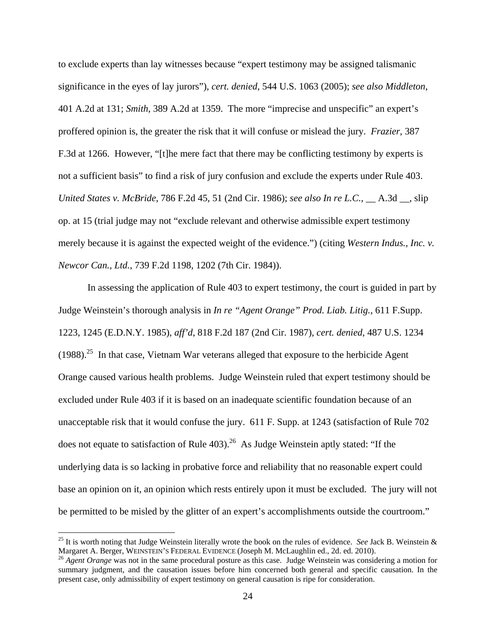to exclude experts than lay witnesses because "expert testimony may be assigned talismanic significance in the eyes of lay jurors"), *cert. denied*, 544 U.S. 1063 (2005); *see also Middleton*, 401 A.2d at 131; *Smith*, 389 A.2d at 1359. The more "imprecise and unspecific" an expert's proffered opinion is, the greater the risk that it will confuse or mislead the jury. *Frazier*, 387 F.3d at 1266. However, "[t]he mere fact that there may be conflicting testimony by experts is not a sufficient basis" to find a risk of jury confusion and exclude the experts under Rule 403. *United States v. McBride*, 786 F.2d 45, 51 (2nd Cir. 1986); *see also In re L.C.*, \_\_ A.3d \_\_, slip op. at 15 (trial judge may not "exclude relevant and otherwise admissible expert testimony merely because it is against the expected weight of the evidence.") (citing *Western Indus., Inc. v. Newcor Can., Ltd.*, 739 F.2d 1198, 1202 (7th Cir. 1984)).

In assessing the application of Rule 403 to expert testimony, the court is guided in part by Judge Weinstein's thorough analysis in *In re "Agent Orange" Prod. Liab. Litig.*, 611 F.Supp. 1223, 1245 (E.D.N.Y. 1985), *aff'd*, 818 F.2d 187 (2nd Cir. 1987), *cert. denied*, 487 U.S. 1234  $(1988).^{25}$  In that case, Vietnam War veterans alleged that exposure to the herbicide Agent Orange caused various health problems. Judge Weinstein ruled that expert testimony should be excluded under Rule 403 if it is based on an inadequate scientific foundation because of an unacceptable risk that it would confuse the jury. 611 F. Supp. at 1243 (satisfaction of Rule 702 does not equate to satisfaction of Rule  $403$ ).<sup>26</sup> As Judge Weinstein aptly stated: "If the underlying data is so lacking in probative force and reliability that no reasonable expert could base an opinion on it, an opinion which rests entirely upon it must be excluded. The jury will not be permitted to be misled by the glitter of an expert's accomplishments outside the courtroom."

<sup>25</sup> It is worth noting that Judge Weinstein literally wrote the book on the rules of evidence. *See* Jack B. Weinstein & Margaret A. Berger, WEINSTEIN'S FEDERAL EVIDENCE (Joseph M. McLaughlin ed., 2d. ed. 2010).<br><sup>26</sup> *Agent Orange* was not in the same procedural posture as this case. Judge Weinstein was considering a motion for

summary judgment, and the causation issues before him concerned both general and specific causation. In the present case, only admissibility of expert testimony on general causation is ripe for consideration.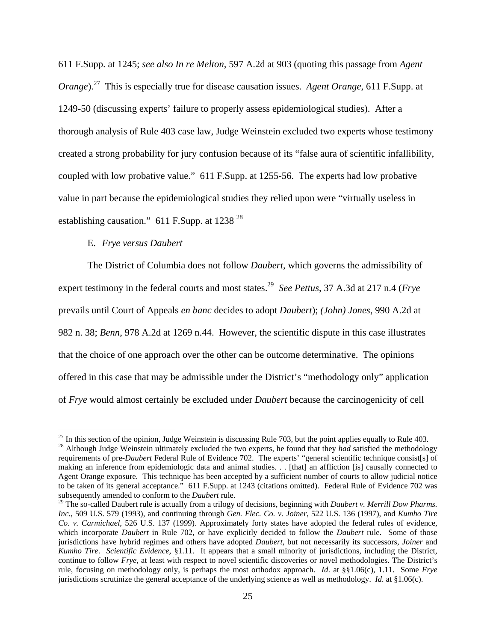611 F.Supp. at 1245; *see also In re Melton*, 597 A.2d at 903 (quoting this passage from *Agent Orange*).<sup>27</sup> This is especially true for disease causation issues. *Agent Orange*, 611 F.Supp. at 1249-50 (discussing experts' failure to properly assess epidemiological studies). After a thorough analysis of Rule 403 case law, Judge Weinstein excluded two experts whose testimony created a strong probability for jury confusion because of its "false aura of scientific infallibility, coupled with low probative value." 611 F.Supp. at 1255-56. The experts had low probative value in part because the epidemiological studies they relied upon were "virtually useless in establishing causation." 611 F.Supp. at  $1238^{28}$ 

# E. *Frye versus Daubert*

 $\overline{a}$ 

The District of Columbia does not follow *Daubert*, which governs the admissibility of expert testimony in the federal courts and most states.29 *See Pettus*, 37 A.3d at 217 n.4 (*Frye* prevails until Court of Appeals *en banc* decides to adopt *Daubert*); *(John) Jones*, 990 A.2d at 982 n. 38; *Benn*, 978 A.2d at 1269 n.44. However, the scientific dispute in this case illustrates that the choice of one approach over the other can be outcome determinative. The opinions offered in this case that may be admissible under the District's "methodology only" application of *Frye* would almost certainly be excluded under *Daubert* because the carcinogenicity of cell

 $^{27}$  In this section of the opinion, Judge Weinstein is discussing Rule 703, but the point applies equally to Rule 403. 28 Although Judge Weinstein ultimately excluded the two experts, he found that they *had* satisfied the methodology requirements of pre-*Daubert* Federal Rule of Evidence 702. The experts' "general scientific technique consist[s] of making an inference from epidemiologic data and animal studies. . . [that] an affliction [is] causally connected to Agent Orange exposure. This technique has been accepted by a sufficient number of courts to allow judicial notice to be taken of its general acceptance." 611 F.Supp. at 1243 (citations omitted). Federal Rule of Evidence 702 was subsequently amended to conform to the *Daubert* rule.

<sup>29</sup> The so-called Daubert rule is actually from a trilogy of decisions, beginning with *Daubert v. Merrill Dow Pharms. Inc.*, 509 U.S. 579 (1993), and continuing through *Gen. Elec. Co. v. Joiner*, 522 U.S. 136 (1997), and *Kumho Tire Co. v. Carmichael*, 526 U.S. 137 (1999). Approximately forty states have adopted the federal rules of evidence, which incorporate *Daubert* in Rule 702, or have explicitly decided to follow the *Daubert* rule. Some of those jurisdictions have hybrid regimes and others have adopted *Daubert*, but not necessarily its successors, *Joiner* and *Kumho Tire*. *Scientific Evidence*, §1.11. It appears that a small minority of jurisdictions, including the District, continue to follow *Frye*, at least with respect to novel scientific discoveries or novel methodologies. The District's rule, focusing on methodology only, is perhaps the most orthodox approach. *Id*. at §§1.06(c), 1.11. Some *Frye* jurisdictions scrutinize the general acceptance of the underlying science as well as methodology. *Id.* at §1.06(c).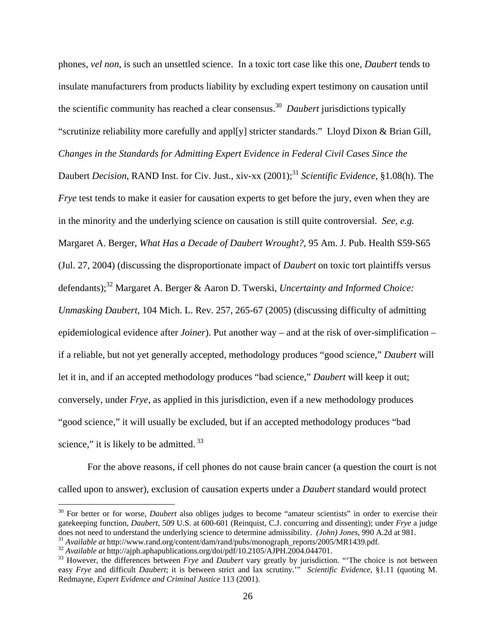phones, *vel non*, is such an unsettled science. In a toxic tort case like this one, *Daubert* tends to insulate manufacturers from products liability by excluding expert testimony on causation until the scientific community has reached a clear consensus.30 *Daubert* jurisdictions typically "scrutinize reliability more carefully and appl[y] stricter standards." Lloyd Dixon & Brian Gill, *Changes in the Standards for Admitting Expert Evidence in Federal Civil Cases Since the*  Daubert *Decision*, RAND Inst. for Civ. Just., xiv-xx (2001);<sup>31</sup> *Scientific Evidence*, §1.08(h). The *Frye* test tends to make it easier for causation experts to get before the jury, even when they are in the minority and the underlying science on causation is still quite controversial. *See, e.g.*  Margaret A. Berger, *What Has a Decade of Daubert Wrought?*, 95 Am. J. Pub. Health S59-S65 (Jul. 27, 2004) (discussing the disproportionate impact of *Daubert* on toxic tort plaintiffs versus defendants);<sup>32</sup> Margaret A. Berger & Aaron D. Twerski, *Uncertainty and Informed Choice: Unmasking Daubert*, 104 Mich. L. Rev. 257, 265-67 (2005) (discussing difficulty of admitting epidemiological evidence after *Joiner*). Put another way – and at the risk of over-simplification – if a reliable, but not yet generally accepted, methodology produces "good science," *Daubert* will let it in, and if an accepted methodology produces "bad science," *Daubert* will keep it out; conversely, under *Frye*, as applied in this jurisdiction, even if a new methodology produces "good science," it will usually be excluded, but if an accepted methodology produces "bad science," it is likely to be admitted.  $33$ 

For the above reasons, if cell phones do not cause brain cancer (a question the court is not called upon to answer), exclusion of causation experts under a *Daubert* standard would protect

<sup>&</sup>lt;sup>30</sup> For better or for worse, *Daubert* also obliges judges to become "amateur scientists" in order to exercise their gatekeeping function, *Daubert*, 509 U.S. at 600-601 (Reinquist, C.J. concurring and dissenting); under *Frye* a judge

<sup>&</sup>lt;sup>31</sup> Available at http://www.rand.org/content/dam/rand/pubs/monograph\_reports/2005/MR1439.pdf.<br><sup>32</sup> Available at http://ajph.aphapublications.org/doi/pdf/10.2105/AJPH.2004.044701.<br><sup>33</sup> However, the differences between *Fr* easy *Frye* and difficult *Daubert*; it is between strict and lax scrutiny.'" *Scientific Evidence*, §1.11 (quoting M. Redmayne, *Expert Evidence and Criminal Justice* 113 (2001).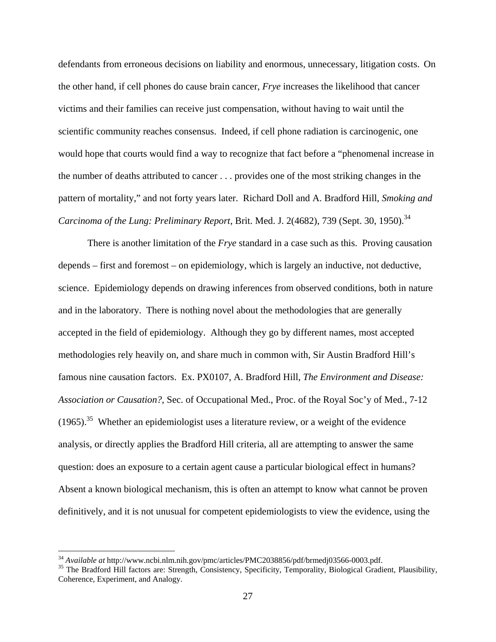defendants from erroneous decisions on liability and enormous, unnecessary, litigation costs. On the other hand, if cell phones do cause brain cancer, *Frye* increases the likelihood that cancer victims and their families can receive just compensation, without having to wait until the scientific community reaches consensus. Indeed, if cell phone radiation is carcinogenic, one would hope that courts would find a way to recognize that fact before a "phenomenal increase in the number of deaths attributed to cancer . . . provides one of the most striking changes in the pattern of mortality," and not forty years later. Richard Doll and A. Bradford Hill, *Smoking and Carcinoma of the Lung: Preliminary Report, Brit. Med. J. 2(4682), 739 (Sept. 30, 1950).*<sup>34</sup>

There is another limitation of the *Frye* standard in a case such as this. Proving causation depends – first and foremost – on epidemiology, which is largely an inductive, not deductive, science. Epidemiology depends on drawing inferences from observed conditions, both in nature and in the laboratory. There is nothing novel about the methodologies that are generally accepted in the field of epidemiology. Although they go by different names, most accepted methodologies rely heavily on, and share much in common with, Sir Austin Bradford Hill's famous nine causation factors. Ex. PX0107, A. Bradford Hill, *The Environment and Disease: Association or Causation?*, Sec. of Occupational Med., Proc. of the Royal Soc'y of Med., 7-12  $(1965)$ <sup>35</sup> Whether an epidemiologist uses a literature review, or a weight of the evidence analysis, or directly applies the Bradford Hill criteria, all are attempting to answer the same question: does an exposure to a certain agent cause a particular biological effect in humans? Absent a known biological mechanism, this is often an attempt to know what cannot be proven definitively, and it is not unusual for competent epidemiologists to view the evidence, using the

<sup>&</sup>lt;sup>34</sup> *Available at* http://www.ncbi.nlm.nih.gov/pmc/articles/PMC2038856/pdf/brmedj03566-0003.pdf.<br><sup>35</sup> The Bradford Hill factors are: Strength, Consistency, Specificity, Temporality, Biological Gradient, Plausibility, Coherence, Experiment, and Analogy.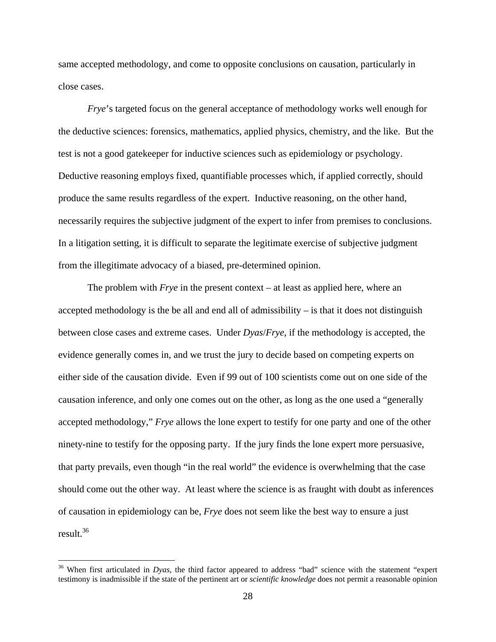same accepted methodology, and come to opposite conclusions on causation, particularly in close cases.

*Frye*'s targeted focus on the general acceptance of methodology works well enough for the deductive sciences: forensics, mathematics, applied physics, chemistry, and the like. But the test is not a good gatekeeper for inductive sciences such as epidemiology or psychology. Deductive reasoning employs fixed, quantifiable processes which, if applied correctly, should produce the same results regardless of the expert. Inductive reasoning, on the other hand, necessarily requires the subjective judgment of the expert to infer from premises to conclusions. In a litigation setting, it is difficult to separate the legitimate exercise of subjective judgment from the illegitimate advocacy of a biased, pre-determined opinion.

The problem with *Frye* in the present context – at least as applied here, where an accepted methodology is the be all and end all of admissibility – is that it does not distinguish between close cases and extreme cases. Under *Dyas*/*Frye*, if the methodology is accepted, the evidence generally comes in, and we trust the jury to decide based on competing experts on either side of the causation divide. Even if 99 out of 100 scientists come out on one side of the causation inference, and only one comes out on the other, as long as the one used a "generally accepted methodology," *Frye* allows the lone expert to testify for one party and one of the other ninety-nine to testify for the opposing party. If the jury finds the lone expert more persuasive, that party prevails, even though "in the real world" the evidence is overwhelming that the case should come out the other way. At least where the science is as fraught with doubt as inferences of causation in epidemiology can be, *Frye* does not seem like the best way to ensure a just result.36

<sup>&</sup>lt;sup>36</sup> When first articulated in *Dyas*, the third factor appeared to address "bad" science with the statement "expert testimony is inadmissible if the state of the pertinent art or *scientific knowledge* does not permit a reasonable opinion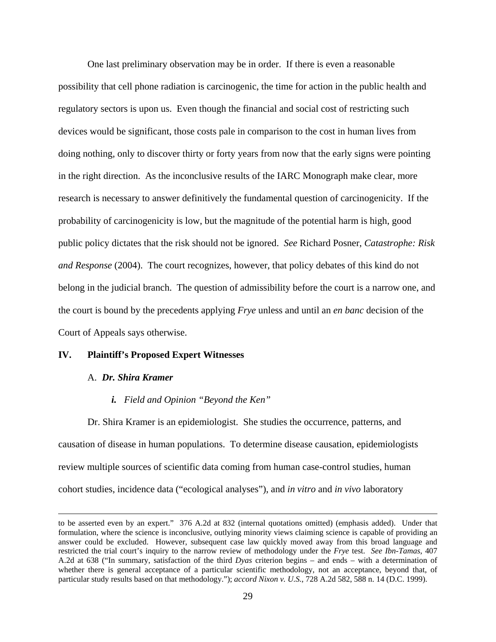One last preliminary observation may be in order. If there is even a reasonable possibility that cell phone radiation is carcinogenic, the time for action in the public health and regulatory sectors is upon us. Even though the financial and social cost of restricting such devices would be significant, those costs pale in comparison to the cost in human lives from doing nothing, only to discover thirty or forty years from now that the early signs were pointing in the right direction. As the inconclusive results of the IARC Monograph make clear, more research is necessary to answer definitively the fundamental question of carcinogenicity. If the probability of carcinogenicity is low, but the magnitude of the potential harm is high, good public policy dictates that the risk should not be ignored. *See* Richard Posner, *Catastrophe: Risk and Response* (2004). The court recognizes, however, that policy debates of this kind do not belong in the judicial branch. The question of admissibility before the court is a narrow one, and the court is bound by the precedents applying *Frye* unless and until an *en banc* decision of the Court of Appeals says otherwise.

### **IV. Plaintiff's Proposed Expert Witnesses**

#### A. *Dr. Shira Kramer*

### *i. Field and Opinion "Beyond the Ken"*

Dr. Shira Kramer is an epidemiologist. She studies the occurrence, patterns, and causation of disease in human populations. To determine disease causation, epidemiologists review multiple sources of scientific data coming from human case-control studies, human cohort studies, incidence data ("ecological analyses"), and *in vitro* and *in vivo* laboratory

to be asserted even by an expert." 376 A.2d at 832 (internal quotations omitted) (emphasis added). Under that formulation, where the science is inconclusive, outlying minority views claiming science is capable of providing an answer could be excluded. However, subsequent case law quickly moved away from this broad language and restricted the trial court's inquiry to the narrow review of methodology under the *Frye* test. *See Ibn-Tamas*, 407 A.2d at 638 ("In summary, satisfaction of the third *Dyas* criterion begins – and ends – with a determination of whether there is general acceptance of a particular scientific methodology, not an acceptance, beyond that, of particular study results based on that methodology."); *accord Nixon v. U.S.*, 728 A.2d 582, 588 n. 14 (D.C. 1999).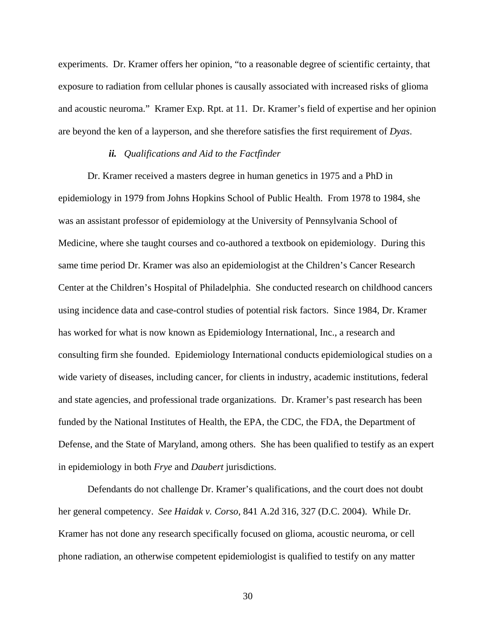experiments. Dr. Kramer offers her opinion, "to a reasonable degree of scientific certainty, that exposure to radiation from cellular phones is causally associated with increased risks of glioma and acoustic neuroma." Kramer Exp. Rpt. at 11. Dr. Kramer's field of expertise and her opinion are beyond the ken of a layperson, and she therefore satisfies the first requirement of *Dyas*.

#### *ii. Qualifications and Aid to the Factfinder*

Dr. Kramer received a masters degree in human genetics in 1975 and a PhD in epidemiology in 1979 from Johns Hopkins School of Public Health. From 1978 to 1984, she was an assistant professor of epidemiology at the University of Pennsylvania School of Medicine, where she taught courses and co-authored a textbook on epidemiology. During this same time period Dr. Kramer was also an epidemiologist at the Children's Cancer Research Center at the Children's Hospital of Philadelphia. She conducted research on childhood cancers using incidence data and case-control studies of potential risk factors. Since 1984, Dr. Kramer has worked for what is now known as Epidemiology International, Inc., a research and consulting firm she founded. Epidemiology International conducts epidemiological studies on a wide variety of diseases, including cancer, for clients in industry, academic institutions, federal and state agencies, and professional trade organizations. Dr. Kramer's past research has been funded by the National Institutes of Health, the EPA, the CDC, the FDA, the Department of Defense, and the State of Maryland, among others. She has been qualified to testify as an expert in epidemiology in both *Frye* and *Daubert* jurisdictions.

Defendants do not challenge Dr. Kramer's qualifications, and the court does not doubt her general competency. *See Haidak v. Corso*, 841 A.2d 316, 327 (D.C. 2004). While Dr. Kramer has not done any research specifically focused on glioma, acoustic neuroma, or cell phone radiation, an otherwise competent epidemiologist is qualified to testify on any matter

30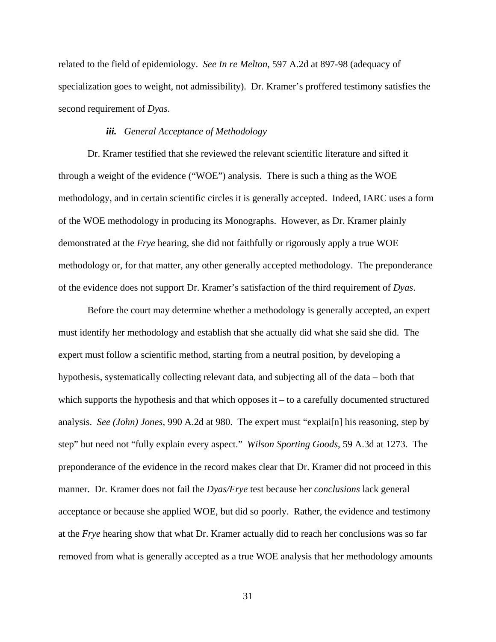related to the field of epidemiology. *See In re Melton*, 597 A.2d at 897-98 (adequacy of specialization goes to weight, not admissibility). Dr. Kramer's proffered testimony satisfies the second requirement of *Dyas*.

# *iii. General Acceptance of Methodology*

Dr. Kramer testified that she reviewed the relevant scientific literature and sifted it through a weight of the evidence ("WOE") analysis. There is such a thing as the WOE methodology, and in certain scientific circles it is generally accepted. Indeed, IARC uses a form of the WOE methodology in producing its Monographs. However, as Dr. Kramer plainly demonstrated at the *Frye* hearing, she did not faithfully or rigorously apply a true WOE methodology or, for that matter, any other generally accepted methodology. The preponderance of the evidence does not support Dr. Kramer's satisfaction of the third requirement of *Dyas*.

Before the court may determine whether a methodology is generally accepted, an expert must identify her methodology and establish that she actually did what she said she did. The expert must follow a scientific method, starting from a neutral position, by developing a hypothesis, systematically collecting relevant data, and subjecting all of the data – both that which supports the hypothesis and that which opposes  $i - t$  a carefully documented structured analysis. *See (John) Jones*, 990 A.2d at 980. The expert must "explai[n] his reasoning, step by step" but need not "fully explain every aspect." *Wilson Sporting Goods*, 59 A.3d at 1273. The preponderance of the evidence in the record makes clear that Dr. Kramer did not proceed in this manner. Dr. Kramer does not fail the *Dyas/Frye* test because her *conclusions* lack general acceptance or because she applied WOE, but did so poorly. Rather, the evidence and testimony at the *Frye* hearing show that what Dr. Kramer actually did to reach her conclusions was so far removed from what is generally accepted as a true WOE analysis that her methodology amounts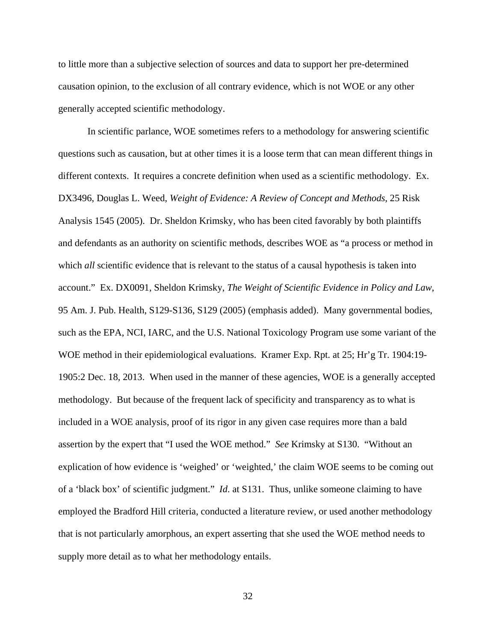to little more than a subjective selection of sources and data to support her pre-determined causation opinion, to the exclusion of all contrary evidence, which is not WOE or any other generally accepted scientific methodology.

In scientific parlance, WOE sometimes refers to a methodology for answering scientific questions such as causation, but at other times it is a loose term that can mean different things in different contexts. It requires a concrete definition when used as a scientific methodology. Ex. DX3496, Douglas L. Weed, *Weight of Evidence: A Review of Concept and Methods*, 25 Risk Analysis 1545 (2005). Dr. Sheldon Krimsky, who has been cited favorably by both plaintiffs and defendants as an authority on scientific methods, describes WOE as "a process or method in which *all* scientific evidence that is relevant to the status of a causal hypothesis is taken into account." Ex. DX0091, Sheldon Krimsky, *The Weight of Scientific Evidence in Policy and Law*, 95 Am. J. Pub. Health, S129-S136, S129 (2005) (emphasis added). Many governmental bodies, such as the EPA, NCI, IARC, and the U.S. National Toxicology Program use some variant of the WOE method in their epidemiological evaluations. Kramer Exp. Rpt. at 25; Hr'g Tr. 1904:19- 1905:2 Dec. 18, 2013. When used in the manner of these agencies, WOE is a generally accepted methodology. But because of the frequent lack of specificity and transparency as to what is included in a WOE analysis, proof of its rigor in any given case requires more than a bald assertion by the expert that "I used the WOE method." *See* Krimsky at S130. "Without an explication of how evidence is 'weighed' or 'weighted,' the claim WOE seems to be coming out of a 'black box' of scientific judgment." *Id*. at S131. Thus, unlike someone claiming to have employed the Bradford Hill criteria, conducted a literature review, or used another methodology that is not particularly amorphous, an expert asserting that she used the WOE method needs to supply more detail as to what her methodology entails.

32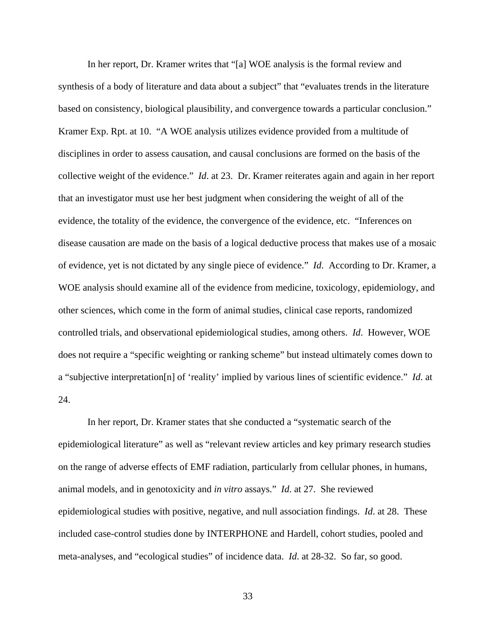In her report, Dr. Kramer writes that "[a] WOE analysis is the formal review and synthesis of a body of literature and data about a subject" that "evaluates trends in the literature based on consistency, biological plausibility, and convergence towards a particular conclusion." Kramer Exp. Rpt. at 10. "A WOE analysis utilizes evidence provided from a multitude of disciplines in order to assess causation, and causal conclusions are formed on the basis of the collective weight of the evidence." *Id*. at 23. Dr. Kramer reiterates again and again in her report that an investigator must use her best judgment when considering the weight of all of the evidence, the totality of the evidence, the convergence of the evidence, etc. "Inferences on disease causation are made on the basis of a logical deductive process that makes use of a mosaic of evidence, yet is not dictated by any single piece of evidence." *Id*. According to Dr. Kramer, a WOE analysis should examine all of the evidence from medicine, toxicology, epidemiology, and other sciences, which come in the form of animal studies, clinical case reports, randomized controlled trials, and observational epidemiological studies, among others. *Id*. However, WOE does not require a "specific weighting or ranking scheme" but instead ultimately comes down to a "subjective interpretation[n] of 'reality' implied by various lines of scientific evidence." *Id*. at 24.

In her report, Dr. Kramer states that she conducted a "systematic search of the epidemiological literature" as well as "relevant review articles and key primary research studies on the range of adverse effects of EMF radiation, particularly from cellular phones, in humans, animal models, and in genotoxicity and *in vitro* assays." *Id*. at 27. She reviewed epidemiological studies with positive, negative, and null association findings. *Id*. at 28. These included case-control studies done by INTERPHONE and Hardell, cohort studies, pooled and meta-analyses, and "ecological studies" of incidence data. *Id*. at 28-32. So far, so good.

33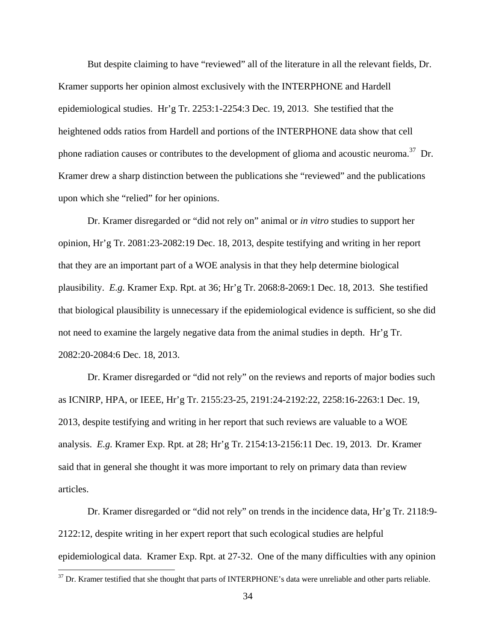But despite claiming to have "reviewed" all of the literature in all the relevant fields, Dr. Kramer supports her opinion almost exclusively with the INTERPHONE and Hardell epidemiological studies. Hr'g Tr. 2253:1-2254:3 Dec. 19, 2013. She testified that the heightened odds ratios from Hardell and portions of the INTERPHONE data show that cell phone radiation causes or contributes to the development of glioma and acoustic neuroma.<sup>37</sup> Dr. Kramer drew a sharp distinction between the publications she "reviewed" and the publications upon which she "relied" for her opinions.

Dr. Kramer disregarded or "did not rely on" animal or *in vitro* studies to support her opinion, Hr'g Tr. 2081:23-2082:19 Dec. 18, 2013, despite testifying and writing in her report that they are an important part of a WOE analysis in that they help determine biological plausibility. *E.g.* Kramer Exp. Rpt. at 36; Hr'g Tr. 2068:8-2069:1 Dec. 18, 2013. She testified that biological plausibility is unnecessary if the epidemiological evidence is sufficient, so she did not need to examine the largely negative data from the animal studies in depth. Hr'g Tr. 2082:20-2084:6 Dec. 18, 2013.

Dr. Kramer disregarded or "did not rely" on the reviews and reports of major bodies such as ICNIRP, HPA, or IEEE, Hr'g Tr. 2155:23-25, 2191:24-2192:22, 2258:16-2263:1 Dec. 19, 2013, despite testifying and writing in her report that such reviews are valuable to a WOE analysis. *E.g.* Kramer Exp. Rpt. at 28; Hr'g Tr. 2154:13-2156:11 Dec. 19, 2013. Dr. Kramer said that in general she thought it was more important to rely on primary data than review articles.

Dr. Kramer disregarded or "did not rely" on trends in the incidence data, Hr'g Tr. 2118:9- 2122:12, despite writing in her expert report that such ecological studies are helpful epidemiological data. Kramer Exp. Rpt. at 27-32. One of the many difficulties with any opinion

<u>.</u>

 $37$  Dr. Kramer testified that she thought that parts of INTERPHONE's data were unreliable and other parts reliable.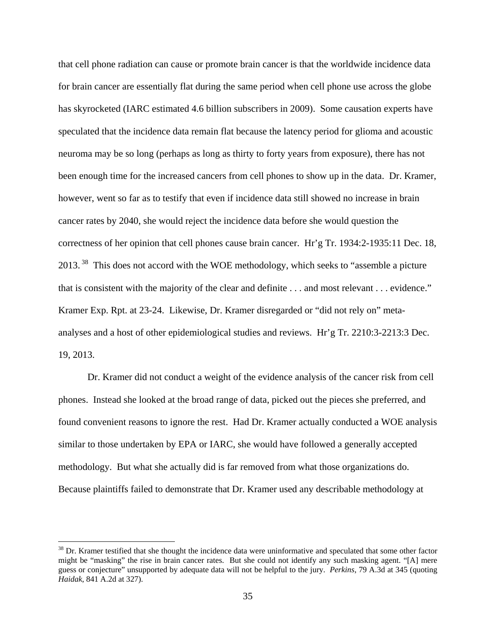that cell phone radiation can cause or promote brain cancer is that the worldwide incidence data for brain cancer are essentially flat during the same period when cell phone use across the globe has skyrocketed (IARC estimated 4.6 billion subscribers in 2009). Some causation experts have speculated that the incidence data remain flat because the latency period for glioma and acoustic neuroma may be so long (perhaps as long as thirty to forty years from exposure), there has not been enough time for the increased cancers from cell phones to show up in the data. Dr. Kramer, however, went so far as to testify that even if incidence data still showed no increase in brain cancer rates by 2040, she would reject the incidence data before she would question the correctness of her opinion that cell phones cause brain cancer. Hr'g Tr. 1934:2-1935:11 Dec. 18, 2013.<sup>38</sup> This does not accord with the WOE methodology, which seeks to "assemble a picture" that is consistent with the majority of the clear and definite . . . and most relevant . . . evidence." Kramer Exp. Rpt. at 23-24. Likewise, Dr. Kramer disregarded or "did not rely on" metaanalyses and a host of other epidemiological studies and reviews. Hr'g Tr. 2210:3-2213:3 Dec. 19, 2013.

Dr. Kramer did not conduct a weight of the evidence analysis of the cancer risk from cell phones. Instead she looked at the broad range of data, picked out the pieces she preferred, and found convenient reasons to ignore the rest. Had Dr. Kramer actually conducted a WOE analysis similar to those undertaken by EPA or IARC, she would have followed a generally accepted methodology. But what she actually did is far removed from what those organizations do. Because plaintiffs failed to demonstrate that Dr. Kramer used any describable methodology at

 $38$  Dr. Kramer testified that she thought the incidence data were uninformative and speculated that some other factor might be "masking" the rise in brain cancer rates. But she could not identify any such masking agent. "[A] mere guess or conjecture" unsupported by adequate data will not be helpful to the jury. *Perkins*, 79 A.3d at 345 (quoting *Haidak*, 841 A.2d at 327).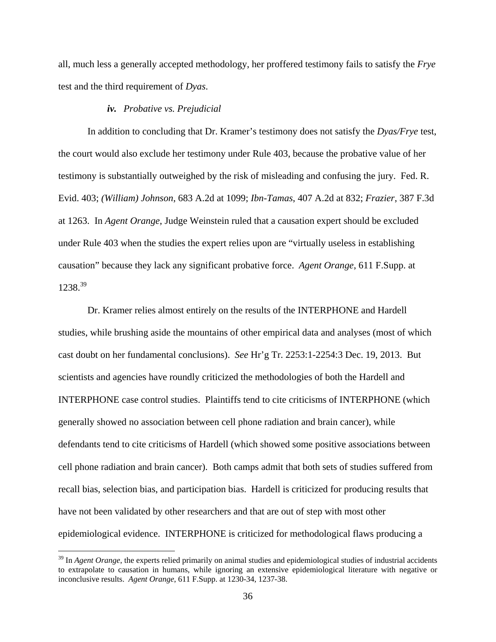all, much less a generally accepted methodology, her proffered testimony fails to satisfy the *Frye* test and the third requirement of *Dyas*.

## *iv. Probative vs. Prejudicial*

 $\overline{a}$ 

In addition to concluding that Dr. Kramer's testimony does not satisfy the *Dyas/Frye* test, the court would also exclude her testimony under Rule 403, because the probative value of her testimony is substantially outweighed by the risk of misleading and confusing the jury. Fed. R. Evid. 403; *(William) Johnson*, 683 A.2d at 1099; *Ibn-Tamas*, 407 A.2d at 832; *Frazier*, 387 F.3d at 1263. In *Agent Orange*, Judge Weinstein ruled that a causation expert should be excluded under Rule 403 when the studies the expert relies upon are "virtually useless in establishing causation" because they lack any significant probative force. *Agent Orange*, 611 F.Supp. at 1238.39

Dr. Kramer relies almost entirely on the results of the INTERPHONE and Hardell studies, while brushing aside the mountains of other empirical data and analyses (most of which cast doubt on her fundamental conclusions). *See* Hr'g Tr. 2253:1-2254:3 Dec. 19, 2013. But scientists and agencies have roundly criticized the methodologies of both the Hardell and INTERPHONE case control studies. Plaintiffs tend to cite criticisms of INTERPHONE (which generally showed no association between cell phone radiation and brain cancer), while defendants tend to cite criticisms of Hardell (which showed some positive associations between cell phone radiation and brain cancer). Both camps admit that both sets of studies suffered from recall bias, selection bias, and participation bias. Hardell is criticized for producing results that have not been validated by other researchers and that are out of step with most other epidemiological evidence. INTERPHONE is criticized for methodological flaws producing a

<sup>&</sup>lt;sup>39</sup> In *Agent Orange*, the experts relied primarily on animal studies and epidemiological studies of industrial accidents to extrapolate to causation in humans, while ignoring an extensive epidemiological literature with negative or inconclusive results. *Agent Orange*, 611 F.Supp. at 1230-34, 1237-38.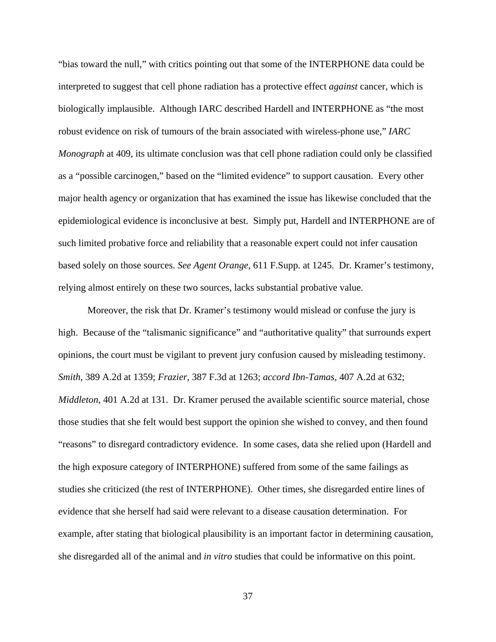"bias toward the null," with critics pointing out that some of the INTERPHONE data could be interpreted to suggest that cell phone radiation has a protective effect *against* cancer, which is biologically implausible. Although IARC described Hardell and INTERPHONE as "the most robust evidence on risk of tumours of the brain associated with wireless-phone use," *IARC Monograph* at 409, its ultimate conclusion was that cell phone radiation could only be classified as a "possible carcinogen," based on the "limited evidence" to support causation. Every other major health agency or organization that has examined the issue has likewise concluded that the epidemiological evidence is inconclusive at best. Simply put, Hardell and INTERPHONE are of such limited probative force and reliability that a reasonable expert could not infer causation based solely on those sources. *See Agent Orange*, 611 F.Supp. at 1245. Dr. Kramer's testimony, relying almost entirely on these two sources, lacks substantial probative value.

Moreover, the risk that Dr. Kramer's testimony would mislead or confuse the jury is high. Because of the "talismanic significance" and "authoritative quality" that surrounds expert opinions, the court must be vigilant to prevent jury confusion caused by misleading testimony. *Smith*, 389 A.2d at 1359; *Frazier*, 387 F.3d at 1263; *accord Ibn-Tamas*, 407 A.2d at 632; *Middleton*, 401 A.2d at 131. Dr. Kramer perused the available scientific source material, chose those studies that she felt would best support the opinion she wished to convey, and then found "reasons" to disregard contradictory evidence. In some cases, data she relied upon (Hardell and the high exposure category of INTERPHONE) suffered from some of the same failings as studies she criticized (the rest of INTERPHONE). Other times, she disregarded entire lines of evidence that she herself had said were relevant to a disease causation determination. For example, after stating that biological plausibility is an important factor in determining causation, she disregarded all of the animal and *in vitro* studies that could be informative on this point.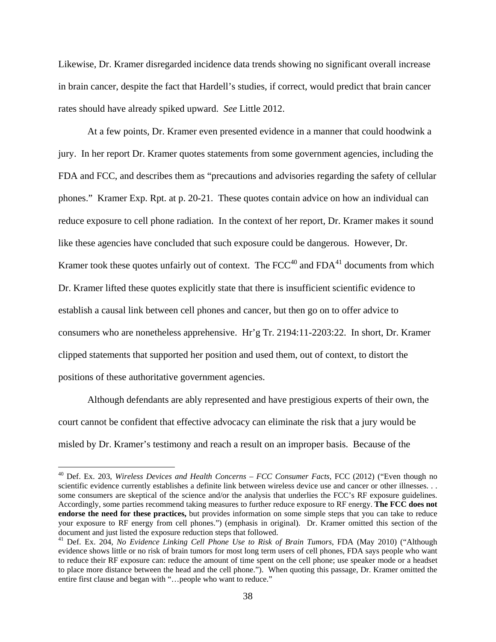Likewise, Dr. Kramer disregarded incidence data trends showing no significant overall increase in brain cancer, despite the fact that Hardell's studies, if correct, would predict that brain cancer rates should have already spiked upward. *See* Little 2012.

At a few points, Dr. Kramer even presented evidence in a manner that could hoodwink a jury. In her report Dr. Kramer quotes statements from some government agencies, including the FDA and FCC, and describes them as "precautions and advisories regarding the safety of cellular phones." Kramer Exp. Rpt. at p. 20-21. These quotes contain advice on how an individual can reduce exposure to cell phone radiation. In the context of her report, Dr. Kramer makes it sound like these agencies have concluded that such exposure could be dangerous. However, Dr. Kramer took these quotes unfairly out of context. The  $FCC^{40}$  and  $FDA^{41}$  documents from which Dr. Kramer lifted these quotes explicitly state that there is insufficient scientific evidence to establish a causal link between cell phones and cancer, but then go on to offer advice to consumers who are nonetheless apprehensive. Hr'g Tr. 2194:11-2203:22. In short, Dr. Kramer clipped statements that supported her position and used them, out of context, to distort the positions of these authoritative government agencies.

Although defendants are ably represented and have prestigious experts of their own, the court cannot be confident that effective advocacy can eliminate the risk that a jury would be misled by Dr. Kramer's testimony and reach a result on an improper basis. Because of the

<sup>40</sup> Def. Ex. 203, *Wireless Devices and Health Concerns – FCC Consumer Facts*, FCC (2012) ("Even though no scientific evidence currently establishes a definite link between wireless device use and cancer or other illnesses. . . some consumers are skeptical of the science and/or the analysis that underlies the FCC's RF exposure guidelines. Accordingly, some parties recommend taking measures to further reduce exposure to RF energy. **The FCC does not endorse the need for these practices,** but provides information on some simple steps that you can take to reduce your exposure to RF energy from cell phones.") (emphasis in original). Dr. Kramer omitted this section of the document and just listed the exposure reduction steps that followed.

<sup>41</sup> Def. Ex. 204, *No Evidence Linking Cell Phone Use to Risk of Brain Tumors*, FDA (May 2010) ("Although evidence shows little or no risk of brain tumors for most long term users of cell phones, FDA says people who want to reduce their RF exposure can: reduce the amount of time spent on the cell phone; use speaker mode or a headset to place more distance between the head and the cell phone."). When quoting this passage, Dr. Kramer omitted the entire first clause and began with "…people who want to reduce."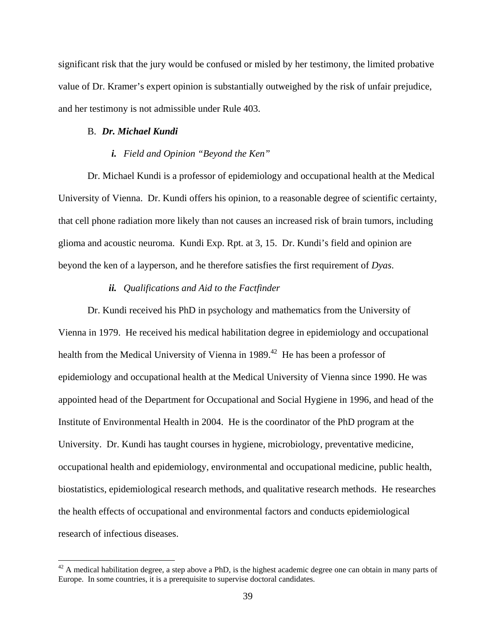significant risk that the jury would be confused or misled by her testimony, the limited probative value of Dr. Kramer's expert opinion is substantially outweighed by the risk of unfair prejudice, and her testimony is not admissible under Rule 403.

### B. *Dr. Michael Kundi*

 $\overline{a}$ 

### *i. Field and Opinion "Beyond the Ken"*

Dr. Michael Kundi is a professor of epidemiology and occupational health at the Medical University of Vienna. Dr. Kundi offers his opinion, to a reasonable degree of scientific certainty, that cell phone radiation more likely than not causes an increased risk of brain tumors, including glioma and acoustic neuroma. Kundi Exp. Rpt. at 3, 15. Dr. Kundi's field and opinion are beyond the ken of a layperson, and he therefore satisfies the first requirement of *Dyas*.

# *ii. Qualifications and Aid to the Factfinder*

Dr. Kundi received his PhD in psychology and mathematics from the University of Vienna in 1979. He received his medical habilitation degree in epidemiology and occupational health from the Medical University of Vienna in  $1989<sup>42</sup>$  He has been a professor of epidemiology and occupational health at the Medical University of Vienna since 1990. He was appointed head of the Department for Occupational and Social Hygiene in 1996, and head of the Institute of Environmental Health in 2004. He is the coordinator of the PhD program at the University. Dr. Kundi has taught courses in hygiene, microbiology, preventative medicine, occupational health and epidemiology, environmental and occupational medicine, public health, biostatistics, epidemiological research methods, and qualitative research methods. He researches the health effects of occupational and environmental factors and conducts epidemiological research of infectious diseases.

 $42$  A medical habilitation degree, a step above a PhD, is the highest academic degree one can obtain in many parts of Europe. In some countries, it is a prerequisite to supervise doctoral candidates.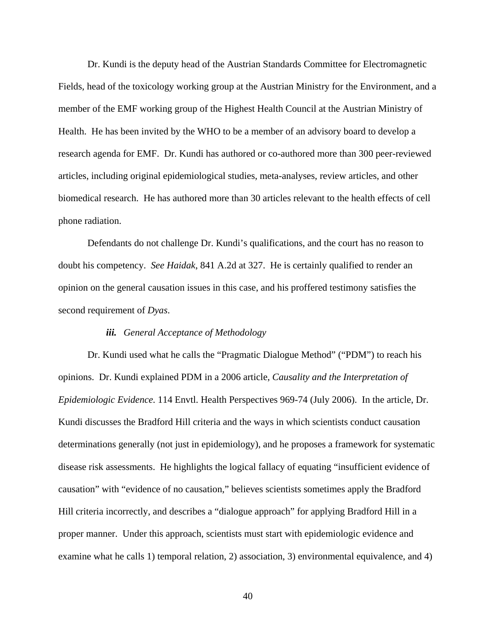Dr. Kundi is the deputy head of the Austrian Standards Committee for Electromagnetic Fields, head of the toxicology working group at the Austrian Ministry for the Environment, and a member of the EMF working group of the Highest Health Council at the Austrian Ministry of Health. He has been invited by the WHO to be a member of an advisory board to develop a research agenda for EMF. Dr. Kundi has authored or co-authored more than 300 peer-reviewed articles, including original epidemiological studies, meta-analyses, review articles, and other biomedical research. He has authored more than 30 articles relevant to the health effects of cell phone radiation.

Defendants do not challenge Dr. Kundi's qualifications, and the court has no reason to doubt his competency. *See Haidak*, 841 A.2d at 327. He is certainly qualified to render an opinion on the general causation issues in this case, and his proffered testimony satisfies the second requirement of *Dyas*.

# *iii. General Acceptance of Methodology*

 Dr. Kundi used what he calls the "Pragmatic Dialogue Method" ("PDM") to reach his opinions. Dr. Kundi explained PDM in a 2006 article, *Causality and the Interpretation of Epidemiologic Evidence.* 114 Envtl. Health Perspectives 969-74 (July 2006). In the article, Dr. Kundi discusses the Bradford Hill criteria and the ways in which scientists conduct causation determinations generally (not just in epidemiology), and he proposes a framework for systematic disease risk assessments. He highlights the logical fallacy of equating "insufficient evidence of causation" with "evidence of no causation," believes scientists sometimes apply the Bradford Hill criteria incorrectly, and describes a "dialogue approach" for applying Bradford Hill in a proper manner. Under this approach, scientists must start with epidemiologic evidence and examine what he calls 1) temporal relation, 2) association, 3) environmental equivalence, and 4)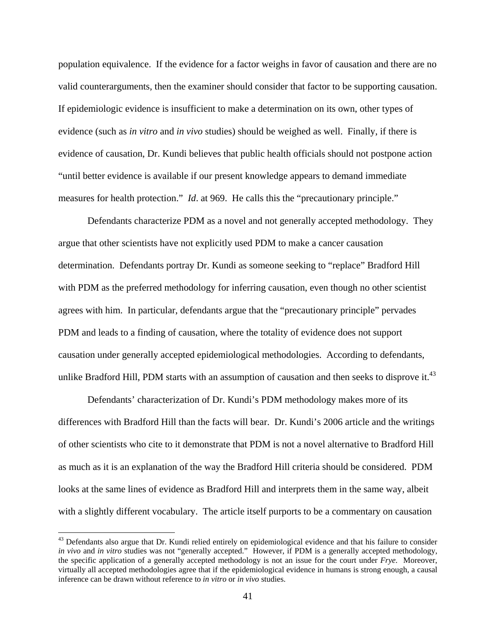population equivalence. If the evidence for a factor weighs in favor of causation and there are no valid counterarguments, then the examiner should consider that factor to be supporting causation. If epidemiologic evidence is insufficient to make a determination on its own, other types of evidence (such as *in vitro* and *in vivo* studies) should be weighed as well. Finally, if there is evidence of causation, Dr. Kundi believes that public health officials should not postpone action "until better evidence is available if our present knowledge appears to demand immediate measures for health protection." *Id*. at 969. He calls this the "precautionary principle."

 Defendants characterize PDM as a novel and not generally accepted methodology. They argue that other scientists have not explicitly used PDM to make a cancer causation determination. Defendants portray Dr. Kundi as someone seeking to "replace" Bradford Hill with PDM as the preferred methodology for inferring causation, even though no other scientist agrees with him. In particular, defendants argue that the "precautionary principle" pervades PDM and leads to a finding of causation, where the totality of evidence does not support causation under generally accepted epidemiological methodologies. According to defendants, unlike Bradford Hill, PDM starts with an assumption of causation and then seeks to disprove it.<sup>43</sup>

 Defendants' characterization of Dr. Kundi's PDM methodology makes more of its differences with Bradford Hill than the facts will bear. Dr. Kundi's 2006 article and the writings of other scientists who cite to it demonstrate that PDM is not a novel alternative to Bradford Hill as much as it is an explanation of the way the Bradford Hill criteria should be considered. PDM looks at the same lines of evidence as Bradford Hill and interprets them in the same way, albeit with a slightly different vocabulary. The article itself purports to be a commentary on causation

<sup>&</sup>lt;sup>43</sup> Defendants also argue that Dr. Kundi relied entirely on epidemiological evidence and that his failure to consider *in vivo* and *in vitro* studies was not "generally accepted." However, if PDM is a generally accepted methodology, the specific application of a generally accepted methodology is not an issue for the court under *Frye*. Moreover, virtually all accepted methodologies agree that if the epidemiological evidence in humans is strong enough, a causal inference can be drawn without reference to *in vitro* or *in vivo* studies.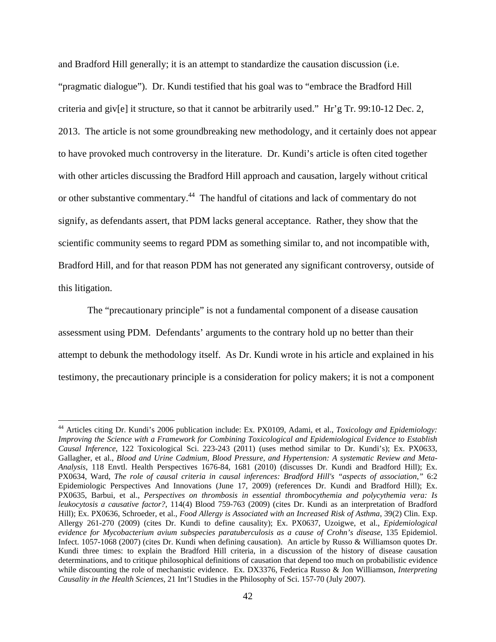and Bradford Hill generally; it is an attempt to standardize the causation discussion (i.e. "pragmatic dialogue"). Dr. Kundi testified that his goal was to "embrace the Bradford Hill criteria and giv[e] it structure, so that it cannot be arbitrarily used." Hr'g Tr. 99:10-12 Dec. 2, 2013. The article is not some groundbreaking new methodology, and it certainly does not appear to have provoked much controversy in the literature. Dr. Kundi's article is often cited together with other articles discussing the Bradford Hill approach and causation, largely without critical or other substantive commentary.44 The handful of citations and lack of commentary do not signify, as defendants assert, that PDM lacks general acceptance. Rather, they show that the scientific community seems to regard PDM as something similar to, and not incompatible with, Bradford Hill, and for that reason PDM has not generated any significant controversy, outside of this litigation.

 The "precautionary principle" is not a fundamental component of a disease causation assessment using PDM. Defendants' arguments to the contrary hold up no better than their attempt to debunk the methodology itself. As Dr. Kundi wrote in his article and explained in his testimony, the precautionary principle is a consideration for policy makers; it is not a component

<sup>44</sup> Articles citing Dr. Kundi's 2006 publication include: Ex. PX0109, Adami, et al., *Toxicology and Epidemiology: Improving the Science with a Framework for Combining Toxicological and Epidemiological Evidence to Establish Causal Inference*, 122 Toxicological Sci. 223-243 (2011) (uses method similar to Dr. Kundi's); Ex. PX0633, Gallagher, et al., *Blood and Urine Cadmium, Blood Pressure, and Hypertension: A systematic Review and Meta-Analysis*, 118 Envtl. Health Perspectives 1676-84, 1681 (2010) (discusses Dr. Kundi and Bradford Hill); Ex. PX0634, Ward, *The role of causal criteria in causal inferences: Bradford Hill's "aspects of association,"* 6:2 Epidemiologic Perspectives And Innovations (June 17, 2009) (references Dr. Kundi and Bradford Hill); Ex. PX0635, Barbui, et al., *Perspectives on thrombosis in essential thrombocythemia and polycythemia vera: Is leukocytosis a causative factor?*, 114(4) Blood 759-763 (2009) (cites Dr. Kundi as an interpretation of Bradford Hill); Ex. PX0636, Schroeder, et al., *Food Allergy is Associated with an Increased Risk of Asthma*, 39(2) Clin. Exp. Allergy 261-270 (2009) (cites Dr. Kundi to define causality); Ex. PX0637, Uzoigwe, et al., *Epidemiological evidence for Mycobacterium avium subspecies paratuberculosis as a cause of Crohn's disease*, 135 Epidemiol. Infect. 1057-1068 (2007) (cites Dr. Kundi when defining causation). An article by Russo & Williamson quotes Dr. Kundi three times: to explain the Bradford Hill criteria, in a discussion of the history of disease causation determinations, and to critique philosophical definitions of causation that depend too much on probabilistic evidence while discounting the role of mechanistic evidence. Ex. DX3376, Federica Russo & Jon Williamson, *Interpreting Causality in the Health Sciences*, 21 Int'l Studies in the Philosophy of Sci. 157-70 (July 2007).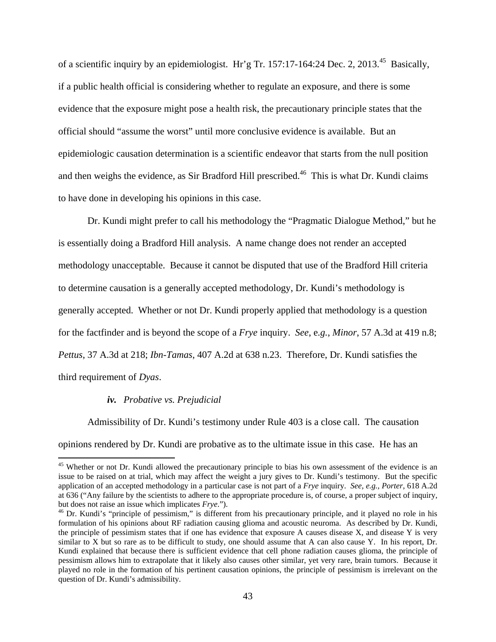of a scientific inquiry by an epidemiologist. Hr'g Tr. 157:17-164:24 Dec. 2, 2013.45 Basically, if a public health official is considering whether to regulate an exposure, and there is some evidence that the exposure might pose a health risk, the precautionary principle states that the official should "assume the worst" until more conclusive evidence is available. But an epidemiologic causation determination is a scientific endeavor that starts from the null position and then weighs the evidence, as Sir Bradford Hill prescribed.<sup>46</sup> This is what Dr. Kundi claims to have done in developing his opinions in this case.

Dr. Kundi might prefer to call his methodology the "Pragmatic Dialogue Method," but he is essentially doing a Bradford Hill analysis. A name change does not render an accepted methodology unacceptable. Because it cannot be disputed that use of the Bradford Hill criteria to determine causation is a generally accepted methodology, Dr. Kundi's methodology is generally accepted. Whether or not Dr. Kundi properly applied that methodology is a question for the factfinder and is beyond the scope of a *Frye* inquiry. *See*, e*.g.*, *Minor*, 57 A.3d at 419 n.8; *Pettus*, 37 A.3d at 218; *Ibn-Tamas*, 407 A.2d at 638 n.23. Therefore, Dr. Kundi satisfies the third requirement of *Dyas*.

#### *iv. Probative vs. Prejudicial*

1

 Admissibility of Dr. Kundi's testimony under Rule 403 is a close call. The causation opinions rendered by Dr. Kundi are probative as to the ultimate issue in this case. He has an

<sup>&</sup>lt;sup>45</sup> Whether or not Dr. Kundi allowed the precautionary principle to bias his own assessment of the evidence is an issue to be raised on at trial, which may affect the weight a jury gives to Dr. Kundi's testimony. But the specific application of an accepted methodology in a particular case is not part of a *Frye* inquiry. *See, e.g., Porter*, 618 A.2d at 636 ("Any failure by the scientists to adhere to the appropriate procedure is, of course, a proper subject of inquiry, but does not raise an issue which implicates  $Frye$ .").

<sup>&</sup>lt;sup>46</sup> Dr. Kundi's "principle of pessimism," is different from his precautionary principle, and it played no role in his formulation of his opinions about RF radiation causing glioma and acoustic neuroma. As described by Dr. Kundi, the principle of pessimism states that if one has evidence that exposure A causes disease X, and disease Y is very similar to X but so rare as to be difficult to study, one should assume that A can also cause Y. In his report, Dr. Kundi explained that because there is sufficient evidence that cell phone radiation causes glioma, the principle of pessimism allows him to extrapolate that it likely also causes other similar, yet very rare, brain tumors. Because it played no role in the formation of his pertinent causation opinions, the principle of pessimism is irrelevant on the question of Dr. Kundi's admissibility.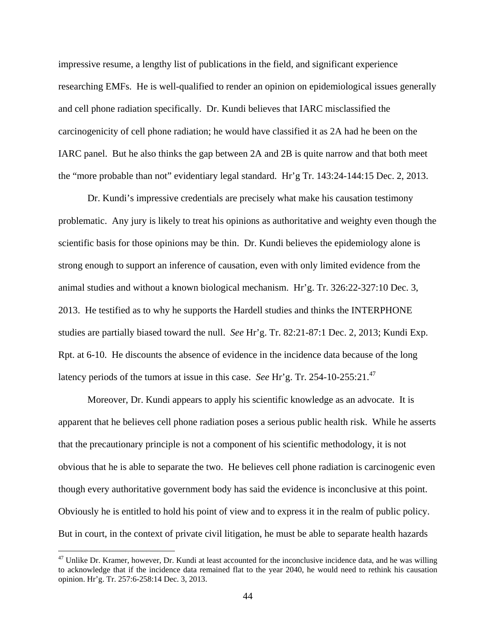impressive resume, a lengthy list of publications in the field, and significant experience researching EMFs. He is well-qualified to render an opinion on epidemiological issues generally and cell phone radiation specifically. Dr. Kundi believes that IARC misclassified the carcinogenicity of cell phone radiation; he would have classified it as 2A had he been on the IARC panel. But he also thinks the gap between 2A and 2B is quite narrow and that both meet the "more probable than not" evidentiary legal standard. Hr'g Tr. 143:24-144:15 Dec. 2, 2013.

 Dr. Kundi's impressive credentials are precisely what make his causation testimony problematic. Any jury is likely to treat his opinions as authoritative and weighty even though the scientific basis for those opinions may be thin. Dr. Kundi believes the epidemiology alone is strong enough to support an inference of causation, even with only limited evidence from the animal studies and without a known biological mechanism. Hr'g. Tr. 326:22-327:10 Dec. 3, 2013. He testified as to why he supports the Hardell studies and thinks the INTERPHONE studies are partially biased toward the null. *See* Hr'g. Tr. 82:21-87:1 Dec. 2, 2013; Kundi Exp. Rpt. at 6-10. He discounts the absence of evidence in the incidence data because of the long latency periods of the tumors at issue in this case. *See* Hr'g. Tr. 254-10-255:21.47

Moreover, Dr. Kundi appears to apply his scientific knowledge as an advocate. It is apparent that he believes cell phone radiation poses a serious public health risk. While he asserts that the precautionary principle is not a component of his scientific methodology, it is not obvious that he is able to separate the two. He believes cell phone radiation is carcinogenic even though every authoritative government body has said the evidence is inconclusive at this point. Obviously he is entitled to hold his point of view and to express it in the realm of public policy. But in court, in the context of private civil litigation, he must be able to separate health hazards

 $47$  Unlike Dr. Kramer, however, Dr. Kundi at least accounted for the inconclusive incidence data, and he was willing to acknowledge that if the incidence data remained flat to the year 2040, he would need to rethink his causation opinion. Hr'g. Tr. 257:6-258:14 Dec. 3, 2013.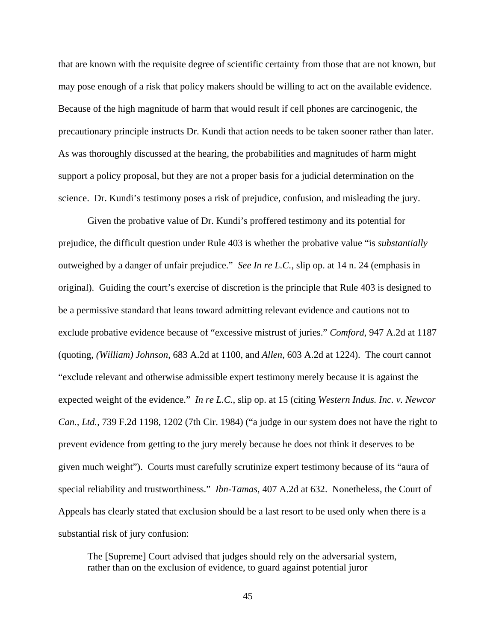that are known with the requisite degree of scientific certainty from those that are not known, but may pose enough of a risk that policy makers should be willing to act on the available evidence. Because of the high magnitude of harm that would result if cell phones are carcinogenic, the precautionary principle instructs Dr. Kundi that action needs to be taken sooner rather than later. As was thoroughly discussed at the hearing, the probabilities and magnitudes of harm might support a policy proposal, but they are not a proper basis for a judicial determination on the science. Dr. Kundi's testimony poses a risk of prejudice, confusion, and misleading the jury.

 Given the probative value of Dr. Kundi's proffered testimony and its potential for prejudice, the difficult question under Rule 403 is whether the probative value "is *substantially* outweighed by a danger of unfair prejudice." *See In re L.C.*, slip op. at 14 n. 24 (emphasis in original). Guiding the court's exercise of discretion is the principle that Rule 403 is designed to be a permissive standard that leans toward admitting relevant evidence and cautions not to exclude probative evidence because of "excessive mistrust of juries." *Comford*, 947 A.2d at 1187 (quoting, *(William) Johnson*, 683 A.2d at 1100, and *Allen*, 603 A.2d at 1224). The court cannot "exclude relevant and otherwise admissible expert testimony merely because it is against the expected weight of the evidence." *In re L.C.*, slip op. at 15 (citing *Western Indus. Inc. v. Newcor Can., Ltd.*, 739 F.2d 1198, 1202 (7th Cir. 1984) ("a judge in our system does not have the right to prevent evidence from getting to the jury merely because he does not think it deserves to be given much weight"). Courts must carefully scrutinize expert testimony because of its "aura of special reliability and trustworthiness." *Ibn-Tamas*, 407 A.2d at 632. Nonetheless, the Court of Appeals has clearly stated that exclusion should be a last resort to be used only when there is a substantial risk of jury confusion:

The [Supreme] Court advised that judges should rely on the adversarial system, rather than on the exclusion of evidence, to guard against potential juror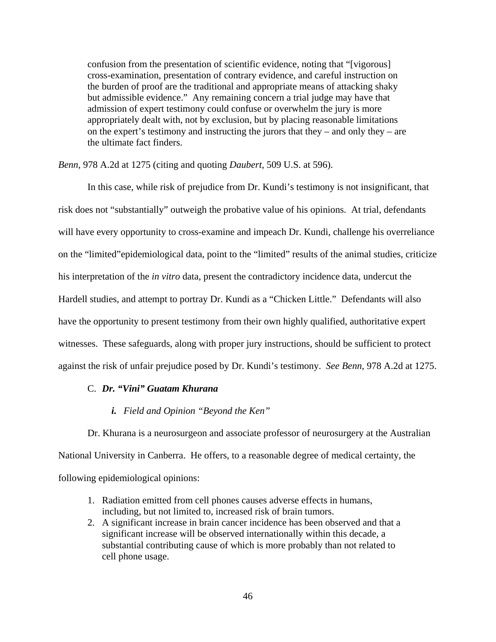confusion from the presentation of scientific evidence, noting that "[vigorous] cross-examination, presentation of contrary evidence, and careful instruction on the burden of proof are the traditional and appropriate means of attacking shaky but admissible evidence." Any remaining concern a trial judge may have that admission of expert testimony could confuse or overwhelm the jury is more appropriately dealt with, not by exclusion, but by placing reasonable limitations on the expert's testimony and instructing the jurors that they – and only they – are the ultimate fact finders.

*Benn*, 978 A.2d at 1275 (citing and quoting *Daubert*, 509 U.S. at 596).

 In this case, while risk of prejudice from Dr. Kundi's testimony is not insignificant, that risk does not "substantially" outweigh the probative value of his opinions. At trial, defendants will have every opportunity to cross-examine and impeach Dr. Kundi, challenge his overreliance on the "limited"epidemiological data, point to the "limited" results of the animal studies, criticize his interpretation of the *in vitro* data, present the contradictory incidence data, undercut the Hardell studies, and attempt to portray Dr. Kundi as a "Chicken Little." Defendants will also have the opportunity to present testimony from their own highly qualified, authoritative expert witnesses. These safeguards, along with proper jury instructions, should be sufficient to protect against the risk of unfair prejudice posed by Dr. Kundi's testimony. *See Benn*, 978 A.2d at 1275.

# C. *Dr. "Vini" Guatam Khurana*

# *i. Field and Opinion "Beyond the Ken"*

Dr. Khurana is a neurosurgeon and associate professor of neurosurgery at the Australian National University in Canberra. He offers, to a reasonable degree of medical certainty, the following epidemiological opinions:

- 1. Radiation emitted from cell phones causes adverse effects in humans, including, but not limited to, increased risk of brain tumors.
- 2. A significant increase in brain cancer incidence has been observed and that a significant increase will be observed internationally within this decade, a substantial contributing cause of which is more probably than not related to cell phone usage.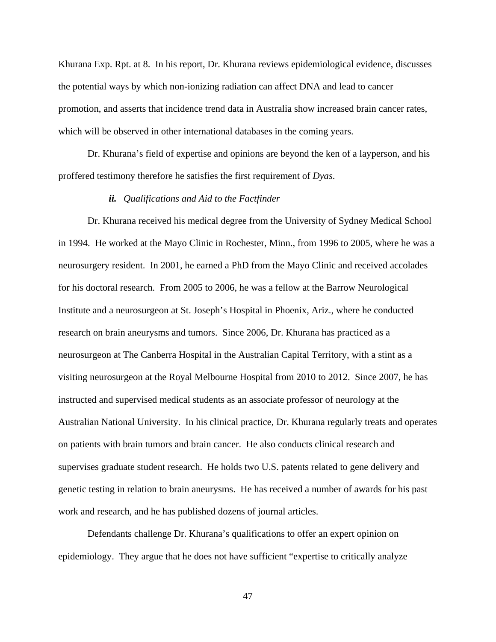Khurana Exp. Rpt. at 8. In his report, Dr. Khurana reviews epidemiological evidence, discusses the potential ways by which non-ionizing radiation can affect DNA and lead to cancer promotion, and asserts that incidence trend data in Australia show increased brain cancer rates, which will be observed in other international databases in the coming years.

 Dr. Khurana's field of expertise and opinions are beyond the ken of a layperson, and his proffered testimony therefore he satisfies the first requirement of *Dyas*.

# *ii. Qualifications and Aid to the Factfinder*

Dr. Khurana received his medical degree from the University of Sydney Medical School in 1994. He worked at the Mayo Clinic in Rochester, Minn., from 1996 to 2005, where he was a neurosurgery resident. In 2001, he earned a PhD from the Mayo Clinic and received accolades for his doctoral research. From 2005 to 2006, he was a fellow at the Barrow Neurological Institute and a neurosurgeon at St. Joseph's Hospital in Phoenix, Ariz., where he conducted research on brain aneurysms and tumors. Since 2006, Dr. Khurana has practiced as a neurosurgeon at The Canberra Hospital in the Australian Capital Territory, with a stint as a visiting neurosurgeon at the Royal Melbourne Hospital from 2010 to 2012. Since 2007, he has instructed and supervised medical students as an associate professor of neurology at the Australian National University. In his clinical practice, Dr. Khurana regularly treats and operates on patients with brain tumors and brain cancer. He also conducts clinical research and supervises graduate student research. He holds two U.S. patents related to gene delivery and genetic testing in relation to brain aneurysms. He has received a number of awards for his past work and research, and he has published dozens of journal articles.

Defendants challenge Dr. Khurana's qualifications to offer an expert opinion on epidemiology. They argue that he does not have sufficient "expertise to critically analyze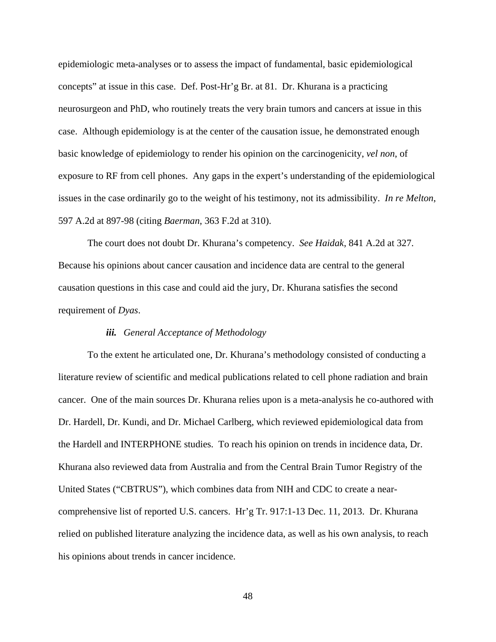epidemiologic meta-analyses or to assess the impact of fundamental, basic epidemiological concepts" at issue in this case. Def. Post-Hr'g Br. at 81. Dr. Khurana is a practicing neurosurgeon and PhD, who routinely treats the very brain tumors and cancers at issue in this case. Although epidemiology is at the center of the causation issue, he demonstrated enough basic knowledge of epidemiology to render his opinion on the carcinogenicity, *vel non*, of exposure to RF from cell phones. Any gaps in the expert's understanding of the epidemiological issues in the case ordinarily go to the weight of his testimony, not its admissibility. *In re Melton*, 597 A.2d at 897-98 (citing *Baerman*, 363 F.2d at 310).

The court does not doubt Dr. Khurana's competency. *See Haidak*, 841 A.2d at 327. Because his opinions about cancer causation and incidence data are central to the general causation questions in this case and could aid the jury, Dr. Khurana satisfies the second requirement of *Dyas*.

#### *iii. General Acceptance of Methodology*

To the extent he articulated one, Dr. Khurana's methodology consisted of conducting a literature review of scientific and medical publications related to cell phone radiation and brain cancer. One of the main sources Dr. Khurana relies upon is a meta-analysis he co-authored with Dr. Hardell, Dr. Kundi, and Dr. Michael Carlberg, which reviewed epidemiological data from the Hardell and INTERPHONE studies. To reach his opinion on trends in incidence data, Dr. Khurana also reviewed data from Australia and from the Central Brain Tumor Registry of the United States ("CBTRUS"), which combines data from NIH and CDC to create a nearcomprehensive list of reported U.S. cancers. Hr'g Tr. 917:1-13 Dec. 11, 2013. Dr. Khurana relied on published literature analyzing the incidence data, as well as his own analysis, to reach his opinions about trends in cancer incidence.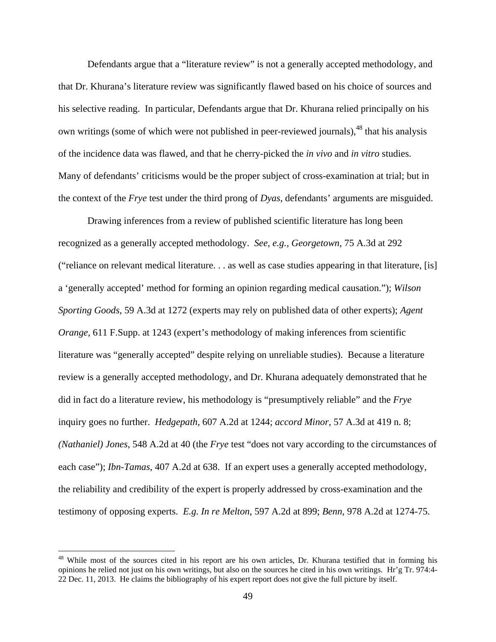Defendants argue that a "literature review" is not a generally accepted methodology, and that Dr. Khurana's literature review was significantly flawed based on his choice of sources and his selective reading. In particular, Defendants argue that Dr. Khurana relied principally on his own writings (some of which were not published in peer-reviewed journals),<sup>48</sup> that his analysis of the incidence data was flawed, and that he cherry-picked the *in vivo* and *in vitro* studies. Many of defendants' criticisms would be the proper subject of cross-examination at trial; but in the context of the *Frye* test under the third prong of *Dyas*, defendants' arguments are misguided.

Drawing inferences from a review of published scientific literature has long been recognized as a generally accepted methodology. *See, e.g., Georgetown*, 75 A.3d at 292 ("reliance on relevant medical literature. . . as well as case studies appearing in that literature, [is] a 'generally accepted' method for forming an opinion regarding medical causation."); *Wilson Sporting Goods*, 59 A.3d at 1272 (experts may rely on published data of other experts); *Agent Orange*, 611 F.Supp. at 1243 (expert's methodology of making inferences from scientific literature was "generally accepted" despite relying on unreliable studies). Because a literature review is a generally accepted methodology, and Dr. Khurana adequately demonstrated that he did in fact do a literature review, his methodology is "presumptively reliable" and the *Frye* inquiry goes no further. *Hedgepath*, 607 A.2d at 1244; *accord Minor*, 57 A.3d at 419 n. 8; *(Nathaniel) Jones*, 548 A.2d at 40 (the *Frye* test "does not vary according to the circumstances of each case"); *Ibn-Tamas*, 407 A.2d at 638. If an expert uses a generally accepted methodology, the reliability and credibility of the expert is properly addressed by cross-examination and the testimony of opposing experts. *E.g. In re Melton*, 597 A.2d at 899; *Benn*, 978 A.2d at 1274-75.

<sup>&</sup>lt;sup>48</sup> While most of the sources cited in his report are his own articles, Dr. Khurana testified that in forming his opinions he relied not just on his own writings, but also on the sources he cited in his own writings. Hr'g Tr. 974:4- 22 Dec. 11, 2013. He claims the bibliography of his expert report does not give the full picture by itself.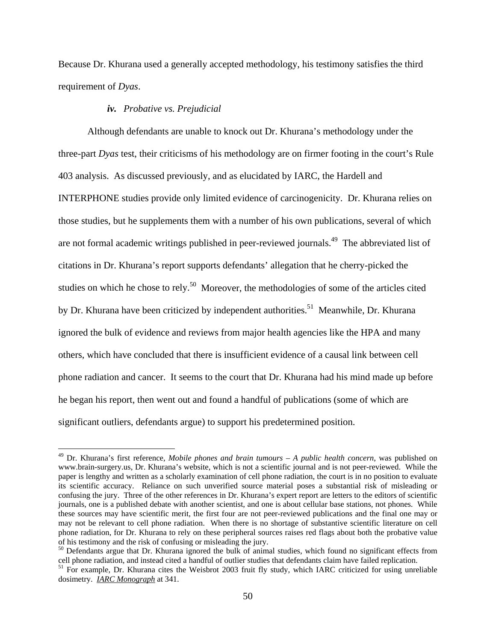Because Dr. Khurana used a generally accepted methodology, his testimony satisfies the third requirement of *Dyas*.

# *iv. Probative vs. Prejudicial*

 $\overline{a}$ 

Although defendants are unable to knock out Dr. Khurana's methodology under the three-part *Dyas* test, their criticisms of his methodology are on firmer footing in the court's Rule 403 analysis. As discussed previously, and as elucidated by IARC, the Hardell and INTERPHONE studies provide only limited evidence of carcinogenicity. Dr. Khurana relies on those studies, but he supplements them with a number of his own publications, several of which are not formal academic writings published in peer-reviewed journals.<sup>49</sup> The abbreviated list of citations in Dr. Khurana's report supports defendants' allegation that he cherry-picked the studies on which he chose to rely.<sup>50</sup> Moreover, the methodologies of some of the articles cited by Dr. Khurana have been criticized by independent authorities.<sup>51</sup> Meanwhile, Dr. Khurana ignored the bulk of evidence and reviews from major health agencies like the HPA and many others, which have concluded that there is insufficient evidence of a causal link between cell phone radiation and cancer. It seems to the court that Dr. Khurana had his mind made up before he began his report, then went out and found a handful of publications (some of which are significant outliers, defendants argue) to support his predetermined position.

<sup>49</sup> Dr. Khurana's first reference, *Mobile phones and brain tumours – A public health concern*, was published on www.brain-surgery.us, Dr. Khurana's website, which is not a scientific journal and is not peer-reviewed. While the paper is lengthy and written as a scholarly examination of cell phone radiation, the court is in no position to evaluate its scientific accuracy. Reliance on such unverified source material poses a substantial risk of misleading or confusing the jury. Three of the other references in Dr. Khurana's expert report are letters to the editors of scientific journals, one is a published debate with another scientist, and one is about cellular base stations, not phones. While these sources may have scientific merit, the first four are not peer-reviewed publications and the final one may or may not be relevant to cell phone radiation. When there is no shortage of substantive scientific literature on cell phone radiation, for Dr. Khurana to rely on these peripheral sources raises red flags about both the probative value of his testimony and the risk of confusing or misleading the jury.

<sup>&</sup>lt;sup>50</sup> Defendants argue that Dr. Khurana ignored the bulk of animal studies, which found no significant effects from cell phone radiation, and instead cited a handful of outlier studies that defendants claim have failed replication.<br><sup>51</sup> For example, Dr. Khurana cites the Weisbrot 2003 fruit fly study, which IARC criticized for using unr

dosimetry. *IARC Monograph* at 341.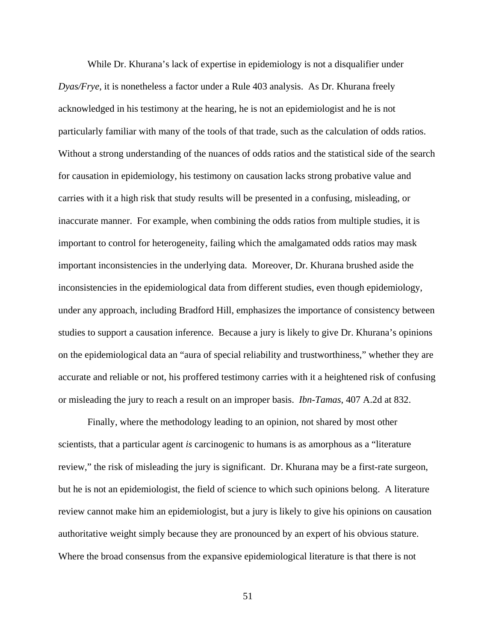While Dr. Khurana's lack of expertise in epidemiology is not a disqualifier under *Dyas/Frye*, it is nonetheless a factor under a Rule 403 analysis. As Dr. Khurana freely acknowledged in his testimony at the hearing, he is not an epidemiologist and he is not particularly familiar with many of the tools of that trade, such as the calculation of odds ratios. Without a strong understanding of the nuances of odds ratios and the statistical side of the search for causation in epidemiology, his testimony on causation lacks strong probative value and carries with it a high risk that study results will be presented in a confusing, misleading, or inaccurate manner. For example, when combining the odds ratios from multiple studies, it is important to control for heterogeneity, failing which the amalgamated odds ratios may mask important inconsistencies in the underlying data. Moreover, Dr. Khurana brushed aside the inconsistencies in the epidemiological data from different studies, even though epidemiology, under any approach, including Bradford Hill, emphasizes the importance of consistency between studies to support a causation inference. Because a jury is likely to give Dr. Khurana's opinions on the epidemiological data an "aura of special reliability and trustworthiness," whether they are accurate and reliable or not, his proffered testimony carries with it a heightened risk of confusing or misleading the jury to reach a result on an improper basis. *Ibn-Tamas*, 407 A.2d at 832.

Finally, where the methodology leading to an opinion, not shared by most other scientists, that a particular agent *is* carcinogenic to humans is as amorphous as a "literature review," the risk of misleading the jury is significant. Dr. Khurana may be a first-rate surgeon, but he is not an epidemiologist, the field of science to which such opinions belong. A literature review cannot make him an epidemiologist, but a jury is likely to give his opinions on causation authoritative weight simply because they are pronounced by an expert of his obvious stature. Where the broad consensus from the expansive epidemiological literature is that there is not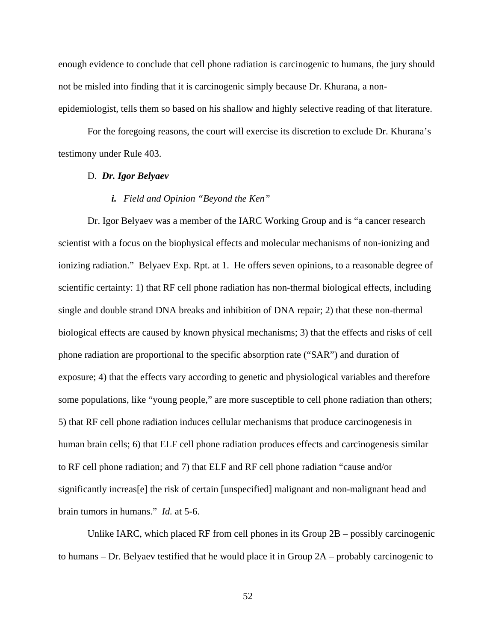enough evidence to conclude that cell phone radiation is carcinogenic to humans, the jury should not be misled into finding that it is carcinogenic simply because Dr. Khurana, a nonepidemiologist, tells them so based on his shallow and highly selective reading of that literature.

For the foregoing reasons, the court will exercise its discretion to exclude Dr. Khurana's testimony under Rule 403.

### D. *Dr. Igor Belyaev*

# *i. Field and Opinion "Beyond the Ken"*

Dr. Igor Belyaev was a member of the IARC Working Group and is "a cancer research scientist with a focus on the biophysical effects and molecular mechanisms of non-ionizing and ionizing radiation." Belyaev Exp. Rpt. at 1. He offers seven opinions, to a reasonable degree of scientific certainty: 1) that RF cell phone radiation has non-thermal biological effects, including single and double strand DNA breaks and inhibition of DNA repair; 2) that these non-thermal biological effects are caused by known physical mechanisms; 3) that the effects and risks of cell phone radiation are proportional to the specific absorption rate ("SAR") and duration of exposure; 4) that the effects vary according to genetic and physiological variables and therefore some populations, like "young people," are more susceptible to cell phone radiation than others; 5) that RF cell phone radiation induces cellular mechanisms that produce carcinogenesis in human brain cells; 6) that ELF cell phone radiation produces effects and carcinogenesis similar to RF cell phone radiation; and 7) that ELF and RF cell phone radiation "cause and/or significantly increas[e] the risk of certain [unspecified] malignant and non-malignant head and brain tumors in humans." *Id.* at 5-6.

Unlike IARC, which placed RF from cell phones in its Group 2B – possibly carcinogenic to humans  $-Dr$ . Belyaev testified that he would place it in Group  $2A -$  probably carcinogenic to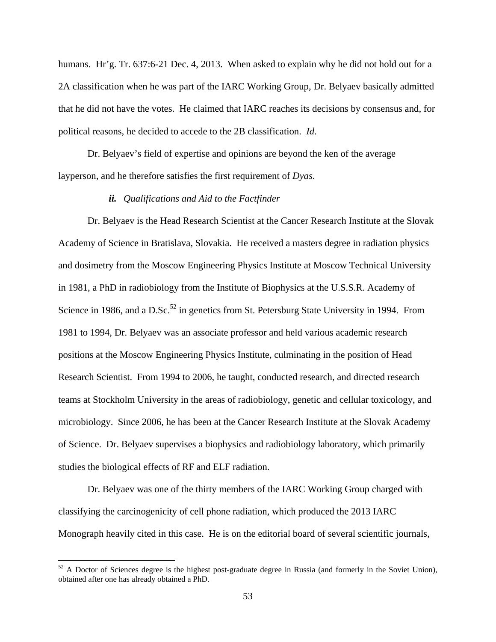humans. Hr'g. Tr. 637:6-21 Dec. 4, 2013. When asked to explain why he did not hold out for a 2A classification when he was part of the IARC Working Group, Dr. Belyaev basically admitted that he did not have the votes. He claimed that IARC reaches its decisions by consensus and, for political reasons, he decided to accede to the 2B classification. *Id*.

Dr. Belyaev's field of expertise and opinions are beyond the ken of the average layperson, and he therefore satisfies the first requirement of *Dyas*.

# *ii. Qualifications and Aid to the Factfinder*

Dr. Belyaev is the Head Research Scientist at the Cancer Research Institute at the Slovak Academy of Science in Bratislava, Slovakia. He received a masters degree in radiation physics and dosimetry from the Moscow Engineering Physics Institute at Moscow Technical University in 1981, a PhD in radiobiology from the Institute of Biophysics at the U.S.S.R. Academy of Science in 1986, and a D.Sc.<sup>52</sup> in genetics from St. Petersburg State University in 1994. From 1981 to 1994, Dr. Belyaev was an associate professor and held various academic research positions at the Moscow Engineering Physics Institute, culminating in the position of Head Research Scientist. From 1994 to 2006, he taught, conducted research, and directed research teams at Stockholm University in the areas of radiobiology, genetic and cellular toxicology, and microbiology. Since 2006, he has been at the Cancer Research Institute at the Slovak Academy of Science. Dr. Belyaev supervises a biophysics and radiobiology laboratory, which primarily studies the biological effects of RF and ELF radiation.

Dr. Belyaev was one of the thirty members of the IARC Working Group charged with classifying the carcinogenicity of cell phone radiation, which produced the 2013 IARC Monograph heavily cited in this case. He is on the editorial board of several scientific journals,

 $52$  A Doctor of Sciences degree is the highest post-graduate degree in Russia (and formerly in the Soviet Union), obtained after one has already obtained a PhD.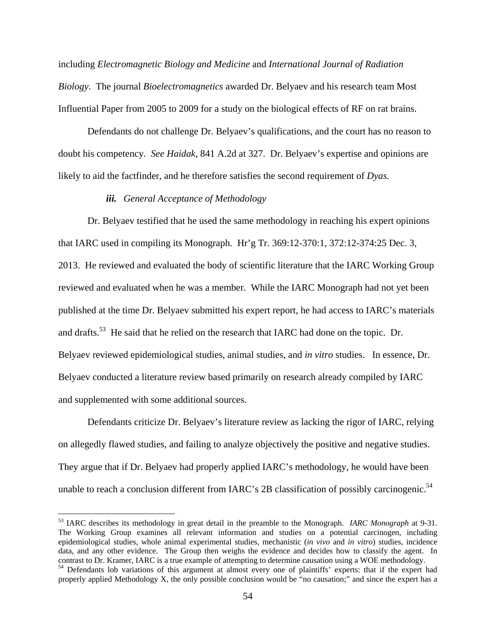including *Electromagnetic Biology and Medicine* and *International Journal of Radiation Biology*. The journal *Bioelectromagnetics* awarded Dr. Belyaev and his research team Most Influential Paper from 2005 to 2009 for a study on the biological effects of RF on rat brains.

Defendants do not challenge Dr. Belyaev's qualifications, and the court has no reason to doubt his competency. *See Haidak*, 841 A.2d at 327. Dr. Belyaev's expertise and opinions are likely to aid the factfinder, and he therefore satisfies the second requirement of *Dyas*.

# *iii. General Acceptance of Methodology*

<u>.</u>

Dr. Belyaev testified that he used the same methodology in reaching his expert opinions that IARC used in compiling its Monograph. Hr'g Tr. 369:12-370:1, 372:12-374:25 Dec. 3, 2013. He reviewed and evaluated the body of scientific literature that the IARC Working Group reviewed and evaluated when he was a member. While the IARC Monograph had not yet been published at the time Dr. Belyaev submitted his expert report, he had access to IARC's materials and drafts.<sup>53</sup> He said that he relied on the research that IARC had done on the topic. Dr. Belyaev reviewed epidemiological studies, animal studies, and *in vitro* studies. In essence, Dr. Belyaev conducted a literature review based primarily on research already compiled by IARC and supplemented with some additional sources.

Defendants criticize Dr. Belyaev's literature review as lacking the rigor of IARC, relying on allegedly flawed studies, and failing to analyze objectively the positive and negative studies. They argue that if Dr. Belyaev had properly applied IARC's methodology, he would have been unable to reach a conclusion different from IARC's 2B classification of possibly carcinogenic.<sup>54</sup>

<sup>53</sup> IARC describes its methodology in great detail in the preamble to the Monograph. *IARC Monograph* at 9-31. The Working Group examines all relevant information and studies on a potential carcinogen, including epidemiological studies, whole animal experimental studies, mechanistic (*in vivo* and *in vitro*) studies, incidence data, and any other evidence. The Group then weighs the evidence and decides how to classify the agent. In contrast to Dr. Kramer, IARC is a true example of attempting to determine causation using a WOE methodology.

contrast to Dr. Kramer, I. Contrast to Dr. Kramer, I. Contrast to determine causation using a Defendants lob variations of this argument at almost every one of plaintiffs' experts: that if the expert had properly applied Methodology X, the only possible conclusion would be "no causation;" and since the expert has a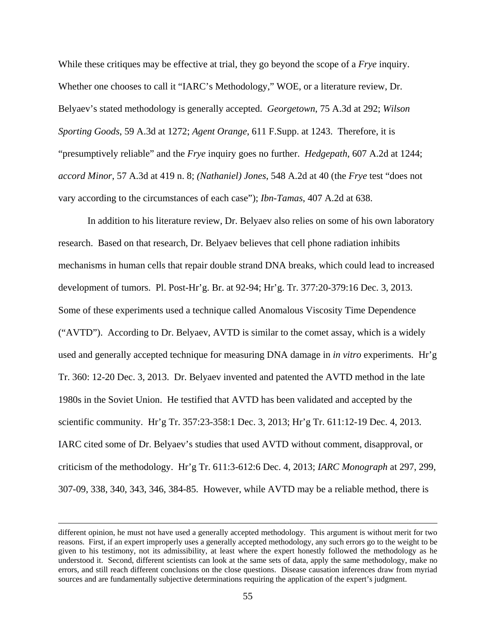While these critiques may be effective at trial, they go beyond the scope of a *Frye* inquiry. Whether one chooses to call it "IARC's Methodology," WOE, or a literature review, Dr. Belyaev's stated methodology is generally accepted. *Georgetown*, 75 A.3d at 292; *Wilson Sporting Goods*, 59 A.3d at 1272; *Agent Orange*, 611 F.Supp. at 1243. Therefore, it is "presumptively reliable" and the *Frye* inquiry goes no further. *Hedgepath*, 607 A.2d at 1244; *accord Minor*, 57 A.3d at 419 n. 8; *(Nathaniel) Jones*, 548 A.2d at 40 (the *Frye* test "does not vary according to the circumstances of each case"); *Ibn-Tamas*, 407 A.2d at 638.

In addition to his literature review, Dr. Belyaev also relies on some of his own laboratory research. Based on that research, Dr. Belyaev believes that cell phone radiation inhibits mechanisms in human cells that repair double strand DNA breaks, which could lead to increased development of tumors. Pl. Post-Hr'g. Br. at 92-94; Hr'g. Tr. 377:20-379:16 Dec. 3, 2013. Some of these experiments used a technique called Anomalous Viscosity Time Dependence ("AVTD"). According to Dr. Belyaev, AVTD is similar to the comet assay, which is a widely used and generally accepted technique for measuring DNA damage in *in vitro* experiments. Hr'g Tr. 360: 12-20 Dec. 3, 2013. Dr. Belyaev invented and patented the AVTD method in the late 1980s in the Soviet Union. He testified that AVTD has been validated and accepted by the scientific community. Hr'g Tr. 357:23-358:1 Dec. 3, 2013; Hr'g Tr. 611:12-19 Dec. 4, 2013. IARC cited some of Dr. Belyaev's studies that used AVTD without comment, disapproval, or criticism of the methodology. Hr'g Tr. 611:3-612:6 Dec. 4, 2013; *IARC Monograph* at 297, 299, 307-09, 338, 340, 343, 346, 384-85. However, while AVTD may be a reliable method, there is

different opinion, he must not have used a generally accepted methodology. This argument is without merit for two reasons. First, if an expert improperly uses a generally accepted methodology, any such errors go to the weight to be given to his testimony, not its admissibility, at least where the expert honestly followed the methodology as he understood it. Second, different scientists can look at the same sets of data, apply the same methodology, make no errors, and still reach different conclusions on the close questions. Disease causation inferences draw from myriad sources and are fundamentally subjective determinations requiring the application of the expert's judgment.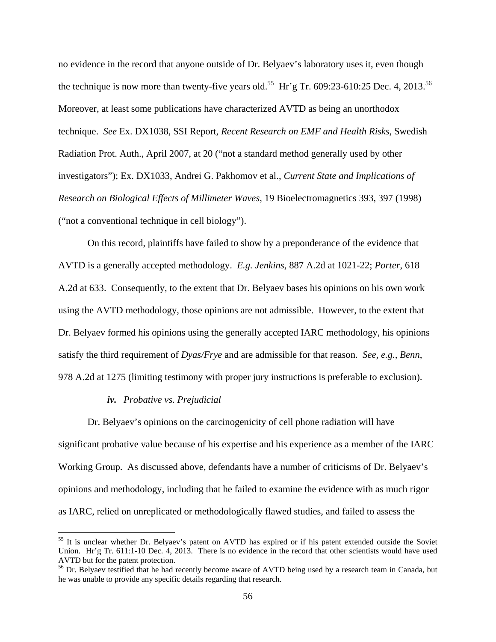no evidence in the record that anyone outside of Dr. Belyaev's laboratory uses it, even though the technique is now more than twenty-five years old.<sup>55</sup> Hr'g Tr. 609:23-610:25 Dec. 4, 2013.<sup>56</sup> Moreover, at least some publications have characterized AVTD as being an unorthodox technique. *See* Ex. DX1038, SSI Report, *Recent Research on EMF and Health Risks*, Swedish Radiation Prot. Auth., April 2007, at 20 ("not a standard method generally used by other investigators"); Ex. DX1033, Andrei G. Pakhomov et al., *Current State and Implications of Research on Biological Effects of Millimeter Waves*, 19 Bioelectromagnetics 393, 397 (1998) ("not a conventional technique in cell biology").

On this record, plaintiffs have failed to show by a preponderance of the evidence that AVTD is a generally accepted methodology. *E.g. Jenkins*, 887 A.2d at 1021-22; *Porter*, 618 A.2d at 633. Consequently, to the extent that Dr. Belyaev bases his opinions on his own work using the AVTD methodology, those opinions are not admissible. However, to the extent that Dr. Belyaev formed his opinions using the generally accepted IARC methodology, his opinions satisfy the third requirement of *Dyas/Frye* and are admissible for that reason. *See, e.g., Benn*, 978 A.2d at 1275 (limiting testimony with proper jury instructions is preferable to exclusion).

### *iv. Probative vs. Prejudicial*

 $\overline{a}$ 

Dr. Belyaev's opinions on the carcinogenicity of cell phone radiation will have significant probative value because of his expertise and his experience as a member of the IARC Working Group. As discussed above, defendants have a number of criticisms of Dr. Belyaev's opinions and methodology, including that he failed to examine the evidence with as much rigor as IARC, relied on unreplicated or methodologically flawed studies, and failed to assess the

<sup>&</sup>lt;sup>55</sup> It is unclear whether Dr. Belyaev's patent on AVTD has expired or if his patent extended outside the Soviet Union. Hr'g Tr. 611:1-10 Dec. 4, 2013. There is no evidence in the record that other scientists would have used AVTD but for the patent protection.

<sup>&</sup>lt;sup>56</sup> Dr. Belyaev testified that he had recently become aware of AVTD being used by a research team in Canada, but he was unable to provide any specific details regarding that research.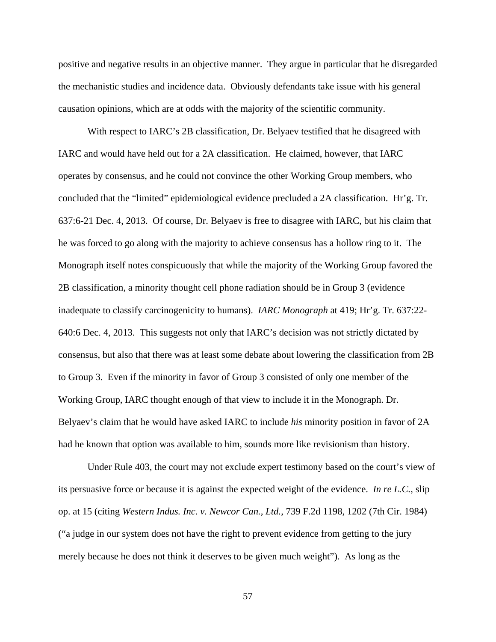positive and negative results in an objective manner. They argue in particular that he disregarded the mechanistic studies and incidence data. Obviously defendants take issue with his general causation opinions, which are at odds with the majority of the scientific community.

With respect to IARC's 2B classification, Dr. Belyaev testified that he disagreed with IARC and would have held out for a 2A classification. He claimed, however, that IARC operates by consensus, and he could not convince the other Working Group members, who concluded that the "limited" epidemiological evidence precluded a 2A classification. Hr'g. Tr. 637:6-21 Dec. 4, 2013. Of course, Dr. Belyaev is free to disagree with IARC, but his claim that he was forced to go along with the majority to achieve consensus has a hollow ring to it. The Monograph itself notes conspicuously that while the majority of the Working Group favored the 2B classification, a minority thought cell phone radiation should be in Group 3 (evidence inadequate to classify carcinogenicity to humans). *IARC Monograph* at 419; Hr'g. Tr. 637:22- 640:6 Dec. 4, 2013. This suggests not only that IARC's decision was not strictly dictated by consensus, but also that there was at least some debate about lowering the classification from 2B to Group 3. Even if the minority in favor of Group 3 consisted of only one member of the Working Group, IARC thought enough of that view to include it in the Monograph. Dr. Belyaev's claim that he would have asked IARC to include *his* minority position in favor of 2A had he known that option was available to him, sounds more like revisionism than history.

Under Rule 403, the court may not exclude expert testimony based on the court's view of its persuasive force or because it is against the expected weight of the evidence. *In re L.C.*, slip op. at 15 (citing *Western Indus. Inc. v. Newcor Can., Ltd.*, 739 F.2d 1198, 1202 (7th Cir. 1984) ("a judge in our system does not have the right to prevent evidence from getting to the jury merely because he does not think it deserves to be given much weight"). As long as the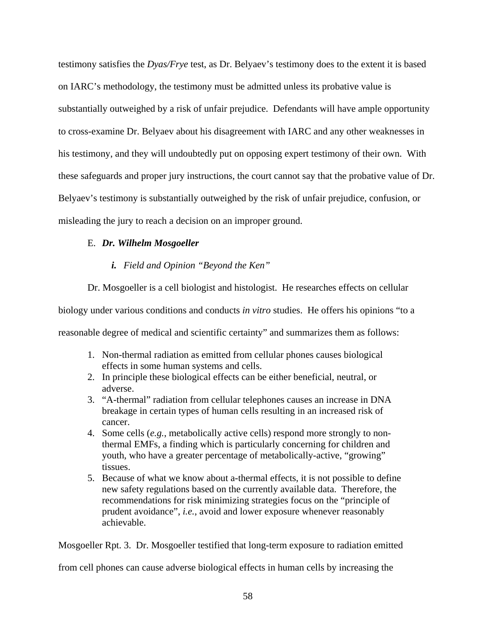testimony satisfies the *Dyas/Frye* test, as Dr. Belyaev's testimony does to the extent it is based on IARC's methodology, the testimony must be admitted unless its probative value is substantially outweighed by a risk of unfair prejudice. Defendants will have ample opportunity to cross-examine Dr. Belyaev about his disagreement with IARC and any other weaknesses in his testimony, and they will undoubtedly put on opposing expert testimony of their own. With these safeguards and proper jury instructions, the court cannot say that the probative value of Dr. Belyaev's testimony is substantially outweighed by the risk of unfair prejudice, confusion, or misleading the jury to reach a decision on an improper ground.

# E. *Dr. Wilhelm Mosgoeller*

# *i. Field and Opinion "Beyond the Ken"*

Dr. Mosgoeller is a cell biologist and histologist. He researches effects on cellular

biology under various conditions and conducts *in vitro* studies. He offers his opinions "to a

reasonable degree of medical and scientific certainty" and summarizes them as follows:

- 1. Non-thermal radiation as emitted from cellular phones causes biological effects in some human systems and cells.
- 2. In principle these biological effects can be either beneficial, neutral, or adverse.
- 3. "A-thermal" radiation from cellular telephones causes an increase in DNA breakage in certain types of human cells resulting in an increased risk of cancer.
- 4. Some cells (*e.g.*, metabolically active cells) respond more strongly to nonthermal EMFs, a finding which is particularly concerning for children and youth, who have a greater percentage of metabolically-active, "growing" tissues.
- 5. Because of what we know about a-thermal effects, it is not possible to define new safety regulations based on the currently available data. Therefore, the recommendations for risk minimizing strategies focus on the "principle of prudent avoidance", *i.e.*, avoid and lower exposure whenever reasonably achievable.

Mosgoeller Rpt. 3. Dr. Mosgoeller testified that long-term exposure to radiation emitted

from cell phones can cause adverse biological effects in human cells by increasing the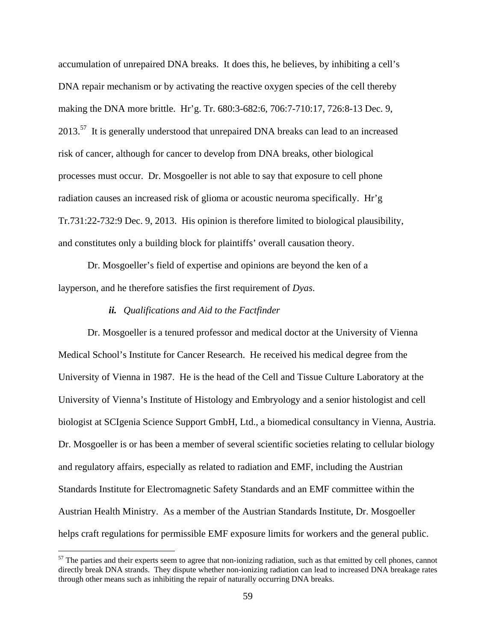accumulation of unrepaired DNA breaks. It does this, he believes, by inhibiting a cell's DNA repair mechanism or by activating the reactive oxygen species of the cell thereby making the DNA more brittle. Hr'g. Tr. 680:3-682:6, 706:7-710:17, 726:8-13 Dec. 9, 2013.<sup>57</sup> It is generally understood that unrepaired DNA breaks can lead to an increased risk of cancer, although for cancer to develop from DNA breaks, other biological processes must occur. Dr. Mosgoeller is not able to say that exposure to cell phone radiation causes an increased risk of glioma or acoustic neuroma specifically. Hr'g Tr.731:22-732:9 Dec. 9, 2013. His opinion is therefore limited to biological plausibility, and constitutes only a building block for plaintiffs' overall causation theory.

 Dr. Mosgoeller's field of expertise and opinions are beyond the ken of a layperson, and he therefore satisfies the first requirement of *Dyas*.

# *ii. Qualifications and Aid to the Factfinder*

 $\overline{a}$ 

Dr. Mosgoeller is a tenured professor and medical doctor at the University of Vienna Medical School's Institute for Cancer Research. He received his medical degree from the University of Vienna in 1987. He is the head of the Cell and Tissue Culture Laboratory at the University of Vienna's Institute of Histology and Embryology and a senior histologist and cell biologist at SCIgenia Science Support GmbH, Ltd., a biomedical consultancy in Vienna, Austria. Dr. Mosgoeller is or has been a member of several scientific societies relating to cellular biology and regulatory affairs, especially as related to radiation and EMF, including the Austrian Standards Institute for Electromagnetic Safety Standards and an EMF committee within the Austrian Health Ministry. As a member of the Austrian Standards Institute, Dr. Mosgoeller helps craft regulations for permissible EMF exposure limits for workers and the general public.

 $57$  The parties and their experts seem to agree that non-ionizing radiation, such as that emitted by cell phones, cannot directly break DNA strands. They dispute whether non-ionizing radiation can lead to increased DNA breakage rates through other means such as inhibiting the repair of naturally occurring DNA breaks.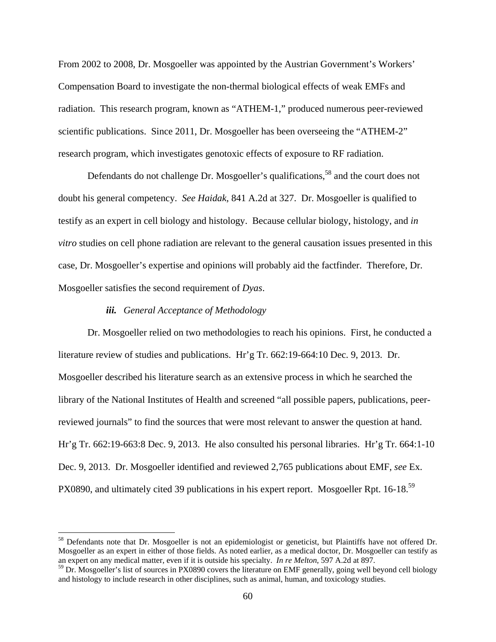From 2002 to 2008, Dr. Mosgoeller was appointed by the Austrian Government's Workers' Compensation Board to investigate the non-thermal biological effects of weak EMFs and radiation. This research program, known as "ATHEM-1," produced numerous peer-reviewed scientific publications. Since 2011, Dr. Mosgoeller has been overseeing the "ATHEM-2" research program, which investigates genotoxic effects of exposure to RF radiation.

Defendants do not challenge Dr. Mosgoeller's qualifications,<sup>58</sup> and the court does not doubt his general competency. *See Haidak*, 841 A.2d at 327. Dr. Mosgoeller is qualified to testify as an expert in cell biology and histology. Because cellular biology, histology, and *in vitro* studies on cell phone radiation are relevant to the general causation issues presented in this case, Dr. Mosgoeller's expertise and opinions will probably aid the factfinder. Therefore, Dr. Mosgoeller satisfies the second requirement of *Dyas*.

#### *iii. General Acceptance of Methodology*

 $\overline{a}$ 

Dr. Mosgoeller relied on two methodologies to reach his opinions. First, he conducted a literature review of studies and publications. Hr'g Tr. 662:19-664:10 Dec. 9, 2013. Dr. Mosgoeller described his literature search as an extensive process in which he searched the library of the National Institutes of Health and screened "all possible papers, publications, peerreviewed journals" to find the sources that were most relevant to answer the question at hand. Hr'g Tr. 662:19-663:8 Dec. 9, 2013. He also consulted his personal libraries. Hr'g Tr. 664:1-10 Dec. 9, 2013. Dr. Mosgoeller identified and reviewed 2,765 publications about EMF, *see* Ex. PX0890, and ultimately cited 39 publications in his expert report. Mosgoeller Rpt. 16-18.<sup>59</sup>

<sup>&</sup>lt;sup>58</sup> Defendants note that Dr. Mosgoeller is not an epidemiologist or geneticist, but Plaintiffs have not offered Dr. Mosgoeller as an expert in either of those fields. As noted earlier, as a medical doctor, Dr. Mosgoeller can testify as an expert on any medical matter, even if it is outside his specialty. *In re Melton*, 597 A.2d at 897.

<sup>&</sup>lt;sup>59</sup> Dr. Mosgoeller's list of sources in PX0890 covers the literature on EMF generally, going well beyond cell biology and histology to include research in other disciplines, such as animal, human, and toxicology studies.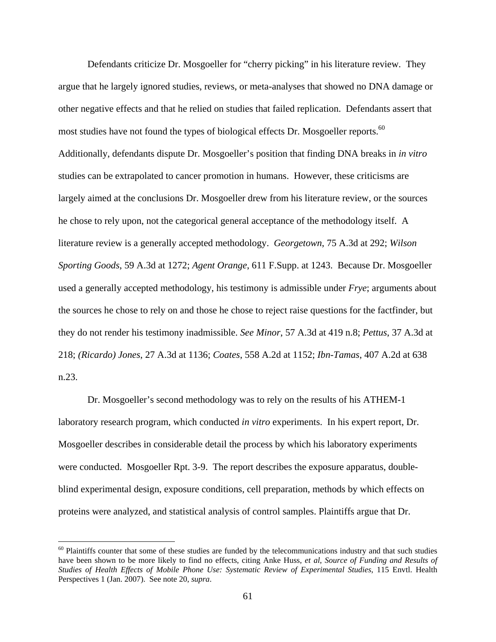Defendants criticize Dr. Mosgoeller for "cherry picking" in his literature review. They argue that he largely ignored studies, reviews, or meta-analyses that showed no DNA damage or other negative effects and that he relied on studies that failed replication. Defendants assert that most studies have not found the types of biological effects Dr. Mosgoeller reports.<sup>60</sup> Additionally, defendants dispute Dr. Mosgoeller's position that finding DNA breaks in *in vitro* studies can be extrapolated to cancer promotion in humans. However, these criticisms are largely aimed at the conclusions Dr. Mosgoeller drew from his literature review, or the sources he chose to rely upon, not the categorical general acceptance of the methodology itself. A literature review is a generally accepted methodology. *Georgetown*, 75 A.3d at 292; *Wilson Sporting Goods*, 59 A.3d at 1272; *Agent Orange*, 611 F.Supp. at 1243. Because Dr. Mosgoeller used a generally accepted methodology, his testimony is admissible under *Frye*; arguments about the sources he chose to rely on and those he chose to reject raise questions for the factfinder, but they do not render his testimony inadmissible. *See Minor*, 57 A.3d at 419 n.8; *Pettus*, 37 A.3d at 218; *(Ricardo) Jones*, 27 A.3d at 1136; *Coates*, 558 A.2d at 1152; *Ibn-Tamas*, 407 A.2d at 638 n.23.

Dr. Mosgoeller's second methodology was to rely on the results of his ATHEM-1 laboratory research program, which conducted *in vitro* experiments. In his expert report, Dr. Mosgoeller describes in considerable detail the process by which his laboratory experiments were conducted. Mosgoeller Rpt. 3-9. The report describes the exposure apparatus, doubleblind experimental design, exposure conditions, cell preparation, methods by which effects on proteins were analyzed, and statistical analysis of control samples. Plaintiffs argue that Dr.

 $60$  Plaintiffs counter that some of these studies are funded by the telecommunications industry and that such studies have been shown to be more likely to find no effects, citing Anke Huss, *et al*, *Source of Funding and Results of Studies of Health Effects of Mobile Phone Use: Systematic Review of Experimental Studies*, 115 Envtl. Health Perspectives 1 (Jan. 2007). See note 20, *supra*.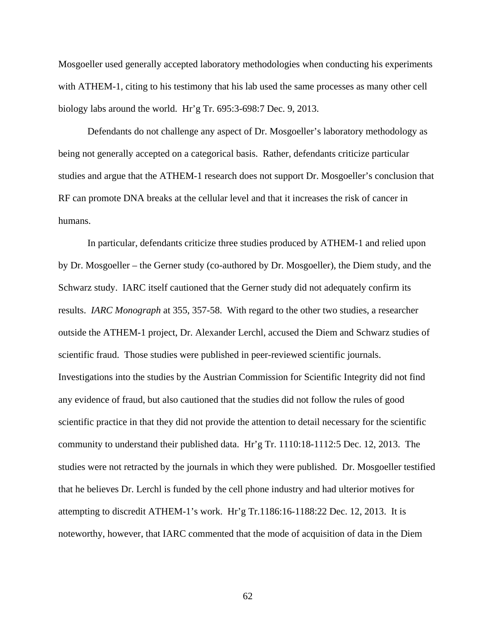Mosgoeller used generally accepted laboratory methodologies when conducting his experiments with ATHEM-1, citing to his testimony that his lab used the same processes as many other cell biology labs around the world. Hr'g Tr. 695:3-698:7 Dec. 9, 2013.

Defendants do not challenge any aspect of Dr. Mosgoeller's laboratory methodology as being not generally accepted on a categorical basis. Rather, defendants criticize particular studies and argue that the ATHEM-1 research does not support Dr. Mosgoeller's conclusion that RF can promote DNA breaks at the cellular level and that it increases the risk of cancer in humans.

In particular, defendants criticize three studies produced by ATHEM-1 and relied upon by Dr. Mosgoeller – the Gerner study (co-authored by Dr. Mosgoeller), the Diem study, and the Schwarz study. IARC itself cautioned that the Gerner study did not adequately confirm its results. *IARC Monograph* at 355, 357-58. With regard to the other two studies, a researcher outside the ATHEM-1 project, Dr. Alexander Lerchl, accused the Diem and Schwarz studies of scientific fraud. Those studies were published in peer-reviewed scientific journals. Investigations into the studies by the Austrian Commission for Scientific Integrity did not find any evidence of fraud, but also cautioned that the studies did not follow the rules of good scientific practice in that they did not provide the attention to detail necessary for the scientific community to understand their published data. Hr'g Tr. 1110:18-1112:5 Dec. 12, 2013. The studies were not retracted by the journals in which they were published. Dr. Mosgoeller testified that he believes Dr. Lerchl is funded by the cell phone industry and had ulterior motives for attempting to discredit ATHEM-1's work. Hr'g Tr.1186:16-1188:22 Dec. 12, 2013. It is noteworthy, however, that IARC commented that the mode of acquisition of data in the Diem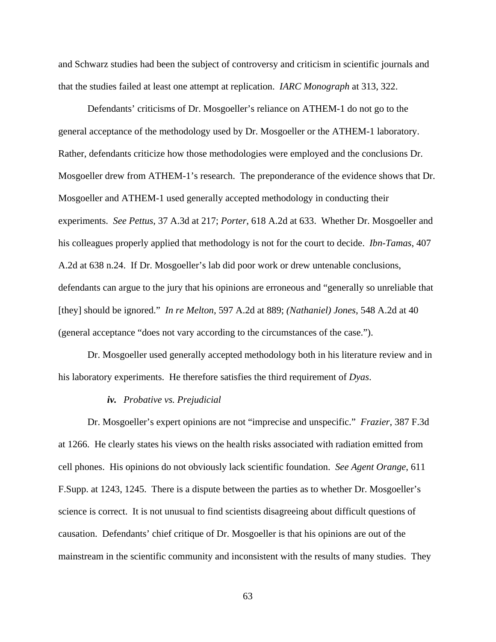and Schwarz studies had been the subject of controversy and criticism in scientific journals and that the studies failed at least one attempt at replication. *IARC Monograph* at 313, 322.

Defendants' criticisms of Dr. Mosgoeller's reliance on ATHEM-1 do not go to the general acceptance of the methodology used by Dr. Mosgoeller or the ATHEM-1 laboratory. Rather, defendants criticize how those methodologies were employed and the conclusions Dr. Mosgoeller drew from ATHEM-1's research. The preponderance of the evidence shows that Dr. Mosgoeller and ATHEM-1 used generally accepted methodology in conducting their experiments. *See Pettus*, 37 A.3d at 217; *Porter*, 618 A.2d at 633. Whether Dr. Mosgoeller and his colleagues properly applied that methodology is not for the court to decide. *Ibn-Tamas*, 407 A.2d at 638 n.24. If Dr. Mosgoeller's lab did poor work or drew untenable conclusions, defendants can argue to the jury that his opinions are erroneous and "generally so unreliable that [they] should be ignored." *In re Melton*, 597 A.2d at 889; *(Nathaniel) Jones*, 548 A.2d at 40 (general acceptance "does not vary according to the circumstances of the case.").

Dr. Mosgoeller used generally accepted methodology both in his literature review and in his laboratory experiments. He therefore satisfies the third requirement of *Dyas*.

#### *iv. Probative vs. Prejudicial*

Dr. Mosgoeller's expert opinions are not "imprecise and unspecific." *Frazier*, 387 F.3d at 1266. He clearly states his views on the health risks associated with radiation emitted from cell phones. His opinions do not obviously lack scientific foundation. *See Agent Orange*, 611 F.Supp. at 1243, 1245. There is a dispute between the parties as to whether Dr. Mosgoeller's science is correct. It is not unusual to find scientists disagreeing about difficult questions of causation. Defendants' chief critique of Dr. Mosgoeller is that his opinions are out of the mainstream in the scientific community and inconsistent with the results of many studies. They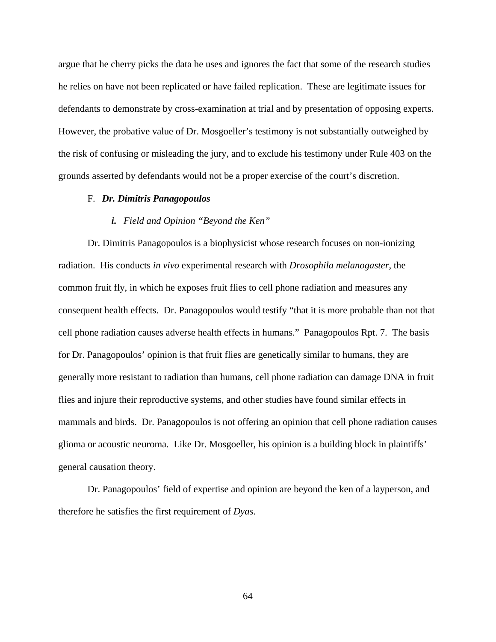argue that he cherry picks the data he uses and ignores the fact that some of the research studies he relies on have not been replicated or have failed replication. These are legitimate issues for defendants to demonstrate by cross-examination at trial and by presentation of opposing experts. However, the probative value of Dr. Mosgoeller's testimony is not substantially outweighed by the risk of confusing or misleading the jury, and to exclude his testimony under Rule 403 on the grounds asserted by defendants would not be a proper exercise of the court's discretion.

# F. *Dr. Dimitris Panagopoulos*

## *i. Field and Opinion "Beyond the Ken"*

Dr. Dimitris Panagopoulos is a biophysicist whose research focuses on non-ionizing radiation. His conducts *in vivo* experimental research with *Drosophila melanogaster*, the common fruit fly, in which he exposes fruit flies to cell phone radiation and measures any consequent health effects. Dr. Panagopoulos would testify "that it is more probable than not that cell phone radiation causes adverse health effects in humans." Panagopoulos Rpt. 7. The basis for Dr. Panagopoulos' opinion is that fruit flies are genetically similar to humans, they are generally more resistant to radiation than humans, cell phone radiation can damage DNA in fruit flies and injure their reproductive systems, and other studies have found similar effects in mammals and birds. Dr. Panagopoulos is not offering an opinion that cell phone radiation causes glioma or acoustic neuroma. Like Dr. Mosgoeller, his opinion is a building block in plaintiffs' general causation theory.

Dr. Panagopoulos' field of expertise and opinion are beyond the ken of a layperson, and therefore he satisfies the first requirement of *Dyas*.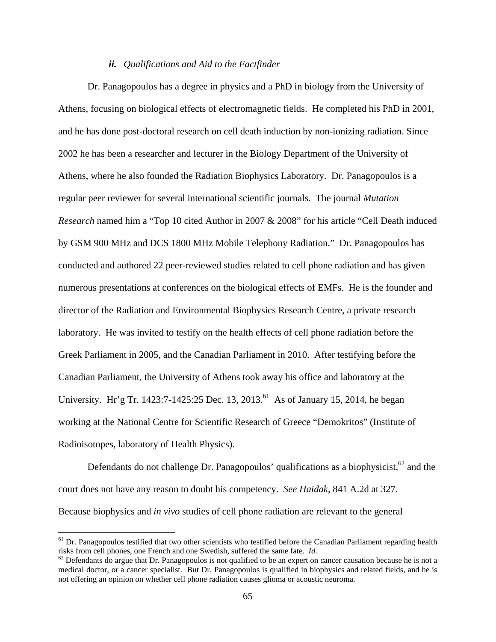# *ii. Qualifications and Aid to the Factfinder*

Dr. Panagopoulos has a degree in physics and a PhD in biology from the University of Athens, focusing on biological effects of electromagnetic fields. He completed his PhD in 2001, and he has done post-doctoral research on cell death induction by non-ionizing radiation. Since 2002 he has been a researcher and lecturer in the Biology Department of the University of Athens, where he also founded the Radiation Biophysics Laboratory. Dr. Panagopoulos is a regular peer reviewer for several international scientific journals. The journal *Mutation Research* named him a "Top 10 cited Author in 2007 & 2008" for his article "Cell Death induced by GSM 900 MHz and DCS 1800 MHz Mobile Telephony Radiation." Dr. Panagopoulos has conducted and authored 22 peer-reviewed studies related to cell phone radiation and has given numerous presentations at conferences on the biological effects of EMFs. He is the founder and director of the Radiation and Environmental Biophysics Research Centre, a private research laboratory. He was invited to testify on the health effects of cell phone radiation before the Greek Parliament in 2005, and the Canadian Parliament in 2010. After testifying before the Canadian Parliament, the University of Athens took away his office and laboratory at the University. Hr'g Tr. 1423:7-1425:25 Dec. 13, 2013.<sup>61</sup> As of January 15, 2014, he began working at the National Centre for Scientific Research of Greece "Demokritos" (Institute of Radioisotopes, laboratory of Health Physics).

Defendants do not challenge Dr. Panagopoulos' qualifications as a biophysicist,  $62$  and the court does not have any reason to doubt his competency. *See Haidak*, 841 A.2d at 327. Because biophysics and *in vivo* studies of cell phone radiation are relevant to the general

<sup>&</sup>lt;sup>61</sup> Dr. Panagopoulos testified that two other scientists who testified before the Canadian Parliament regarding health risks from cell phones, one French and one Swedish, suffered the same fate. *Id*.<br><sup>62</sup> Defendants do argue that Dr. Panagopoulos is not qualified to be an expert on cancer causation because he is not a

medical doctor, or a cancer specialist. But Dr. Panagopoulos is qualified in biophysics and related fields, and he is not offering an opinion on whether cell phone radiation causes glioma or acoustic neuroma.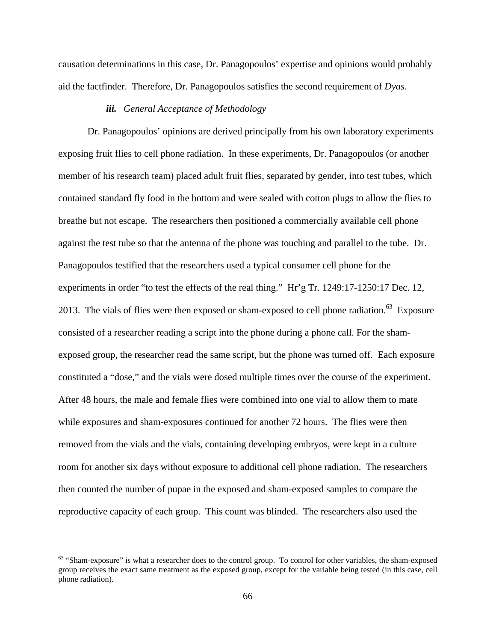causation determinations in this case, Dr. Panagopoulos' expertise and opinions would probably aid the factfinder. Therefore, Dr. Panagopoulos satisfies the second requirement of *Dyas*.

#### *iii. General Acceptance of Methodology*

Dr. Panagopoulos' opinions are derived principally from his own laboratory experiments exposing fruit flies to cell phone radiation. In these experiments, Dr. Panagopoulos (or another member of his research team) placed adult fruit flies, separated by gender, into test tubes, which contained standard fly food in the bottom and were sealed with cotton plugs to allow the flies to breathe but not escape. The researchers then positioned a commercially available cell phone against the test tube so that the antenna of the phone was touching and parallel to the tube. Dr. Panagopoulos testified that the researchers used a typical consumer cell phone for the experiments in order "to test the effects of the real thing." Hr'g Tr. 1249:17-1250:17 Dec. 12, 2013. The vials of flies were then exposed or sham-exposed to cell phone radiation.<sup>63</sup> Exposure consisted of a researcher reading a script into the phone during a phone call. For the shamexposed group, the researcher read the same script, but the phone was turned off. Each exposure constituted a "dose," and the vials were dosed multiple times over the course of the experiment. After 48 hours, the male and female flies were combined into one vial to allow them to mate while exposures and sham-exposures continued for another 72 hours. The flies were then removed from the vials and the vials, containing developing embryos, were kept in a culture room for another six days without exposure to additional cell phone radiation. The researchers then counted the number of pupae in the exposed and sham-exposed samples to compare the reproductive capacity of each group. This count was blinded. The researchers also used the

<sup>&</sup>lt;sup>63</sup> "Sham-exposure" is what a researcher does to the control group. To control for other variables, the sham-exposed group receives the exact same treatment as the exposed group, except for the variable being tested (in this case, cell phone radiation).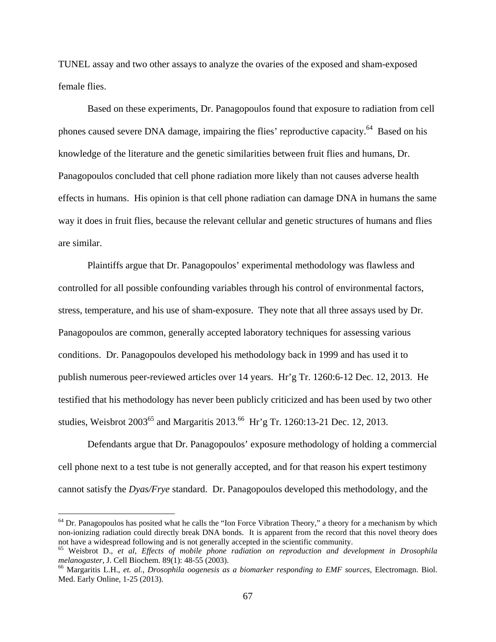TUNEL assay and two other assays to analyze the ovaries of the exposed and sham-exposed female flies.

Based on these experiments, Dr. Panagopoulos found that exposure to radiation from cell phones caused severe DNA damage, impairing the flies' reproductive capacity.<sup>64</sup> Based on his knowledge of the literature and the genetic similarities between fruit flies and humans, Dr. Panagopoulos concluded that cell phone radiation more likely than not causes adverse health effects in humans. His opinion is that cell phone radiation can damage DNA in humans the same way it does in fruit flies, because the relevant cellular and genetic structures of humans and flies are similar.

Plaintiffs argue that Dr. Panagopoulos' experimental methodology was flawless and controlled for all possible confounding variables through his control of environmental factors, stress, temperature, and his use of sham-exposure. They note that all three assays used by Dr. Panagopoulos are common, generally accepted laboratory techniques for assessing various conditions. Dr. Panagopoulos developed his methodology back in 1999 and has used it to publish numerous peer-reviewed articles over 14 years. Hr'g Tr. 1260:6-12 Dec. 12, 2013. He testified that his methodology has never been publicly criticized and has been used by two other studies, Weisbrot 2003<sup>65</sup> and Margaritis 2013.<sup>66</sup> Hr'g Tr. 1260:13-21 Dec. 12, 2013.

Defendants argue that Dr. Panagopoulos' exposure methodology of holding a commercial cell phone next to a test tube is not generally accepted, and for that reason his expert testimony cannot satisfy the *Dyas/Frye* standard. Dr. Panagopoulos developed this methodology, and the

 $64$  Dr. Panagopoulos has posited what he calls the "Ion Force Vibration Theory," a theory for a mechanism by which non-ionizing radiation could directly break DNA bonds. It is apparent from the record that this novel theory does

not have a widespread following and is not generally accepted in the scientific community.<br><sup>65</sup> Weisbrot D., *et al, Effects of mobile phone radiation on reproduction and development in Drosophila <i>melanogaster*, J. Cell B

<sup>&</sup>lt;sup>66</sup> Margaritis L.H., *et. al., Drosophila oogenesis as a biomarker responding to EMF sources*, Electromagn. Biol. Med. Early Online, 1-25 (2013).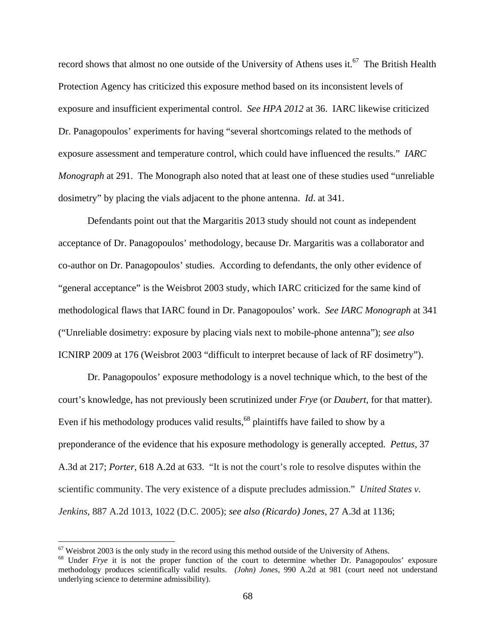record shows that almost no one outside of the University of Athens uses it.<sup>67</sup> The British Health Protection Agency has criticized this exposure method based on its inconsistent levels of exposure and insufficient experimental control. *See HPA 2012* at 36. IARC likewise criticized Dr. Panagopoulos' experiments for having "several shortcomings related to the methods of exposure assessment and temperature control, which could have influenced the results." *IARC Monograph* at 291. The Monograph also noted that at least one of these studies used "unreliable dosimetry" by placing the vials adjacent to the phone antenna. *Id*. at 341.

Defendants point out that the Margaritis 2013 study should not count as independent acceptance of Dr. Panagopoulos' methodology, because Dr. Margaritis was a collaborator and co-author on Dr. Panagopoulos' studies. According to defendants, the only other evidence of "general acceptance" is the Weisbrot 2003 study, which IARC criticized for the same kind of methodological flaws that IARC found in Dr. Panagopoulos' work. *See IARC Monograph* at 341 ("Unreliable dosimetry: exposure by placing vials next to mobile-phone antenna"); *see also*  ICNIRP 2009 at 176 (Weisbrot 2003 "difficult to interpret because of lack of RF dosimetry").

Dr. Panagopoulos' exposure methodology is a novel technique which, to the best of the court's knowledge, has not previously been scrutinized under *Frye* (or *Daubert*, for that matter). Even if his methodology produces valid results, $68$  plaintiffs have failed to show by a preponderance of the evidence that his exposure methodology is generally accepted. *Pettus*, 37 A.3d at 217; *Porter*, 618 A.2d at 633. "It is not the court's role to resolve disputes within the scientific community. The very existence of a dispute precludes admission." *United States v. Jenkins*, 887 A.2d 1013, 1022 (D.C. 2005); *see also (Ricardo) Jones*, 27 A.3d at 1136;

 $67$  Weisbrot 2003 is the only study in the record using this method outside of the University of Athens.

<sup>68</sup> Under *Frye* it is not the proper function of the court to determine whether Dr. Panagopoulos' exposure methodology produces scientifically valid results. *(John) Jones*, 990 A.2d at 981 (court need not understand underlying science to determine admissibility).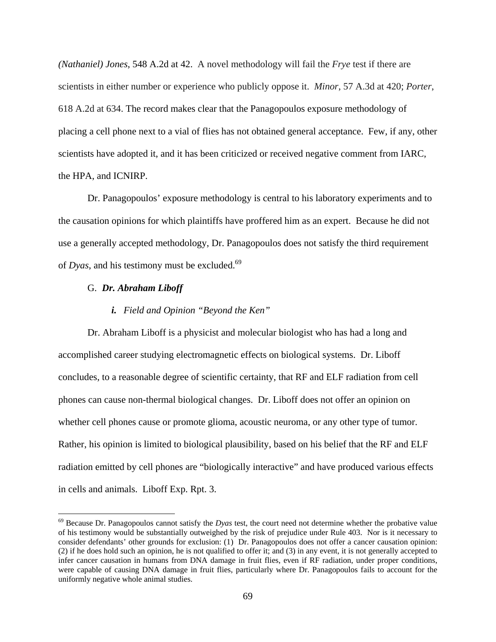*(Nathaniel) Jones*, 548 A.2d at 42. A novel methodology will fail the *Frye* test if there are scientists in either number or experience who publicly oppose it. *Minor*, 57 A.3d at 420; *Porter*, 618 A.2d at 634. The record makes clear that the Panagopoulos exposure methodology of placing a cell phone next to a vial of flies has not obtained general acceptance. Few, if any, other scientists have adopted it, and it has been criticized or received negative comment from IARC, the HPA, and ICNIRP.

Dr. Panagopoulos' exposure methodology is central to his laboratory experiments and to the causation opinions for which plaintiffs have proffered him as an expert. Because he did not use a generally accepted methodology, Dr. Panagopoulos does not satisfy the third requirement of  $Dyas$ , and his testimony must be excluded.<sup>69</sup>

### G. *Dr. Abraham Liboff*

 $\overline{a}$ 

# *i. Field and Opinion "Beyond the Ken"*

Dr. Abraham Liboff is a physicist and molecular biologist who has had a long and accomplished career studying electromagnetic effects on biological systems. Dr. Liboff concludes, to a reasonable degree of scientific certainty, that RF and ELF radiation from cell phones can cause non-thermal biological changes. Dr. Liboff does not offer an opinion on whether cell phones cause or promote glioma, acoustic neuroma, or any other type of tumor. Rather, his opinion is limited to biological plausibility, based on his belief that the RF and ELF radiation emitted by cell phones are "biologically interactive" and have produced various effects in cells and animals. Liboff Exp. Rpt. 3.

<sup>69</sup> Because Dr. Panagopoulos cannot satisfy the *Dyas* test, the court need not determine whether the probative value of his testimony would be substantially outweighed by the risk of prejudice under Rule 403. Nor is it necessary to consider defendants' other grounds for exclusion: (1) Dr. Panagopoulos does not offer a cancer causation opinion: (2) if he does hold such an opinion, he is not qualified to offer it; and (3) in any event, it is not generally accepted to infer cancer causation in humans from DNA damage in fruit flies, even if RF radiation, under proper conditions, were capable of causing DNA damage in fruit flies, particularly where Dr. Panagopoulos fails to account for the uniformly negative whole animal studies.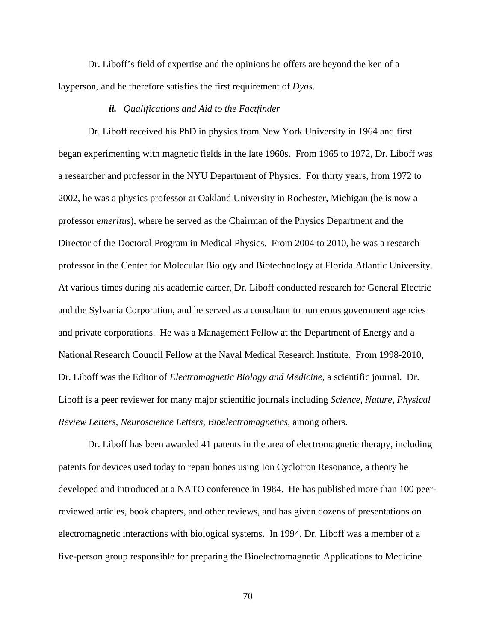Dr. Liboff's field of expertise and the opinions he offers are beyond the ken of a layperson, and he therefore satisfies the first requirement of *Dyas*.

#### *ii. Qualifications and Aid to the Factfinder*

Dr. Liboff received his PhD in physics from New York University in 1964 and first began experimenting with magnetic fields in the late 1960s. From 1965 to 1972, Dr. Liboff was a researcher and professor in the NYU Department of Physics. For thirty years, from 1972 to 2002, he was a physics professor at Oakland University in Rochester, Michigan (he is now a professor *emeritus*), where he served as the Chairman of the Physics Department and the Director of the Doctoral Program in Medical Physics. From 2004 to 2010, he was a research professor in the Center for Molecular Biology and Biotechnology at Florida Atlantic University. At various times during his academic career, Dr. Liboff conducted research for General Electric and the Sylvania Corporation, and he served as a consultant to numerous government agencies and private corporations. He was a Management Fellow at the Department of Energy and a National Research Council Fellow at the Naval Medical Research Institute. From 1998-2010, Dr. Liboff was the Editor of *Electromagnetic Biology and Medicine*, a scientific journal. Dr. Liboff is a peer reviewer for many major scientific journals including *Science*, *Nature*, *Physical Review Letters*, *Neuroscience Letters*, *Bioelectromagnetics*, among others.

Dr. Liboff has been awarded 41 patents in the area of electromagnetic therapy, including patents for devices used today to repair bones using Ion Cyclotron Resonance, a theory he developed and introduced at a NATO conference in 1984. He has published more than 100 peerreviewed articles, book chapters, and other reviews, and has given dozens of presentations on electromagnetic interactions with biological systems. In 1994, Dr. Liboff was a member of a five-person group responsible for preparing the Bioelectromagnetic Applications to Medicine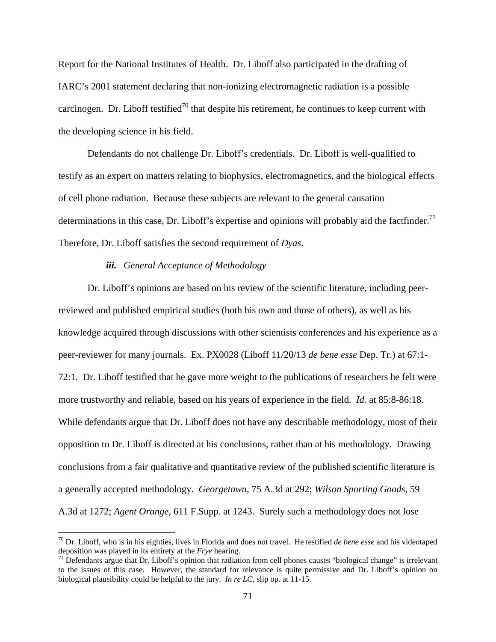Report for the National Institutes of Health. Dr. Liboff also participated in the drafting of IARC's 2001 statement declaring that non-ionizing electromagnetic radiation is a possible carcinogen. Dr. Liboff testified<sup>70</sup> that despite his retirement, he continues to keep current with the developing science in his field.

Defendants do not challenge Dr. Liboff's credentials. Dr. Liboff is well-qualified to testify as an expert on matters relating to biophysics, electromagnetics, and the biological effects of cell phone radiation. Because these subjects are relevant to the general causation determinations in this case, Dr. Liboff's expertise and opinions will probably aid the factfinder.<sup>71</sup> Therefore, Dr. Liboff satisfies the second requirement of *Dyas*.

### *iii. General Acceptance of Methodology*

 $\overline{a}$ 

Dr. Liboff's opinions are based on his review of the scientific literature, including peerreviewed and published empirical studies (both his own and those of others), as well as his knowledge acquired through discussions with other scientists conferences and his experience as a peer-reviewer for many journals. Ex. PX0028 (Liboff 11/20/13 *de bene esse* Dep. Tr.) at 67:1- 72:1. Dr. Liboff testified that he gave more weight to the publications of researchers he felt were more trustworthy and reliable, based on his years of experience in the field. *Id.* at 85:8-86:18. While defendants argue that Dr. Liboff does not have any describable methodology, most of their opposition to Dr. Liboff is directed at his conclusions, rather than at his methodology. Drawing conclusions from a fair qualitative and quantitative review of the published scientific literature is a generally accepted methodology. *Georgetown*, 75 A.3d at 292; *Wilson Sporting Goods*, 59 A.3d at 1272; *Agent Orange*, 611 F.Supp. at 1243. Surely such a methodology does not lose

<sup>70</sup> Dr. Liboff, who is in his eighties, lives in Florida and does not travel. He testified *de bene esse* and his videotaped deposition was played in its entirety at the *Frye* hearing.<br><sup>71</sup> Defendants argue that Dr. Liboff's opinion that radiation from cell phones causes "biological change" is irrelevant

to the issues of this case. However, the standard for relevance is quite permissive and Dr. Liboff's opinion on biological plausibility could be helpful to the jury. *In re LC*, slip op. at 11-15.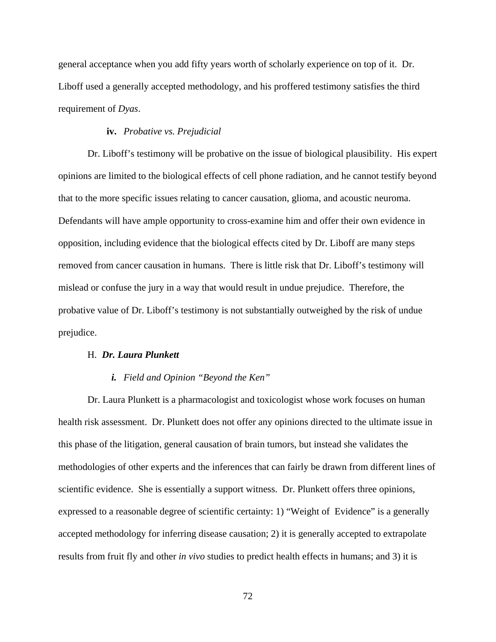general acceptance when you add fifty years worth of scholarly experience on top of it. Dr. Liboff used a generally accepted methodology, and his proffered testimony satisfies the third requirement of *Dyas*.

# **iv.** *Probative vs. Prejudicial*

Dr. Liboff's testimony will be probative on the issue of biological plausibility. His expert opinions are limited to the biological effects of cell phone radiation, and he cannot testify beyond that to the more specific issues relating to cancer causation, glioma, and acoustic neuroma. Defendants will have ample opportunity to cross-examine him and offer their own evidence in opposition, including evidence that the biological effects cited by Dr. Liboff are many steps removed from cancer causation in humans. There is little risk that Dr. Liboff's testimony will mislead or confuse the jury in a way that would result in undue prejudice. Therefore, the probative value of Dr. Liboff's testimony is not substantially outweighed by the risk of undue prejudice.

### H. *Dr. Laura Plunkett*

#### *i. Field and Opinion "Beyond the Ken"*

Dr. Laura Plunkett is a pharmacologist and toxicologist whose work focuses on human health risk assessment. Dr. Plunkett does not offer any opinions directed to the ultimate issue in this phase of the litigation, general causation of brain tumors, but instead she validates the methodologies of other experts and the inferences that can fairly be drawn from different lines of scientific evidence. She is essentially a support witness. Dr. Plunkett offers three opinions, expressed to a reasonable degree of scientific certainty: 1) "Weight of Evidence" is a generally accepted methodology for inferring disease causation; 2) it is generally accepted to extrapolate results from fruit fly and other *in vivo* studies to predict health effects in humans; and 3) it is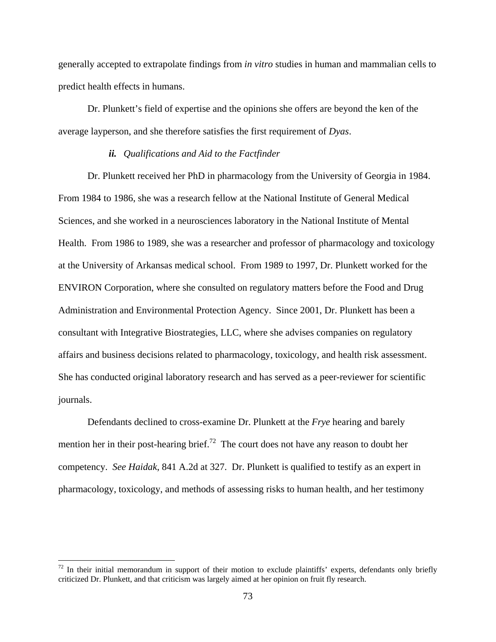generally accepted to extrapolate findings from *in vitro* studies in human and mammalian cells to predict health effects in humans.

Dr. Plunkett's field of expertise and the opinions she offers are beyond the ken of the average layperson, and she therefore satisfies the first requirement of *Dyas*.

## *ii. Qualifications and Aid to the Factfinder*

Dr. Plunkett received her PhD in pharmacology from the University of Georgia in 1984. From 1984 to 1986, she was a research fellow at the National Institute of General Medical Sciences, and she worked in a neurosciences laboratory in the National Institute of Mental Health. From 1986 to 1989, she was a researcher and professor of pharmacology and toxicology at the University of Arkansas medical school. From 1989 to 1997, Dr. Plunkett worked for the ENVIRON Corporation, where she consulted on regulatory matters before the Food and Drug Administration and Environmental Protection Agency. Since 2001, Dr. Plunkett has been a consultant with Integrative Biostrategies, LLC, where she advises companies on regulatory affairs and business decisions related to pharmacology, toxicology, and health risk assessment. She has conducted original laboratory research and has served as a peer-reviewer for scientific journals.

Defendants declined to cross-examine Dr. Plunkett at the *Frye* hearing and barely mention her in their post-hearing brief.<sup>72</sup> The court does not have any reason to doubt her competency. *See Haidak*, 841 A.2d at 327. Dr. Plunkett is qualified to testify as an expert in pharmacology, toxicology, and methods of assessing risks to human health, and her testimony

 $\overline{a}$ 

 $72$  In their initial memorandum in support of their motion to exclude plaintiffs' experts, defendants only briefly criticized Dr. Plunkett, and that criticism was largely aimed at her opinion on fruit fly research.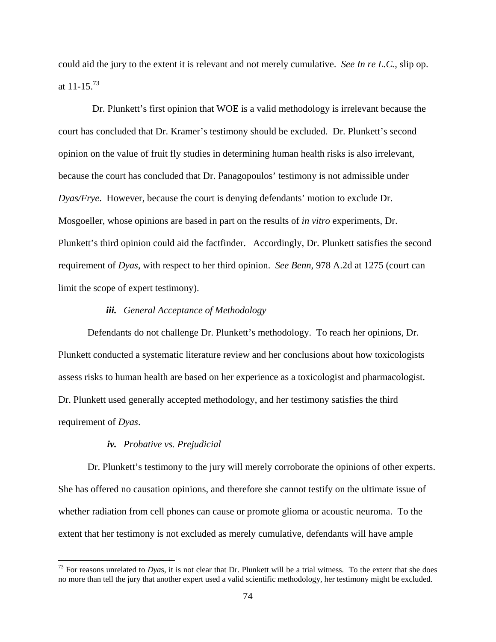could aid the jury to the extent it is relevant and not merely cumulative. *See In re L.C.*, slip op. at  $11 - 15^{73}$ 

 Dr. Plunkett's first opinion that WOE is a valid methodology is irrelevant because the court has concluded that Dr. Kramer's testimony should be excluded. Dr. Plunkett's second opinion on the value of fruit fly studies in determining human health risks is also irrelevant, because the court has concluded that Dr. Panagopoulos' testimony is not admissible under *Dyas/Frye*. However, because the court is denying defendants' motion to exclude Dr. Mosgoeller, whose opinions are based in part on the results of *in vitro* experiments, Dr. Plunkett's third opinion could aid the factfinder. Accordingly, Dr. Plunkett satisfies the second requirement of *Dyas*, with respect to her third opinion. *See Benn*, 978 A.2d at 1275 (court can limit the scope of expert testimony).

## *iii. General Acceptance of Methodology*

Defendants do not challenge Dr. Plunkett's methodology. To reach her opinions, Dr. Plunkett conducted a systematic literature review and her conclusions about how toxicologists assess risks to human health are based on her experience as a toxicologist and pharmacologist. Dr. Plunkett used generally accepted methodology, and her testimony satisfies the third requirement of *Dyas*.

## *iv. Probative vs. Prejudicial*

 $\overline{a}$ 

Dr. Plunkett's testimony to the jury will merely corroborate the opinions of other experts. She has offered no causation opinions, and therefore she cannot testify on the ultimate issue of whether radiation from cell phones can cause or promote glioma or acoustic neuroma. To the extent that her testimony is not excluded as merely cumulative, defendants will have ample

 $73$  For reasons unrelated to *Dyas*, it is not clear that Dr. Plunkett will be a trial witness. To the extent that she does no more than tell the jury that another expert used a valid scientific methodology, her testimony might be excluded.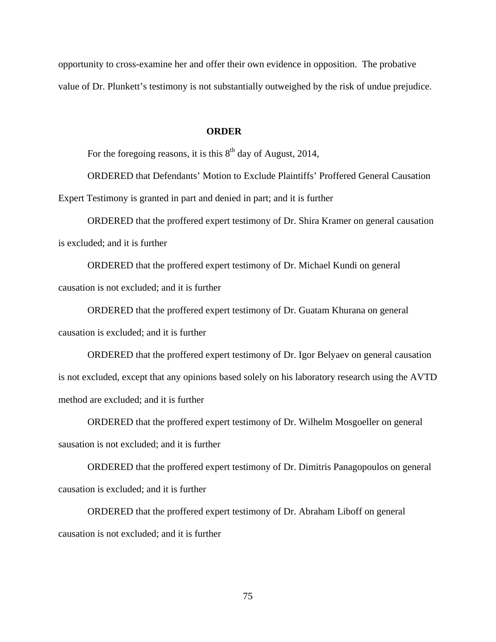opportunity to cross-examine her and offer their own evidence in opposition. The probative value of Dr. Plunkett's testimony is not substantially outweighed by the risk of undue prejudice.

## **ORDER**

For the foregoing reasons, it is this  $8<sup>th</sup>$  day of August, 2014,

ORDERED that Defendants' Motion to Exclude Plaintiffs' Proffered General Causation Expert Testimony is granted in part and denied in part; and it is further

ORDERED that the proffered expert testimony of Dr. Shira Kramer on general causation is excluded; and it is further

ORDERED that the proffered expert testimony of Dr. Michael Kundi on general causation is not excluded; and it is further

ORDERED that the proffered expert testimony of Dr. Guatam Khurana on general causation is excluded; and it is further

ORDERED that the proffered expert testimony of Dr. Igor Belyaev on general causation is not excluded, except that any opinions based solely on his laboratory research using the AVTD method are excluded; and it is further

ORDERED that the proffered expert testimony of Dr. Wilhelm Mosgoeller on general sausation is not excluded; and it is further

ORDERED that the proffered expert testimony of Dr. Dimitris Panagopoulos on general causation is excluded; and it is further

ORDERED that the proffered expert testimony of Dr. Abraham Liboff on general causation is not excluded; and it is further

75